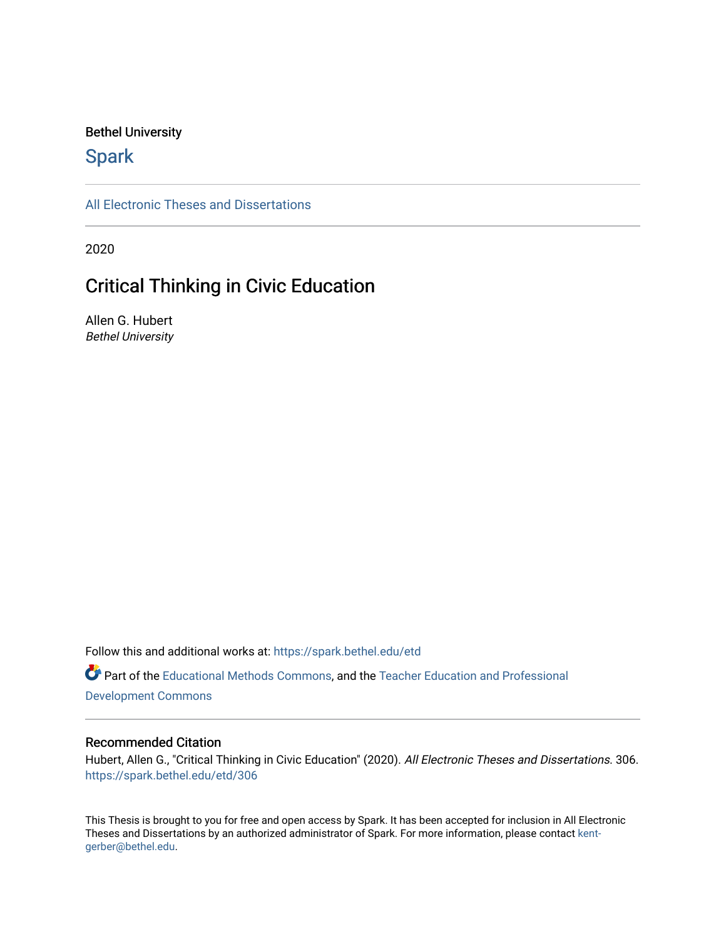### Bethel University

## **Spark**

[All Electronic Theses and Dissertations](https://spark.bethel.edu/etd) 

2020

# Critical Thinking in Civic Education

Allen G. Hubert Bethel University

Follow this and additional works at: [https://spark.bethel.edu/etd](https://spark.bethel.edu/etd?utm_source=spark.bethel.edu%2Fetd%2F306&utm_medium=PDF&utm_campaign=PDFCoverPages)

Part of the [Educational Methods Commons,](http://network.bepress.com/hgg/discipline/1227?utm_source=spark.bethel.edu%2Fetd%2F306&utm_medium=PDF&utm_campaign=PDFCoverPages) and the [Teacher Education and Professional](http://network.bepress.com/hgg/discipline/803?utm_source=spark.bethel.edu%2Fetd%2F306&utm_medium=PDF&utm_campaign=PDFCoverPages)  [Development Commons](http://network.bepress.com/hgg/discipline/803?utm_source=spark.bethel.edu%2Fetd%2F306&utm_medium=PDF&utm_campaign=PDFCoverPages) 

### Recommended Citation

Hubert, Allen G., "Critical Thinking in Civic Education" (2020). All Electronic Theses and Dissertations. 306. [https://spark.bethel.edu/etd/306](https://spark.bethel.edu/etd/306?utm_source=spark.bethel.edu%2Fetd%2F306&utm_medium=PDF&utm_campaign=PDFCoverPages)

This Thesis is brought to you for free and open access by Spark. It has been accepted for inclusion in All Electronic Theses and Dissertations by an authorized administrator of Spark. For more information, please contact [kent](mailto:kent-gerber@bethel.edu)[gerber@bethel.edu.](mailto:kent-gerber@bethel.edu)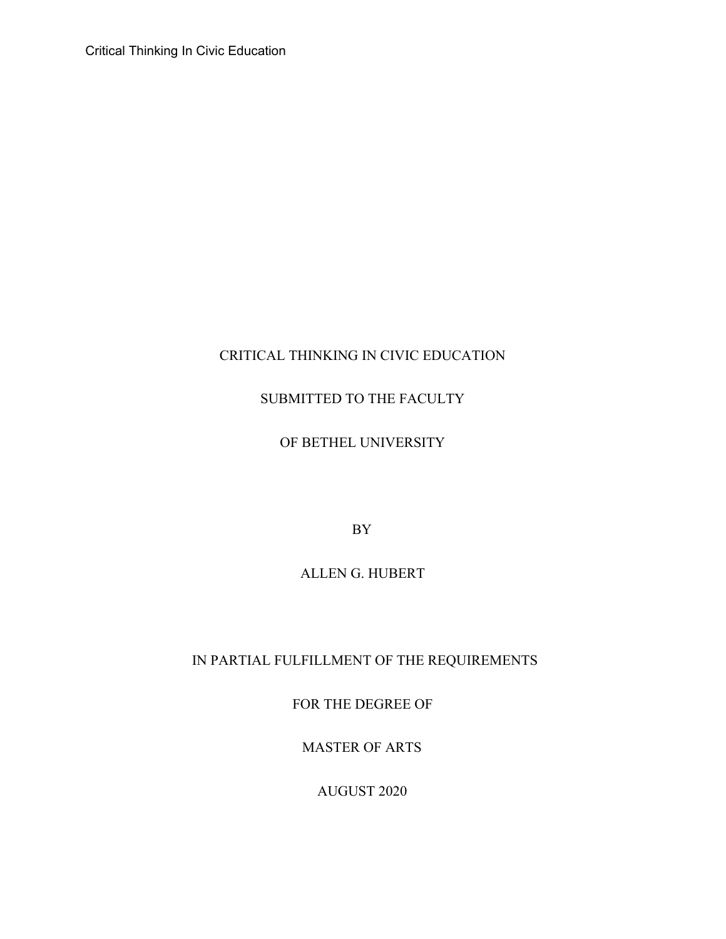## CRITICAL THINKING IN CIVIC EDUCATION

## SUBMITTED TO THE FACULTY

## OF BETHEL UNIVERSITY

BY

## ALLEN G. HUBERT

## IN PARTIAL FULFILLMENT OF THE REQUIREMENTS

FOR THE DEGREE OF

MASTER OF ARTS

AUGUST 2020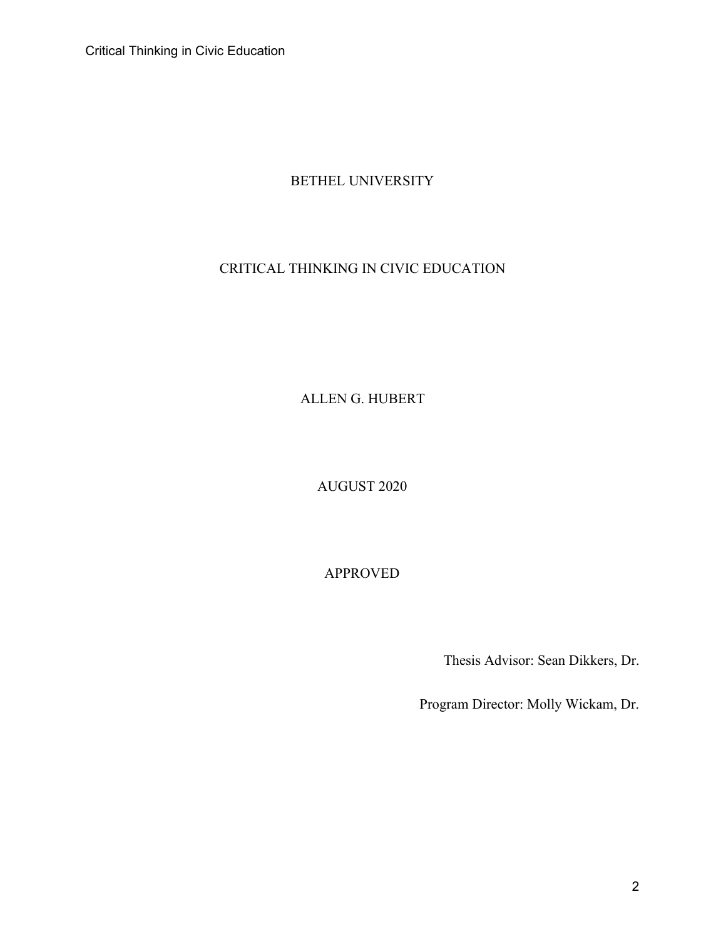BETHEL UNIVERSITY

## CRITICAL THINKING IN CIVIC EDUCATION

ALLEN G. HUBERT

AUGUST 2020

APPROVED

Thesis Advisor: Sean Dikkers, Dr.

Program Director: Molly Wickam, Dr.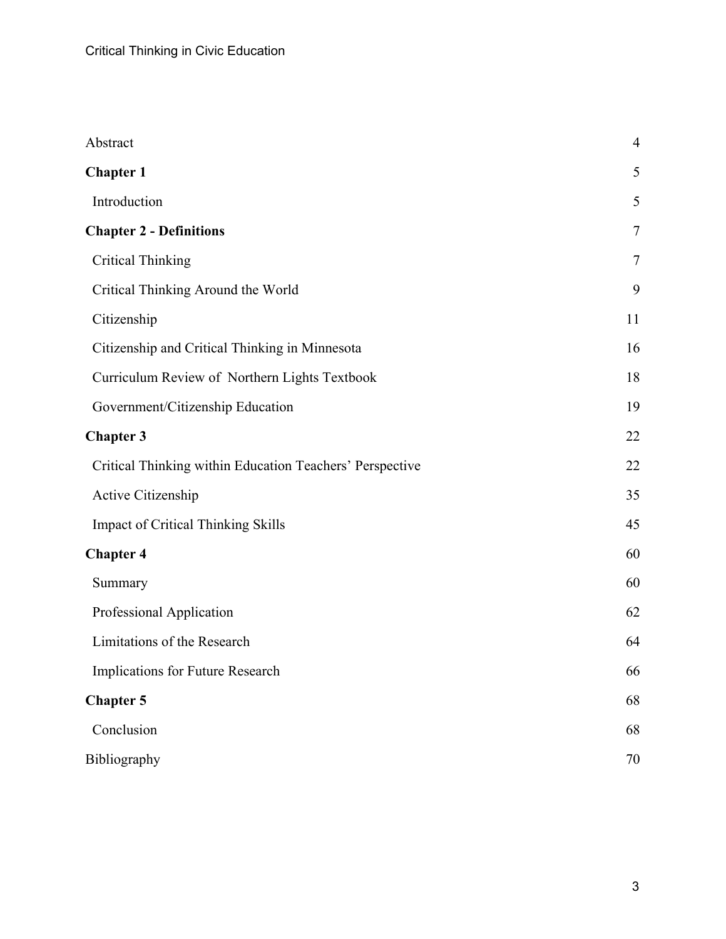| Abstract                                                 | $\overline{4}$ |
|----------------------------------------------------------|----------------|
| <b>Chapter 1</b>                                         | 5              |
| Introduction                                             | 5              |
| <b>Chapter 2 - Definitions</b>                           | $\overline{7}$ |
| <b>Critical Thinking</b>                                 | 7              |
| Critical Thinking Around the World                       | 9              |
| Citizenship                                              | 11             |
| Citizenship and Critical Thinking in Minnesota           | 16             |
| Curriculum Review of Northern Lights Textbook            | 18             |
| Government/Citizenship Education                         | 19             |
| <b>Chapter 3</b>                                         | 22             |
| Critical Thinking within Education Teachers' Perspective | 22             |
| Active Citizenship                                       | 35             |
| <b>Impact of Critical Thinking Skills</b>                | 45             |
| <b>Chapter 4</b>                                         | 60             |
| Summary                                                  | 60             |
| Professional Application                                 | 62             |
| Limitations of the Research                              | 64             |
| Implications for Future Research                         | 66             |
| <b>Chapter 5</b>                                         | 68             |
| Conclusion                                               | 68             |
| Bibliography                                             | $70\,$         |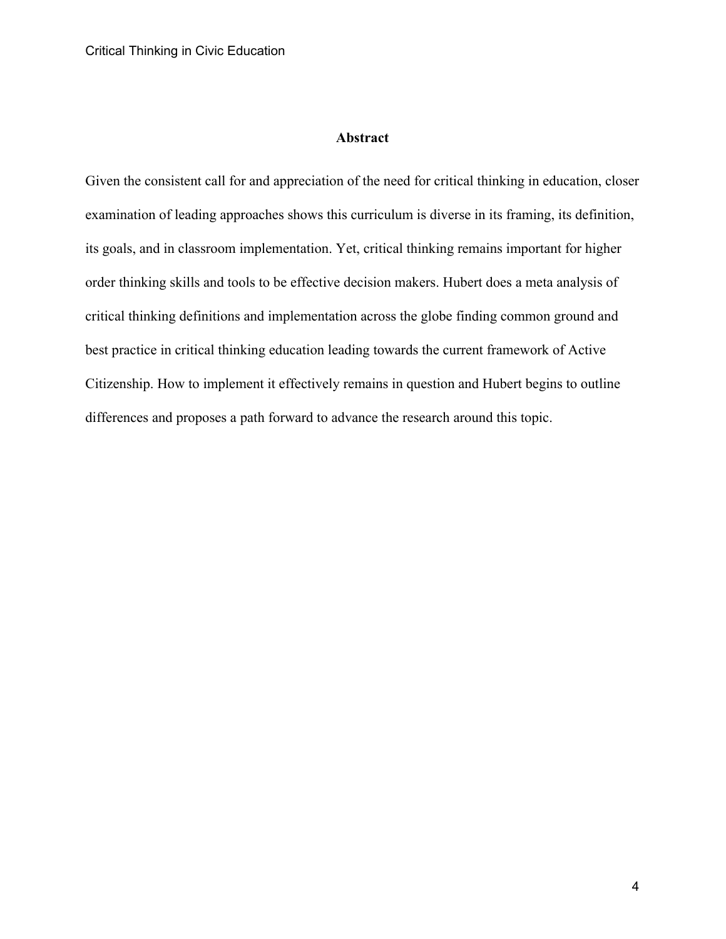### **Abstract**

<span id="page-4-0"></span>Given the consistent call for and appreciation of the need for critical thinking in education, closer examination of leading approaches shows this curriculum is diverse in its framing, its definition, its goals, and in classroom implementation. Yet, critical thinking remains important for higher order thinking skills and tools to be effective decision makers. Hubert does a meta analysis of critical thinking definitions and implementation across the globe finding common ground and best practice in critical thinking education leading towards the current framework of Active Citizenship. How to implement it effectively remains in question and Hubert begins to outline differences and proposes a path forward to advance the research around this topic.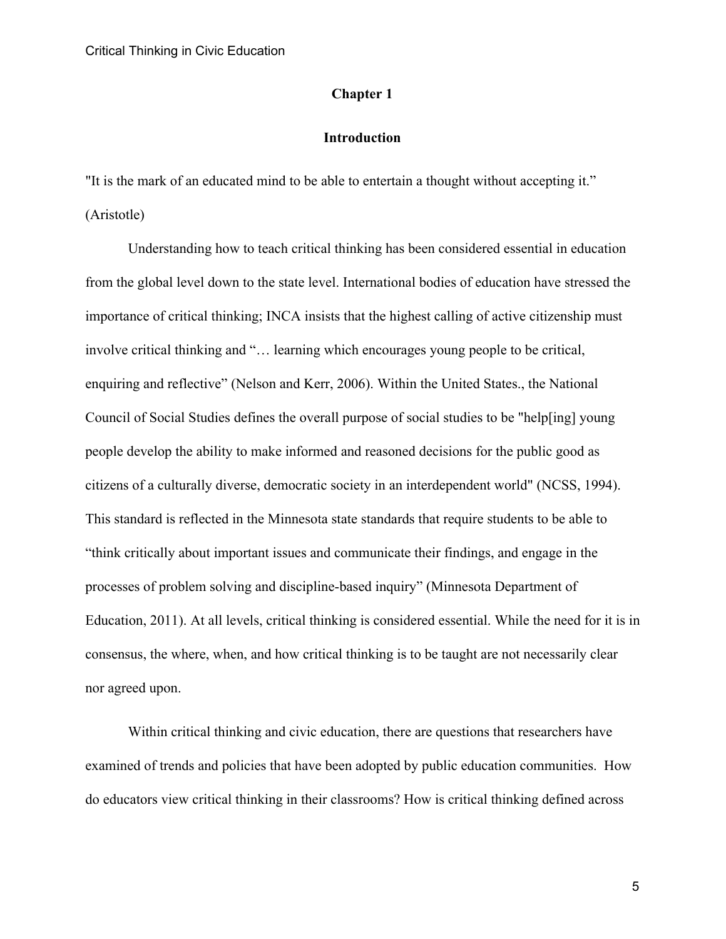#### **Chapter 1**

## **Introduction**

<span id="page-5-1"></span><span id="page-5-0"></span>"It is the mark of an educated mind to be able to entertain a thought without accepting it." (Aristotle)

Understanding how to teach critical thinking has been considered essential in education from the global level down to the state level. International bodies of education have stressed the importance of critical thinking; INCA insists that the highest calling of active citizenship must involve critical thinking and "… learning which encourages young people to be critical, enquiring and reflective" (Nelson and Kerr, 2006). Within the United States., the National Council of Social Studies defines the overall purpose of social studies to be "help[ing] young people develop the ability to make informed and reasoned decisions for the public good as citizens of a culturally diverse, democratic society in an interdependent world" (NCSS, 1994). This standard is reflected in the Minnesota state standards that require students to be able to "think critically about important issues and communicate their findings, and engage in the processes of problem solving and discipline-based inquiry" (Minnesota Department of Education, 2011). At all levels, critical thinking is considered essential. While the need for it is in consensus, the where, when, and how critical thinking is to be taught are not necessarily clear nor agreed upon.

Within critical thinking and civic education, there are questions that researchers have examined of trends and policies that have been adopted by public education communities. How do educators view critical thinking in their classrooms? How is critical thinking defined across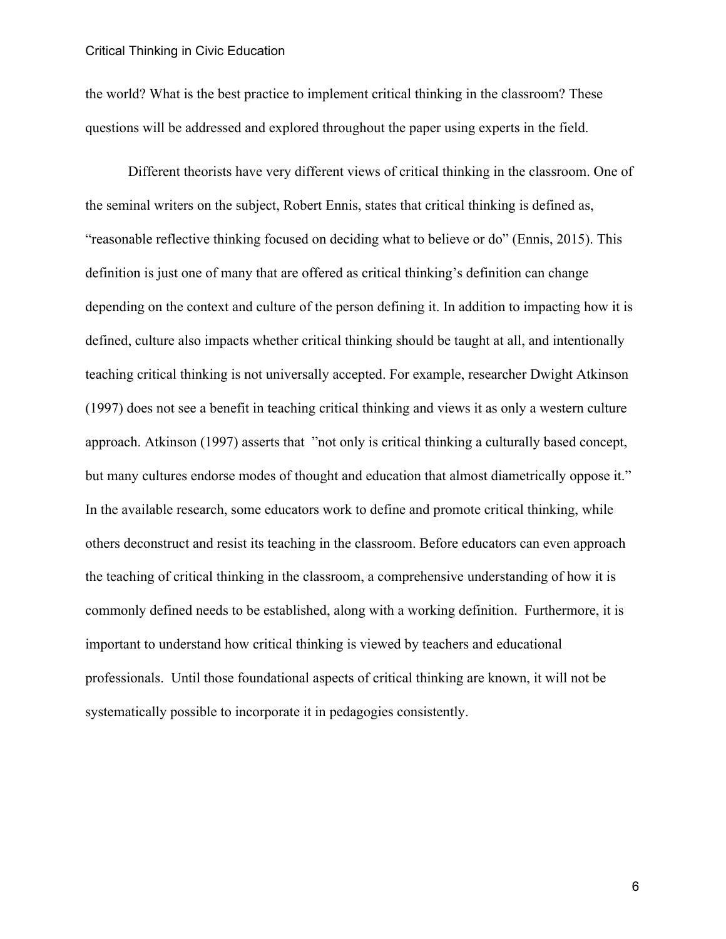the world? What is the best practice to implement critical thinking in the classroom? These questions will be addressed and explored throughout the paper using experts in the field.

Different theorists have very different views of critical thinking in the classroom. One of the seminal writers on the subject, Robert Ennis, states that critical thinking is defined as, "reasonable reflective thinking focused on deciding what to believe or do" (Ennis, 2015). This definition is just one of many that are offered as critical thinking's definition can change depending on the context and culture of the person defining it. In addition to impacting how it is defined, culture also impacts whether critical thinking should be taught at all, and intentionally teaching critical thinking is not universally accepted. For example, researcher Dwight Atkinson (1997) does not see a benefit in teaching critical thinking and views it as only a western culture approach. Atkinson (1997) asserts that "not only is critical thinking a culturally based concept, but many cultures endorse modes of thought and education that almost diametrically oppose it." In the available research, some educators work to define and promote critical thinking, while others deconstruct and resist its teaching in the classroom. Before educators can even approach the teaching of critical thinking in the classroom, a comprehensive understanding of how it is commonly defined needs to be established, along with a working definition. Furthermore, it is important to understand how critical thinking is viewed by teachers and educational professionals. Until those foundational aspects of critical thinking are known, it will not be systematically possible to incorporate it in pedagogies consistently.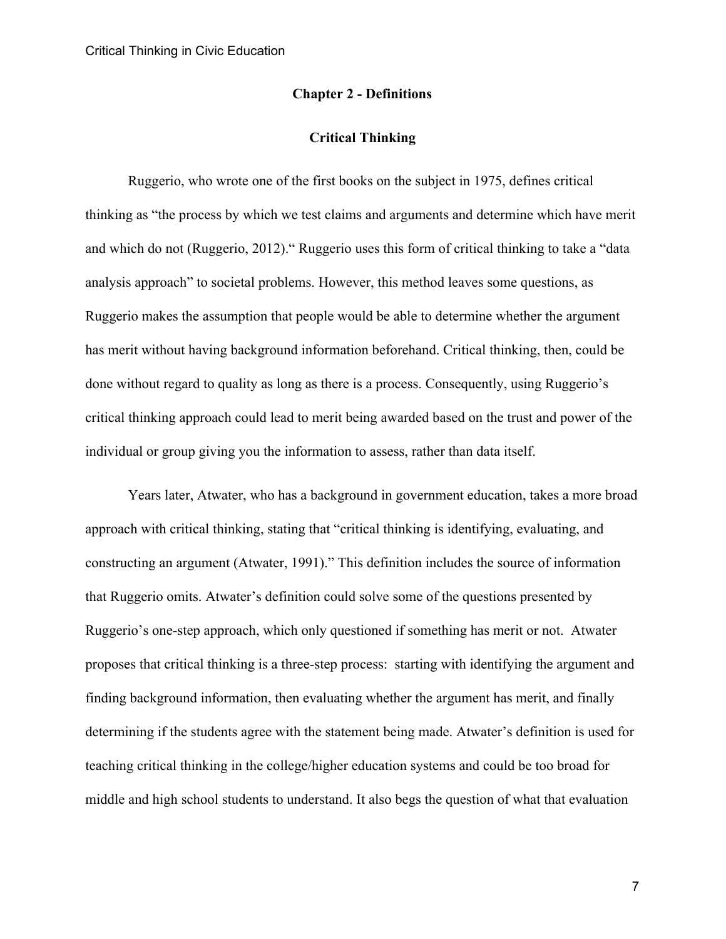#### **Chapter 2 - Definitions**

## **Critical Thinking**

<span id="page-7-1"></span><span id="page-7-0"></span>Ruggerio, who wrote one of the first books on the subject in 1975, defines critical thinking as "the process by which we test claims and arguments and determine which have merit and which do not (Ruggerio, 2012)." Ruggerio uses this form of critical thinking to take a "data analysis approach" to societal problems. However, this method leaves some questions, as Ruggerio makes the assumption that people would be able to determine whether the argument has merit without having background information beforehand. Critical thinking, then, could be done without regard to quality as long as there is a process. Consequently, using Ruggerio's critical thinking approach could lead to merit being awarded based on the trust and power of the individual or group giving you the information to assess, rather than data itself.

Years later, Atwater, who has a background in government education, takes a more broad approach with critical thinking, stating that "critical thinking is identifying, evaluating, and constructing an argument (Atwater, 1991)." This definition includes the source of information that Ruggerio omits. Atwater's definition could solve some of the questions presented by Ruggerio's one-step approach, which only questioned if something has merit or not. Atwater proposes that critical thinking is a three-step process: starting with identifying the argument and finding background information, then evaluating whether the argument has merit, and finally determining if the students agree with the statement being made. Atwater's definition is used for teaching critical thinking in the college/higher education systems and could be too broad for middle and high school students to understand. It also begs the question of what that evaluation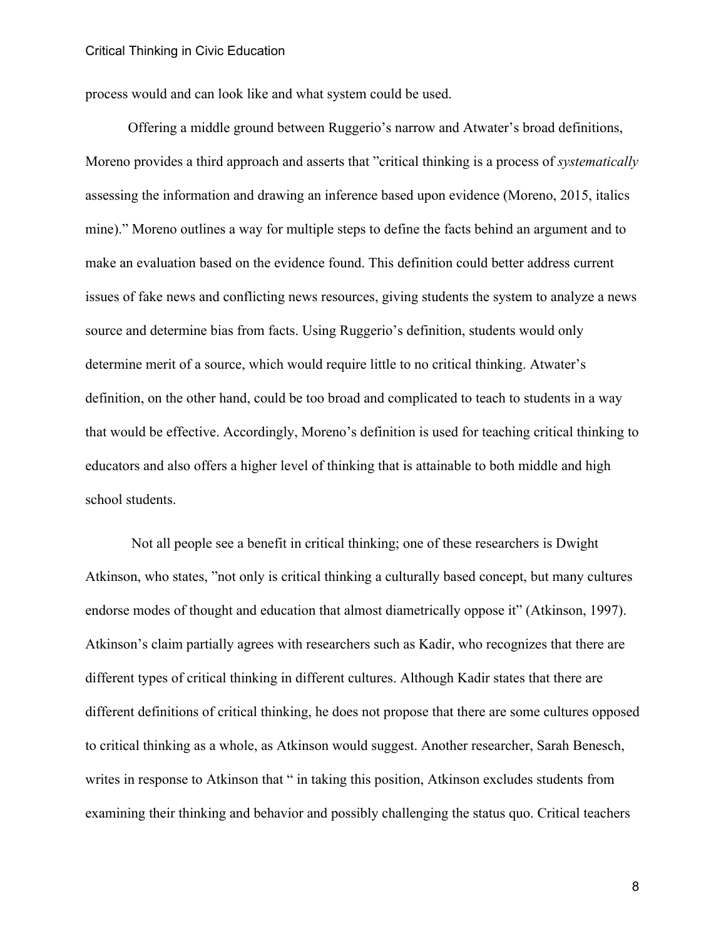process would and can look like and what system could be used.

Offering a middle ground between Ruggerio's narrow and Atwater's broad definitions, Moreno provides a third approach and asserts that "critical thinking is a process of *systematically* assessing the information and drawing an inference based upon evidence (Moreno, 2015, italics mine)." Moreno outlines a way for multiple steps to define the facts behind an argument and to make an evaluation based on the evidence found. This definition could better address current issues of fake news and conflicting news resources, giving students the system to analyze a news source and determine bias from facts. Using Ruggerio's definition, students would only determine merit of a source, which would require little to no critical thinking. Atwater's definition, on the other hand, could be too broad and complicated to teach to students in a way that would be effective. Accordingly, Moreno's definition is used for teaching critical thinking to educators and also offers a higher level of thinking that is attainable to both middle and high school students.

 Not all people see a benefit in critical thinking; one of these researchers is Dwight Atkinson, who states, "not only is critical thinking a culturally based concept, but many cultures endorse modes of thought and education that almost diametrically oppose it" (Atkinson, 1997). Atkinson's claim partially agrees with researchers such as Kadir, who recognizes that there are different types of critical thinking in different cultures. Although Kadir states that there are different definitions of critical thinking, he does not propose that there are some cultures opposed to critical thinking as a whole, as Atkinson would suggest. Another researcher, Sarah Benesch, writes in response to Atkinson that " in taking this position, Atkinson excludes students from examining their thinking and behavior and possibly challenging the status quo. Critical teachers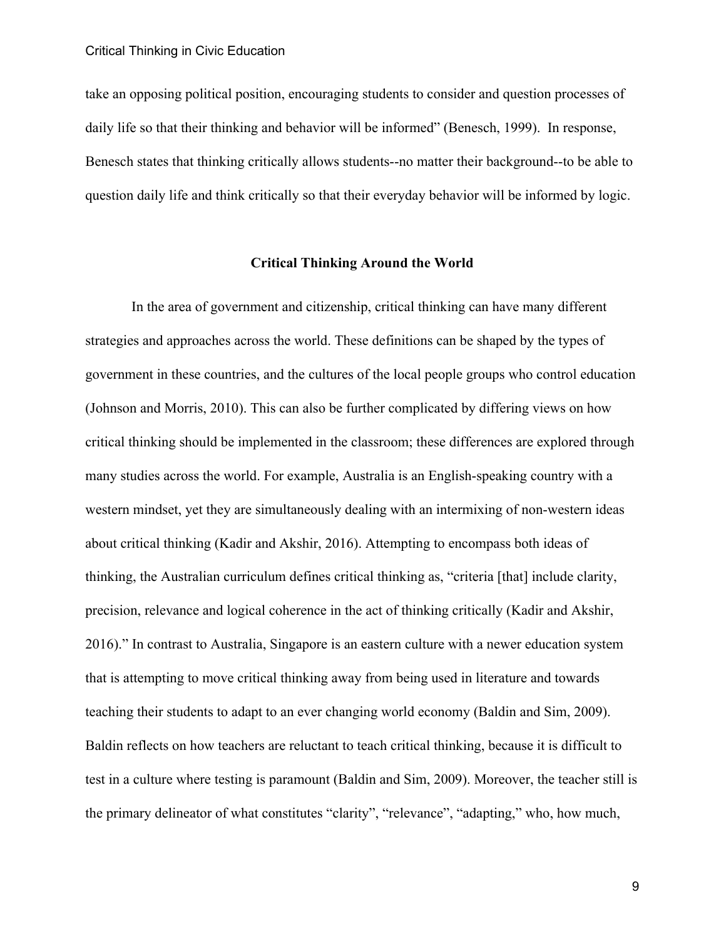take an opposing political position, encouraging students to consider and question processes of daily life so that their thinking and behavior will be informed" (Benesch, 1999). In response, Benesch states that thinking critically allows students--no matter their background--to be able to question daily life and think critically so that their everyday behavior will be informed by logic.

## **Critical Thinking Around the World**

<span id="page-9-0"></span> In the area of government and citizenship, critical thinking can have many different strategies and approaches across the world. These definitions can be shaped by the types of government in these countries, and the cultures of the local people groups who control education (Johnson and Morris, 2010). This can also be further complicated by differing views on how critical thinking should be implemented in the classroom; these differences are explored through many studies across the world. For example, Australia is an English-speaking country with a western mindset, yet they are simultaneously dealing with an intermixing of non-western ideas about critical thinking (Kadir and Akshir, 2016). Attempting to encompass both ideas of thinking, the Australian curriculum defines critical thinking as, "criteria [that] include clarity, precision, relevance and logical coherence in the act of thinking critically (Kadir and Akshir, 2016)." In contrast to Australia, Singapore is an eastern culture with a newer education system that is attempting to move critical thinking away from being used in literature and towards teaching their students to adapt to an ever changing world economy (Baldin and Sim, 2009). Baldin reflects on how teachers are reluctant to teach critical thinking, because it is difficult to test in a culture where testing is paramount (Baldin and Sim, 2009). Moreover, the teacher still is the primary delineator of what constitutes "clarity", "relevance", "adapting," who, how much,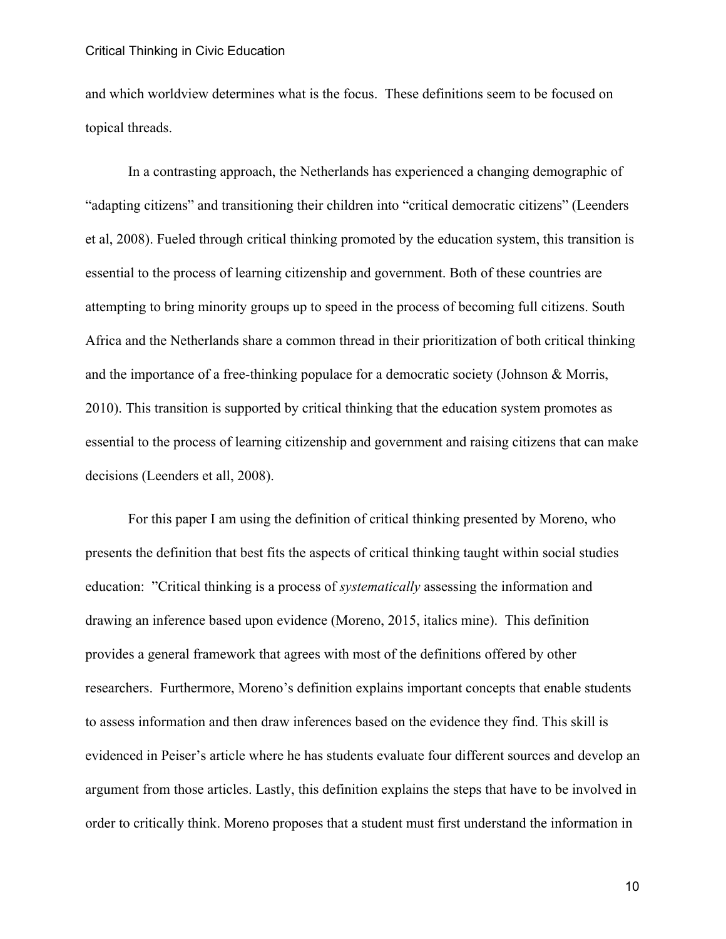and which worldview determines what is the focus. These definitions seem to be focused on topical threads.

In a contrasting approach, the Netherlands has experienced a changing demographic of "adapting citizens" and transitioning their children into "critical democratic citizens" (Leenders et al, 2008). Fueled through critical thinking promoted by the education system, this transition is essential to the process of learning citizenship and government. Both of these countries are attempting to bring minority groups up to speed in the process of becoming full citizens. South Africa and the Netherlands share a common thread in their prioritization of both critical thinking and the importance of a free-thinking populace for a democratic society (Johnson & Morris, 2010). This transition is supported by critical thinking that the education system promotes as essential to the process of learning citizenship and government and raising citizens that can make decisions (Leenders et all, 2008).

For this paper I am using the definition of critical thinking presented by Moreno, who presents the definition that best fits the aspects of critical thinking taught within social studies education: "Critical thinking is a process of *systematically* assessing the information and drawing an inference based upon evidence (Moreno, 2015, italics mine). This definition provides a general framework that agrees with most of the definitions offered by other researchers. Furthermore, Moreno's definition explains important concepts that enable students to assess information and then draw inferences based on the evidence they find. This skill is evidenced in Peiser's article where he has students evaluate four different sources and develop an argument from those articles. Lastly, this definition explains the steps that have to be involved in order to critically think. Moreno proposes that a student must first understand the information in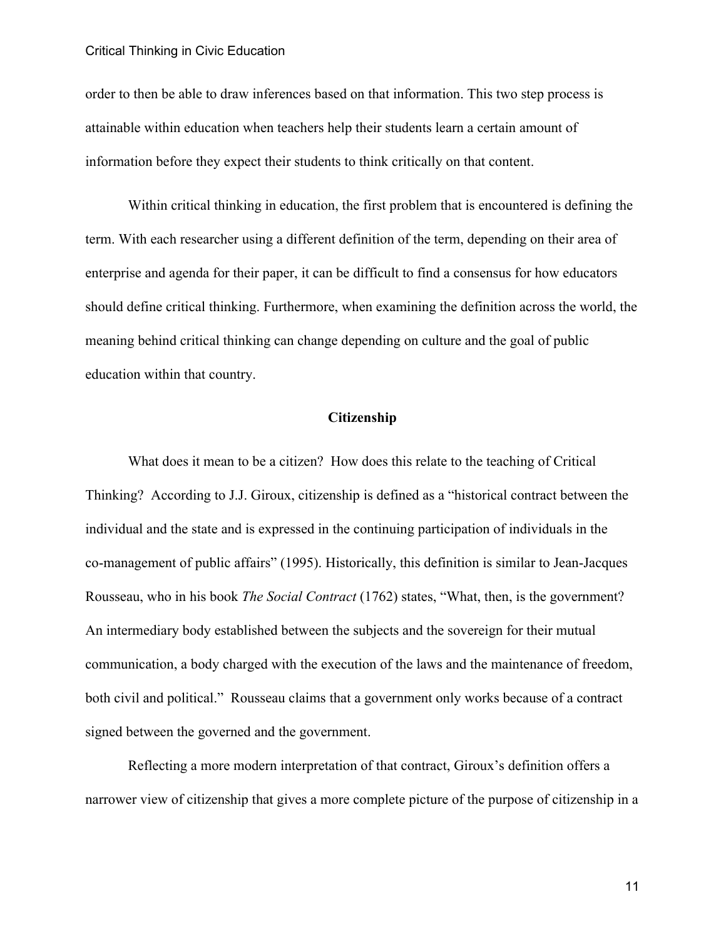order to then be able to draw inferences based on that information. This two step process is attainable within education when teachers help their students learn a certain amount of information before they expect their students to think critically on that content.

Within critical thinking in education, the first problem that is encountered is defining the term. With each researcher using a different definition of the term, depending on their area of enterprise and agenda for their paper, it can be difficult to find a consensus for how educators should define critical thinking. Furthermore, when examining the definition across the world, the meaning behind critical thinking can change depending on culture and the goal of public education within that country.

## **Citizenship**

<span id="page-11-0"></span>What does it mean to be a citizen? How does this relate to the teaching of Critical Thinking? According to J.J. Giroux, citizenship is defined as a "historical contract between the individual and the state and is expressed in the continuing participation of individuals in the co-management of public affairs" (1995). Historically, this definition is similar to Jean-Jacques Rousseau, who in his book *The Social Contract* (1762) states, "What, then, is the government? An intermediary body established between the subjects and the sovereign for their mutual communication, a body charged with the execution of the laws and the maintenance of freedom, both civil and political." Rousseau claims that a government only works because of a contract signed between the governed and the government.

Reflecting a more modern interpretation of that contract, Giroux's definition offers a narrower view of citizenship that gives a more complete picture of the purpose of citizenship in a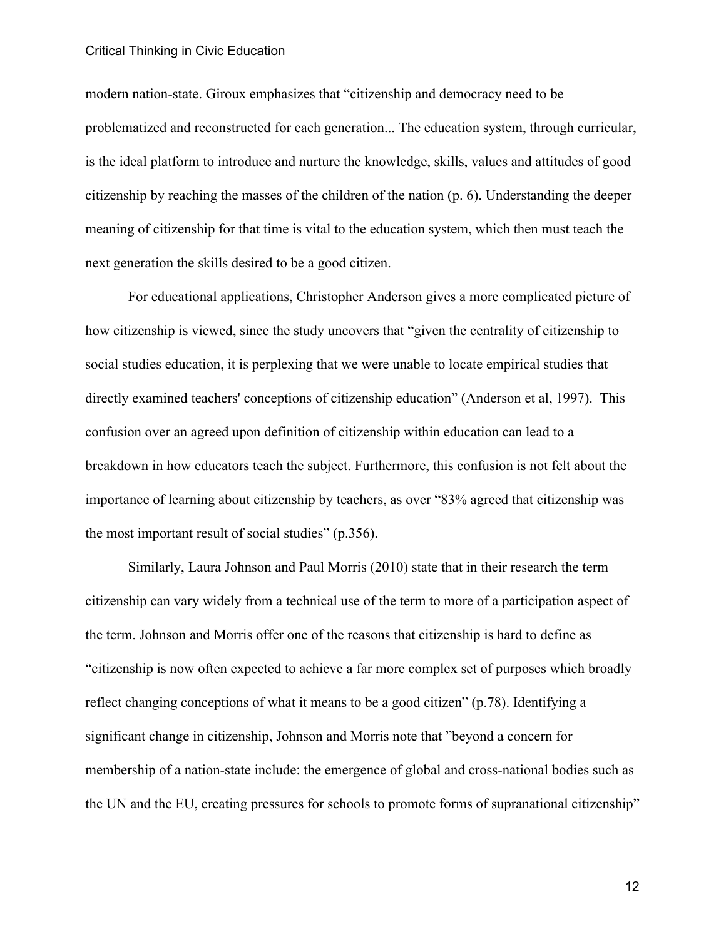modern nation-state. Giroux emphasizes that "citizenship and democracy need to be problematized and reconstructed for each generation... The education system, through curricular, is the ideal platform to introduce and nurture the knowledge, skills, values and attitudes of good citizenship by reaching the masses of the children of the nation (p. 6). Understanding the deeper meaning of citizenship for that time is vital to the education system, which then must teach the next generation the skills desired to be a good citizen.

For educational applications, Christopher Anderson gives a more complicated picture of how citizenship is viewed, since the study uncovers that "given the centrality of citizenship to social studies education, it is perplexing that we were unable to locate empirical studies that directly examined teachers' conceptions of citizenship education" (Anderson et al, 1997). This confusion over an agreed upon definition of citizenship within education can lead to a breakdown in how educators teach the subject. Furthermore, this confusion is not felt about the importance of learning about citizenship by teachers, as over "83% agreed that citizenship was the most important result of social studies" (p.356).

Similarly, Laura Johnson and Paul Morris (2010) state that in their research the term citizenship can vary widely from a technical use of the term to more of a participation aspect of the term. Johnson and Morris offer one of the reasons that citizenship is hard to define as "citizenship is now often expected to achieve a far more complex set of purposes which broadly reflect changing conceptions of what it means to be a good citizen" (p.78). Identifying a significant change in citizenship, Johnson and Morris note that "beyond a concern for membership of a nation-state include: the emergence of global and cross-national bodies such as the UN and the EU, creating pressures for schools to promote forms of supranational citizenship"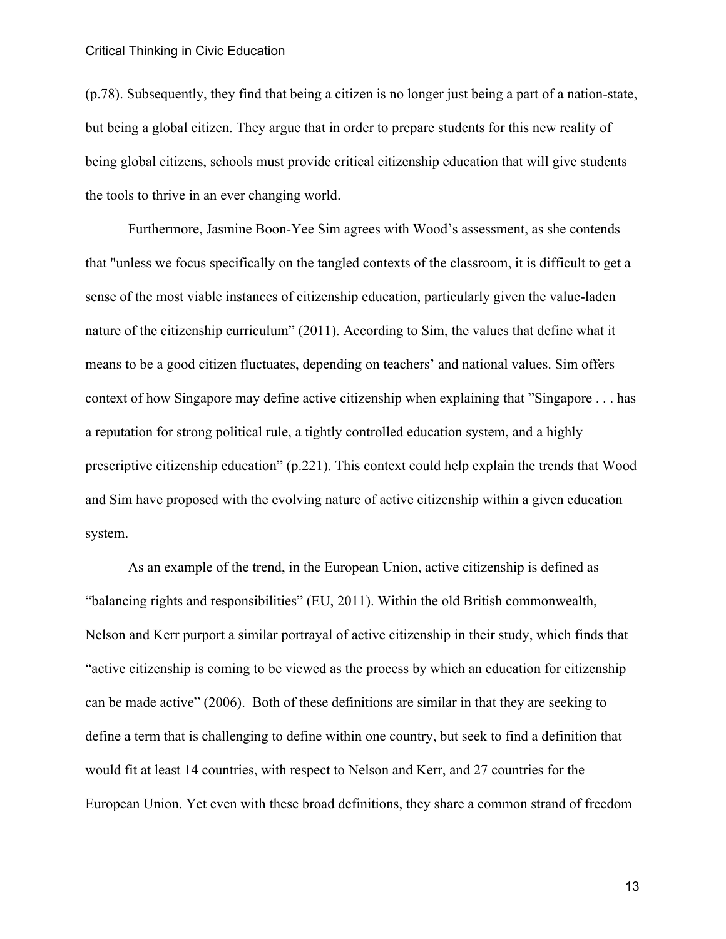(p.78). Subsequently, they find that being a citizen is no longer just being a part of a nation-state, but being a global citizen. They argue that in order to prepare students for this new reality of being global citizens, schools must provide critical citizenship education that will give students the tools to thrive in an ever changing world.

Furthermore, Jasmine Boon-Yee Sim agrees with Wood's assessment, as she contends that "unless we focus specifically on the tangled contexts of the classroom, it is difficult to get a sense of the most viable instances of citizenship education, particularly given the value-laden nature of the citizenship curriculum" (2011). According to Sim, the values that define what it means to be a good citizen fluctuates, depending on teachers' and national values. Sim offers context of how Singapore may define active citizenship when explaining that "Singapore . . . has a reputation for strong political rule, a tightly controlled education system, and a highly prescriptive citizenship education" (p.221). This context could help explain the trends that Wood and Sim have proposed with the evolving nature of active citizenship within a given education system.

As an example of the trend, in the European Union, active citizenship is defined as "balancing rights and responsibilities" (EU, 2011). Within the old British commonwealth, Nelson and Kerr purport a similar portrayal of active citizenship in their study, which finds that "active citizenship is coming to be viewed as the process by which an education for citizenship can be made active" (2006). Both of these definitions are similar in that they are seeking to define a term that is challenging to define within one country, but seek to find a definition that would fit at least 14 countries, with respect to Nelson and Kerr, and 27 countries for the European Union. Yet even with these broad definitions, they share a common strand of freedom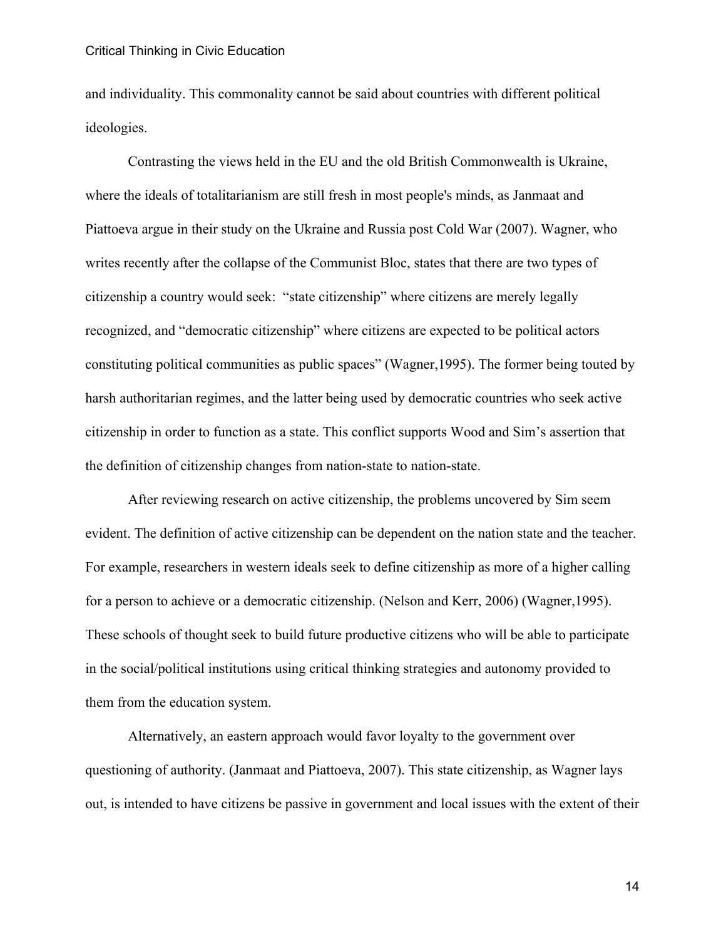and individuality. This commonality cannot be said about countries with different political ideologies.

Contrasting the views held in the EU and the old British Commonwealth is Ukraine, where the ideals of totalitarianism are still fresh in most people's minds, as Janmaat and Piattoeva argue in their study on the Ukraine and Russia post Cold War (2007). Wagner, who writes recently after the collapse of the Communist Bloc, states that there are two types of citizenship a country would seek: "state citizenship" where citizens are merely legally recognized, and "democratic citizenship" where citizens are expected to be political actors constituting political communities as public spaces" (Wagner,1995). The former being touted by harsh authoritarian regimes, and the latter being used by democratic countries who seek active citizenship in order to function as a state. This conflict supports Wood and Sim's assertion that the definition of citizenship changes from nation-state to nation-state.

After reviewing research on active citizenship, the problems uncovered by Sim seem evident. The definition of active citizenship can be dependent on the nation state and the teacher. For example, researchers in western ideals seek to define citizenship as more of a higher calling for a person to achieve or a democratic citizenship. (Nelson and Kerr, 2006) (Wagner,1995). These schools of thought seek to build future productive citizens who will be able to participate in the social/political institutions using critical thinking strategies and autonomy provided to them from the education system.

Alternatively, an eastern approach would favor loyalty to the government over questioning of authority. (Janmaat and Piattoeva, 2007). This state citizenship, as Wagner lays out, is intended to have citizens be passive in government and local issues with the extent of their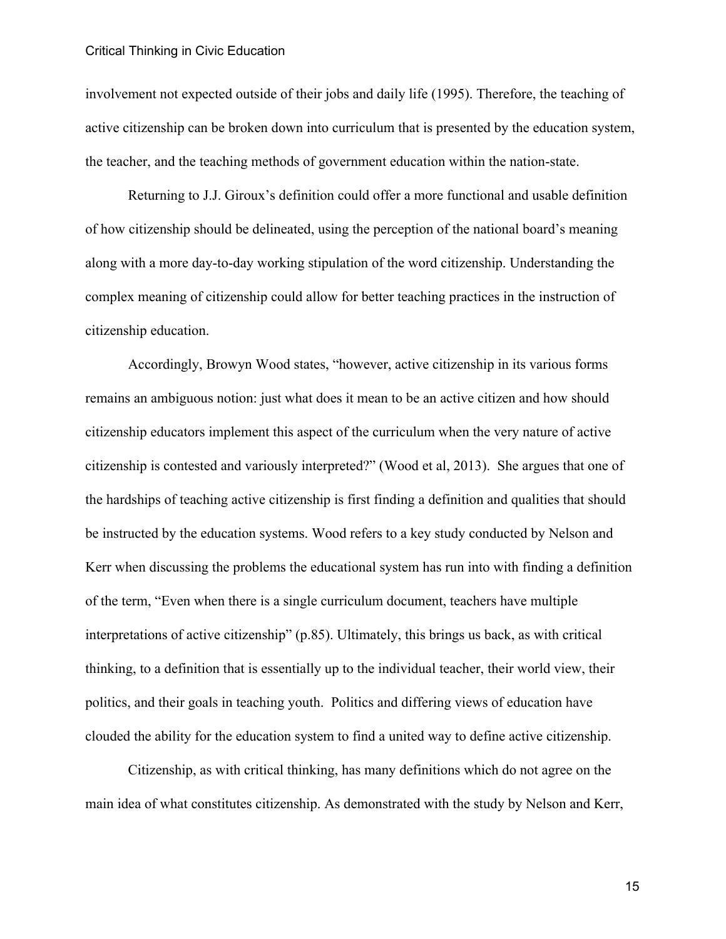involvement not expected outside of their jobs and daily life (1995). Therefore, the teaching of active citizenship can be broken down into curriculum that is presented by the education system, the teacher, and the teaching methods of government education within the nation-state.

Returning to J.J. Giroux's definition could offer a more functional and usable definition of how citizenship should be delineated, using the perception of the national board's meaning along with a more day-to-day working stipulation of the word citizenship. Understanding the complex meaning of citizenship could allow for better teaching practices in the instruction of citizenship education.

Accordingly, Browyn Wood states, "however, active citizenship in its various forms remains an ambiguous notion: just what does it mean to be an active citizen and how should citizenship educators implement this aspect of the curriculum when the very nature of active citizenship is contested and variously interpreted?" (Wood et al, 2013). She argues that one of the hardships of teaching active citizenship is first finding a definition and qualities that should be instructed by the education systems. Wood refers to a key study conducted by Nelson and Kerr when discussing the problems the educational system has run into with finding a definition of the term, "Even when there is a single curriculum document, teachers have multiple interpretations of active citizenship" (p.85). Ultimately, this brings us back, as with critical thinking, to a definition that is essentially up to the individual teacher, their world view, their politics, and their goals in teaching youth. Politics and differing views of education have clouded the ability for the education system to find a united way to define active citizenship.

Citizenship, as with critical thinking, has many definitions which do not agree on the main idea of what constitutes citizenship. As demonstrated with the study by Nelson and Kerr,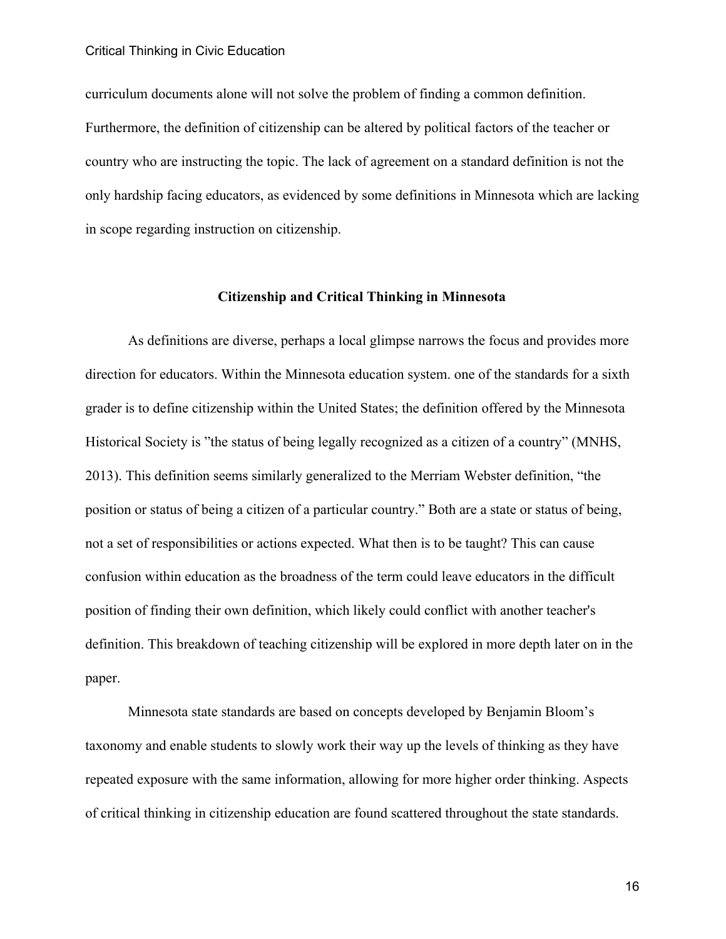curriculum documents alone will not solve the problem of finding a common definition. Furthermore, the definition of citizenship can be altered by political factors of the teacher or country who are instructing the topic. The lack of agreement on a standard definition is not the only hardship facing educators, as evidenced by some definitions in Minnesota which are lacking in scope regarding instruction on citizenship.

## **Citizenship and Critical Thinking in Minnesota**

<span id="page-16-0"></span>As definitions are diverse, perhaps a local glimpse narrows the focus and provides more direction for educators. Within the Minnesota education system. one of the standards for a sixth grader is to define citizenship within the United States; the definition offered by the Minnesota Historical Society is "the status of being legally recognized as a citizen of a country" (MNHS, 2013). This definition seems similarly generalized to the Merriam Webster definition, "the position or status of being a citizen of a particular country." Both are a state or status of being, not a set of responsibilities or actions expected. What then is to be taught? This can cause confusion within education as the broadness of the term could leave educators in the difficult position of finding their own definition, which likely could conflict with another teacher's definition. This breakdown of teaching citizenship will be explored in more depth later on in the paper.

Minnesota state standards are based on concepts developed by Benjamin Bloom's taxonomy and enable students to slowly work their way up the levels of thinking as they have repeated exposure with the same information, allowing for more higher order thinking. Aspects of critical thinking in citizenship education are found scattered throughout the state standards.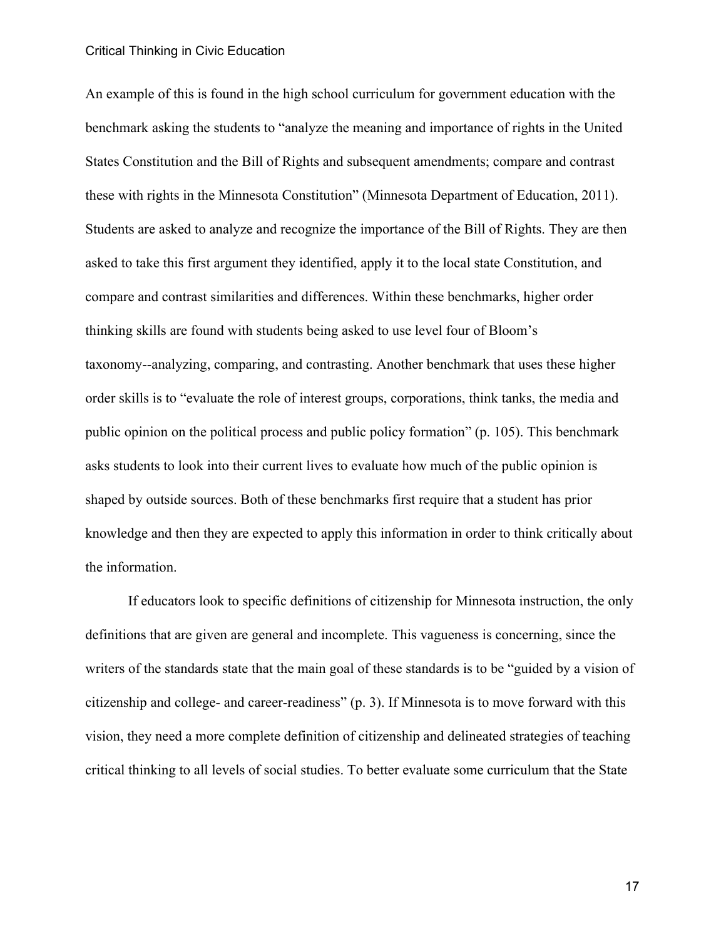An example of this is found in the high school curriculum for government education with the benchmark asking the students to "analyze the meaning and importance of rights in the United States Constitution and the Bill of Rights and subsequent amendments; compare and contrast these with rights in the Minnesota Constitution" (Minnesota Department of Education, 2011). Students are asked to analyze and recognize the importance of the Bill of Rights. They are then asked to take this first argument they identified, apply it to the local state Constitution, and compare and contrast similarities and differences. Within these benchmarks, higher order thinking skills are found with students being asked to use level four of Bloom's taxonomy--analyzing, comparing, and contrasting. Another benchmark that uses these higher order skills is to "evaluate the role of interest groups, corporations, think tanks, the media and public opinion on the political process and public policy formation" (p. 105). This benchmark asks students to look into their current lives to evaluate how much of the public opinion is shaped by outside sources. Both of these benchmarks first require that a student has prior knowledge and then they are expected to apply this information in order to think critically about the information.

If educators look to specific definitions of citizenship for Minnesota instruction, the only definitions that are given are general and incomplete. This vagueness is concerning, since the writers of the standards state that the main goal of these standards is to be "guided by a vision of citizenship and college- and career-readiness" (p. 3). If Minnesota is to move forward with this vision, they need a more complete definition of citizenship and delineated strategies of teaching critical thinking to all levels of social studies. To better evaluate some curriculum that the State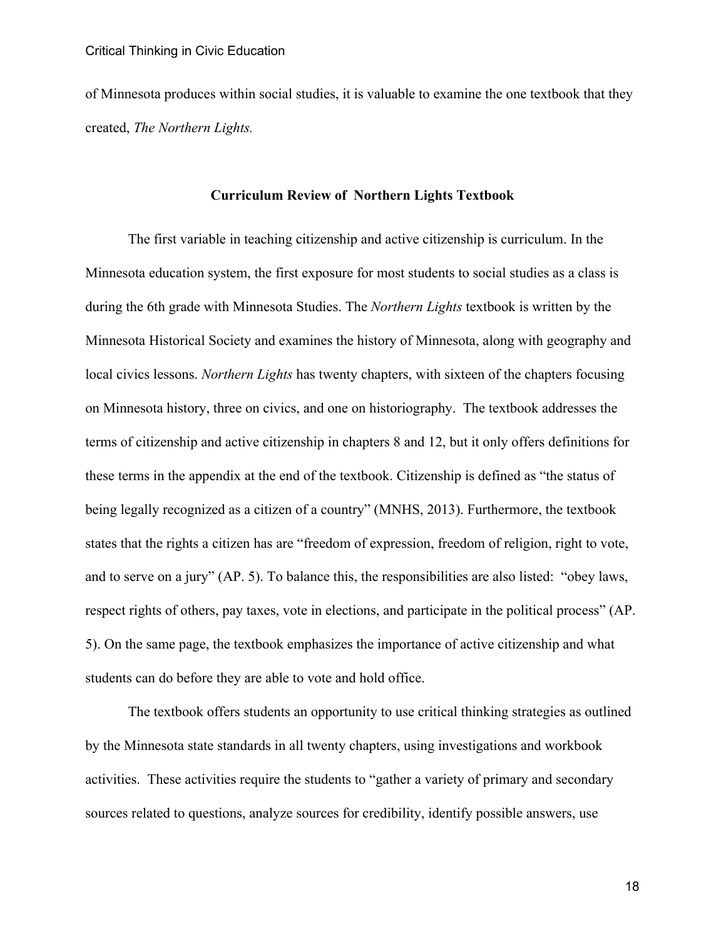of Minnesota produces within social studies, it is valuable to examine the one textbook that they created, *The Northern Lights.*

## **Curriculum Review of Northern Lights Textbook**

<span id="page-18-0"></span>The first variable in teaching citizenship and active citizenship is curriculum. In the Minnesota education system, the first exposure for most students to social studies as a class is during the 6th grade with Minnesota Studies. The *Northern Lights* textbook is written by the Minnesota Historical Society and examines the history of Minnesota, along with geography and local civics lessons. *Northern Lights* has twenty chapters, with sixteen of the chapters focusing on Minnesota history, three on civics, and one on historiography. The textbook addresses the terms of citizenship and active citizenship in chapters 8 and 12, but it only offers definitions for these terms in the appendix at the end of the textbook. Citizenship is defined as "the status of being legally recognized as a citizen of a country" (MNHS, 2013). Furthermore, the textbook states that the rights a citizen has are "freedom of expression, freedom of religion, right to vote, and to serve on a jury" (AP. 5). To balance this, the responsibilities are also listed: "obey laws, respect rights of others, pay taxes, vote in elections, and participate in the political process" (AP. 5). On the same page, the textbook emphasizes the importance of active citizenship and what students can do before they are able to vote and hold office.

The textbook offers students an opportunity to use critical thinking strategies as outlined by the Minnesota state standards in all twenty chapters, using investigations and workbook activities. These activities require the students to "gather a variety of primary and secondary sources related to questions, analyze sources for credibility, identify possible answers, use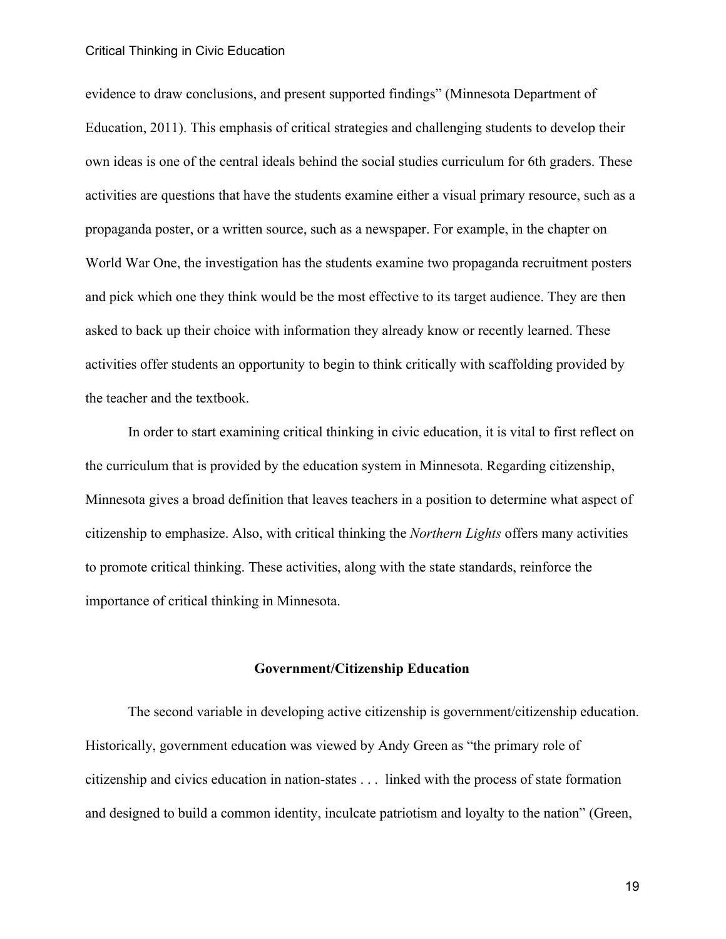evidence to draw conclusions, and present supported findings" (Minnesota Department of Education, 2011). This emphasis of critical strategies and challenging students to develop their own ideas is one of the central ideals behind the social studies curriculum for 6th graders. These activities are questions that have the students examine either a visual primary resource, such as a propaganda poster, or a written source, such as a newspaper. For example, in the chapter on World War One, the investigation has the students examine two propaganda recruitment posters and pick which one they think would be the most effective to its target audience. They are then asked to back up their choice with information they already know or recently learned. These activities offer students an opportunity to begin to think critically with scaffolding provided by the teacher and the textbook.

In order to start examining critical thinking in civic education, it is vital to first reflect on the curriculum that is provided by the education system in Minnesota. Regarding citizenship, Minnesota gives a broad definition that leaves teachers in a position to determine what aspect of citizenship to emphasize. Also, with critical thinking the *Northern Lights* offers many activities to promote critical thinking. These activities, along with the state standards, reinforce the importance of critical thinking in Minnesota.

### **Government/Citizenship Education**

<span id="page-19-0"></span>The second variable in developing active citizenship is government/citizenship education. Historically, government education was viewed by Andy Green as "the primary role of citizenship and civics education in nation-states . . . linked with the process of state formation and designed to build a common identity, inculcate patriotism and loyalty to the nation" (Green,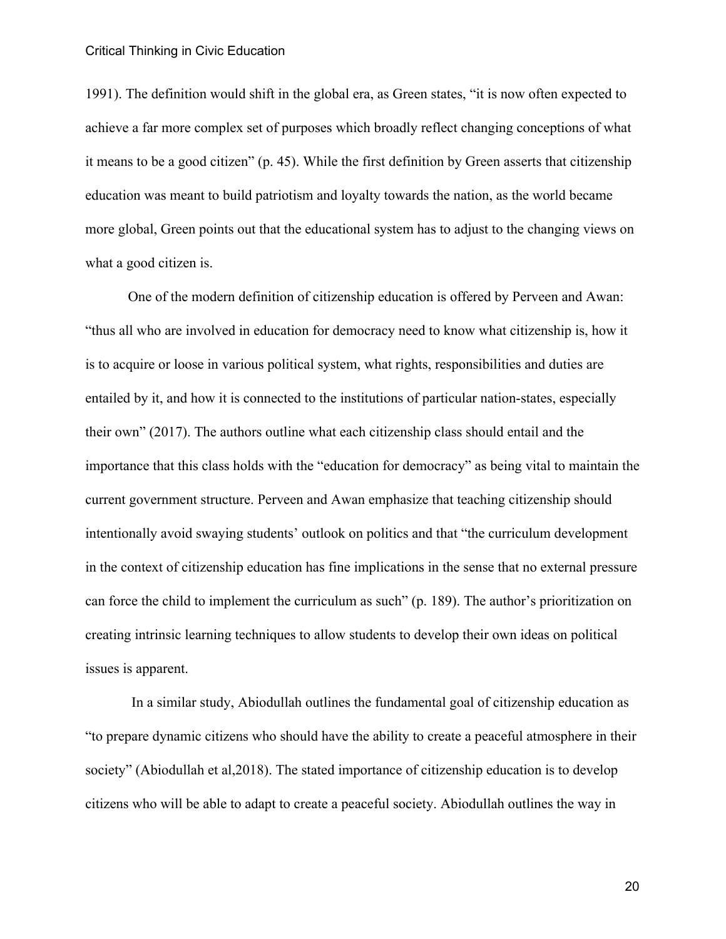1991). The definition would shift in the global era, as Green states, "it is now often expected to achieve a far more complex set of purposes which broadly reflect changing conceptions of what it means to be a good citizen" (p. 45). While the first definition by Green asserts that citizenship education was meant to build patriotism and loyalty towards the nation, as the world became more global, Green points out that the educational system has to adjust to the changing views on what a good citizen is.

One of the modern definition of citizenship education is offered by Perveen and Awan: "thus all who are involved in education for democracy need to know what citizenship is, how it is to acquire or loose in various political system, what rights, responsibilities and duties are entailed by it, and how it is connected to the institutions of particular nation-states, especially their own" (2017). The authors outline what each citizenship class should entail and the importance that this class holds with the "education for democracy" as being vital to maintain the current government structure. Perveen and Awan emphasize that teaching citizenship should intentionally avoid swaying students' outlook on politics and that "the curriculum development in the context of citizenship education has fine implications in the sense that no external pressure can force the child to implement the curriculum as such" (p. 189). The author's prioritization on creating intrinsic learning techniques to allow students to develop their own ideas on political issues is apparent.

 In a similar study, Abiodullah outlines the fundamental goal of citizenship education as "to prepare dynamic citizens who should have the ability to create a peaceful atmosphere in their society" (Abiodullah et al,2018). The stated importance of citizenship education is to develop citizens who will be able to adapt to create a peaceful society. Abiodullah outlines the way in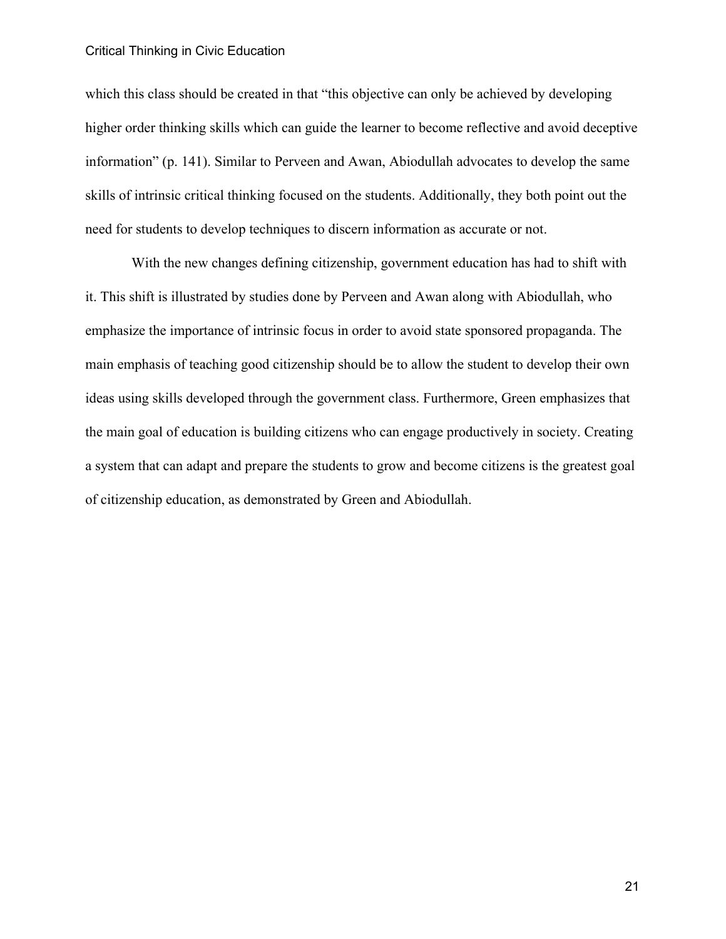which this class should be created in that "this objective can only be achieved by developing higher order thinking skills which can guide the learner to become reflective and avoid deceptive information" (p. 141). Similar to Perveen and Awan, Abiodullah advocates to develop the same skills of intrinsic critical thinking focused on the students. Additionally, they both point out the need for students to develop techniques to discern information as accurate or not.

 With the new changes defining citizenship, government education has had to shift with it. This shift is illustrated by studies done by Perveen and Awan along with Abiodullah, who emphasize the importance of intrinsic focus in order to avoid state sponsored propaganda. The main emphasis of teaching good citizenship should be to allow the student to develop their own ideas using skills developed through the government class. Furthermore, Green emphasizes that the main goal of education is building citizens who can engage productively in society. Creating a system that can adapt and prepare the students to grow and become citizens is the greatest goal of citizenship education, as demonstrated by Green and Abiodullah.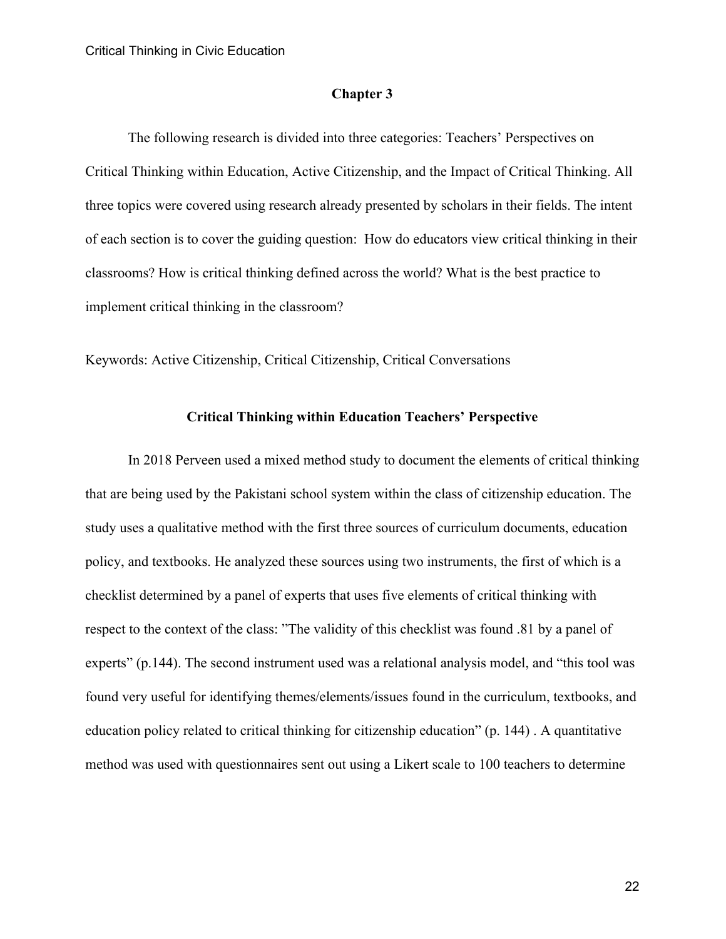#### **Chapter 3**

<span id="page-22-0"></span>The following research is divided into three categories: Teachers' Perspectives on Critical Thinking within Education, Active Citizenship, and the Impact of Critical Thinking. All three topics were covered using research already presented by scholars in their fields. The intent of each section is to cover the guiding question: How do educators view critical thinking in their classrooms? How is critical thinking defined across the world? What is the best practice to implement critical thinking in the classroom?

Keywords: Active Citizenship, Critical Citizenship, Critical Conversations

### **Critical Thinking within Education Teachers' Perspective**

<span id="page-22-1"></span>In 2018 Perveen used a mixed method study to document the elements of critical thinking that are being used by the Pakistani school system within the class of citizenship education. The study uses a qualitative method with the first three sources of curriculum documents, education policy, and textbooks. He analyzed these sources using two instruments, the first of which is a checklist determined by a panel of experts that uses five elements of critical thinking with respect to the context of the class: "The validity of this checklist was found .81 by a panel of experts" (p.144). The second instrument used was a relational analysis model, and "this tool was found very useful for identifying themes/elements/issues found in the curriculum, textbooks, and education policy related to critical thinking for citizenship education" (p. 144) . A quantitative method was used with questionnaires sent out using a Likert scale to 100 teachers to determine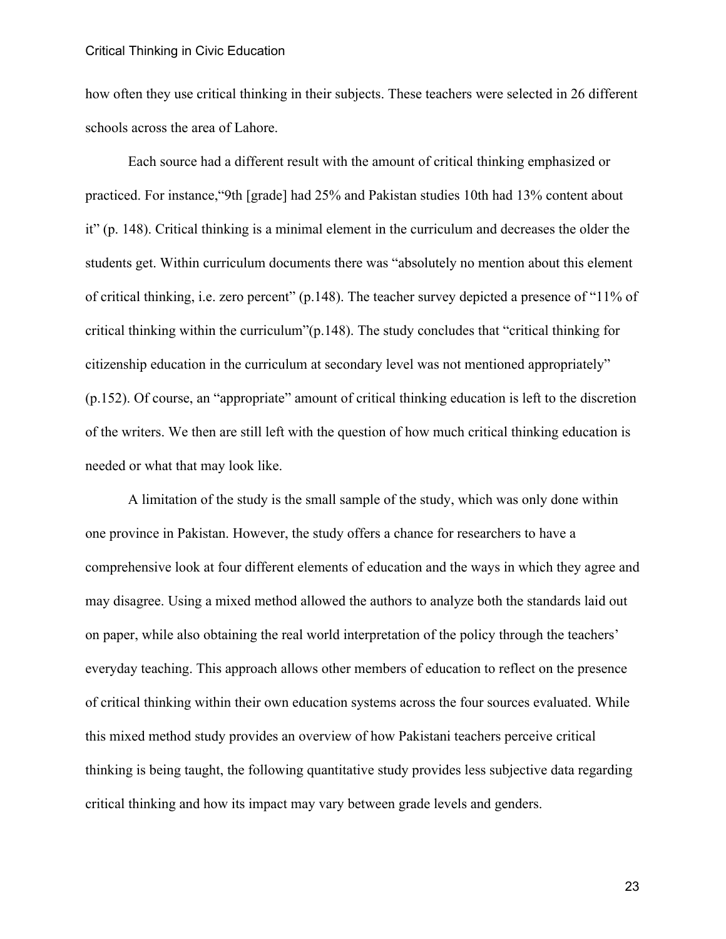how often they use critical thinking in their subjects. These teachers were selected in 26 different schools across the area of Lahore.

Each source had a different result with the amount of critical thinking emphasized or practiced. For instance,"9th [grade] had 25% and Pakistan studies 10th had 13% content about it" (p. 148). Critical thinking is a minimal element in the curriculum and decreases the older the students get. Within curriculum documents there was "absolutely no mention about this element of critical thinking, i.e. zero percent" (p.148). The teacher survey depicted a presence of "11% of critical thinking within the curriculum"(p.148). The study concludes that "critical thinking for citizenship education in the curriculum at secondary level was not mentioned appropriately" (p.152). Of course, an "appropriate" amount of critical thinking education is left to the discretion of the writers. We then are still left with the question of how much critical thinking education is needed or what that may look like.

A limitation of the study is the small sample of the study, which was only done within one province in Pakistan. However, the study offers a chance for researchers to have a comprehensive look at four different elements of education and the ways in which they agree and may disagree. Using a mixed method allowed the authors to analyze both the standards laid out on paper, while also obtaining the real world interpretation of the policy through the teachers' everyday teaching. This approach allows other members of education to reflect on the presence of critical thinking within their own education systems across the four sources evaluated. While this mixed method study provides an overview of how Pakistani teachers perceive critical thinking is being taught, the following quantitative study provides less subjective data regarding critical thinking and how its impact may vary between grade levels and genders.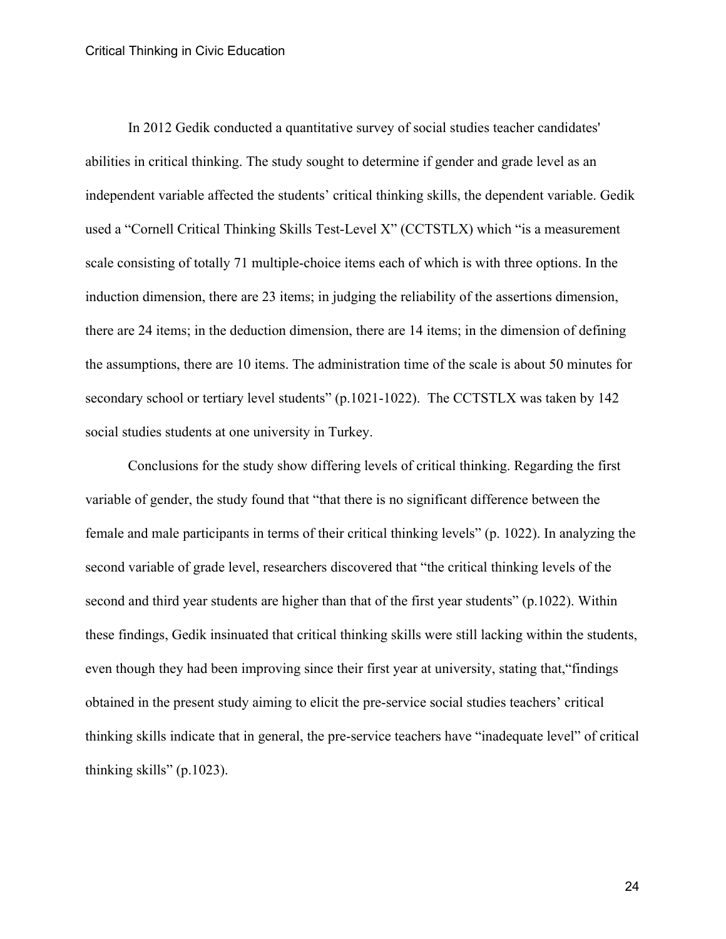In 2012 Gedik conducted a quantitative survey of social studies teacher candidates' abilities in critical thinking. The study sought to determine if gender and grade level as an independent variable affected the students' critical thinking skills, the dependent variable. Gedik used a "Cornell Critical Thinking Skills Test-Level X" (CCTSTLX) which "is a measurement scale consisting of totally 71 multiple-choice items each of which is with three options. In the induction dimension, there are 23 items; in judging the reliability of the assertions dimension, there are 24 items; in the deduction dimension, there are 14 items; in the dimension of defining the assumptions, there are 10 items. The administration time of the scale is about 50 minutes for secondary school or tertiary level students" (p.1021-1022). The CCTSTLX was taken by 142 social studies students at one university in Turkey.

Conclusions for the study show differing levels of critical thinking. Regarding the first variable of gender, the study found that "that there is no significant difference between the female and male participants in terms of their critical thinking levels" (p. 1022). In analyzing the second variable of grade level, researchers discovered that "the critical thinking levels of the second and third year students are higher than that of the first year students" (p.1022). Within these findings, Gedik insinuated that critical thinking skills were still lacking within the students, even though they had been improving since their first year at university, stating that,"findings obtained in the present study aiming to elicit the pre-service social studies teachers' critical thinking skills indicate that in general, the pre-service teachers have "inadequate level" of critical thinking skills" (p.1023).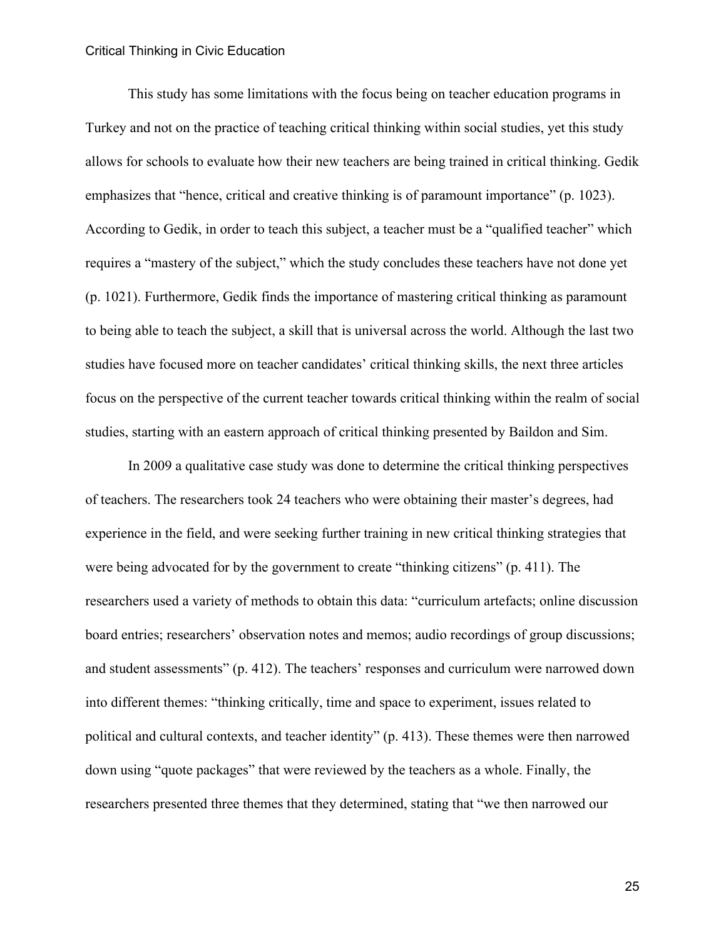This study has some limitations with the focus being on teacher education programs in Turkey and not on the practice of teaching critical thinking within social studies, yet this study allows for schools to evaluate how their new teachers are being trained in critical thinking. Gedik emphasizes that "hence, critical and creative thinking is of paramount importance" (p. 1023). According to Gedik, in order to teach this subject, a teacher must be a "qualified teacher" which requires a "mastery of the subject," which the study concludes these teachers have not done yet (p. 1021). Furthermore, Gedik finds the importance of mastering critical thinking as paramount to being able to teach the subject, a skill that is universal across the world. Although the last two studies have focused more on teacher candidates' critical thinking skills, the next three articles focus on the perspective of the current teacher towards critical thinking within the realm of social studies, starting with an eastern approach of critical thinking presented by Baildon and Sim.

In 2009 a qualitative case study was done to determine the critical thinking perspectives of teachers. The researchers took 24 teachers who were obtaining their master's degrees, had experience in the field, and were seeking further training in new critical thinking strategies that were being advocated for by the government to create "thinking citizens" (p. 411). The researchers used a variety of methods to obtain this data: "curriculum artefacts; online discussion board entries; researchers' observation notes and memos; audio recordings of group discussions; and student assessments" (p. 412). The teachers' responses and curriculum were narrowed down into different themes: "thinking critically, time and space to experiment, issues related to political and cultural contexts, and teacher identity" (p. 413). These themes were then narrowed down using "quote packages" that were reviewed by the teachers as a whole. Finally, the researchers presented three themes that they determined, stating that "we then narrowed our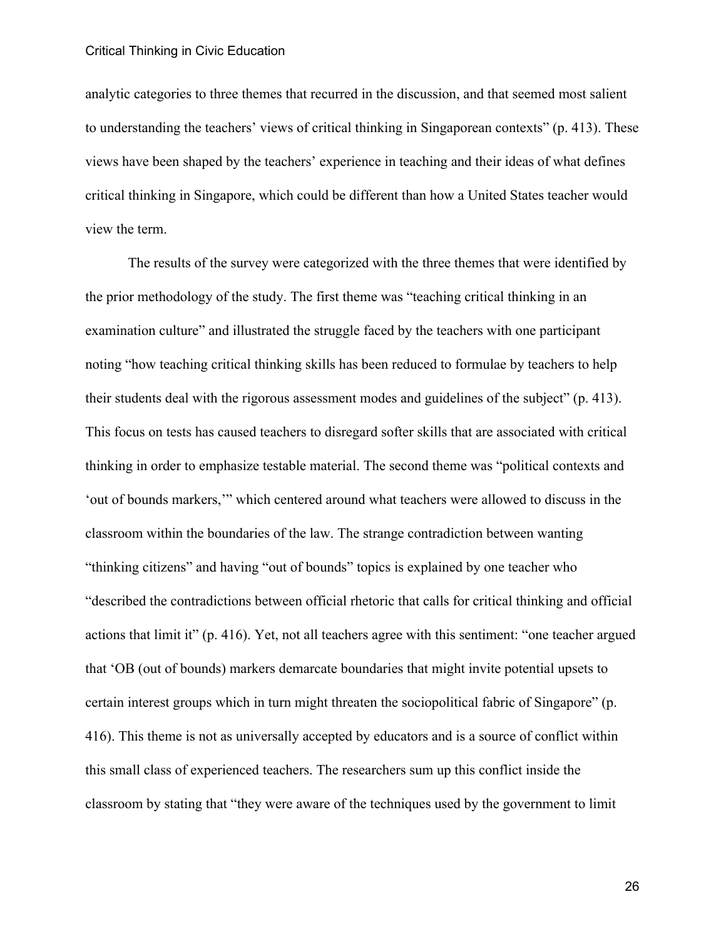analytic categories to three themes that recurred in the discussion, and that seemed most salient to understanding the teachers' views of critical thinking in Singaporean contexts" (p. 413). These views have been shaped by the teachers' experience in teaching and their ideas of what defines critical thinking in Singapore, which could be different than how a United States teacher would view the term.

The results of the survey were categorized with the three themes that were identified by the prior methodology of the study. The first theme was "teaching critical thinking in an examination culture" and illustrated the struggle faced by the teachers with one participant noting "how teaching critical thinking skills has been reduced to formulae by teachers to help their students deal with the rigorous assessment modes and guidelines of the subject" (p. 413). This focus on tests has caused teachers to disregard softer skills that are associated with critical thinking in order to emphasize testable material. The second theme was "political contexts and 'out of bounds markers,'" which centered around what teachers were allowed to discuss in the classroom within the boundaries of the law. The strange contradiction between wanting "thinking citizens" and having "out of bounds" topics is explained by one teacher who "described the contradictions between official rhetoric that calls for critical thinking and official actions that limit it" (p. 416). Yet, not all teachers agree with this sentiment: "one teacher argued that 'OB (out of bounds) markers demarcate boundaries that might invite potential upsets to certain interest groups which in turn might threaten the sociopolitical fabric of Singapore" (p. 416). This theme is not as universally accepted by educators and is a source of conflict within this small class of experienced teachers. The researchers sum up this conflict inside the classroom by stating that "they were aware of the techniques used by the government to limit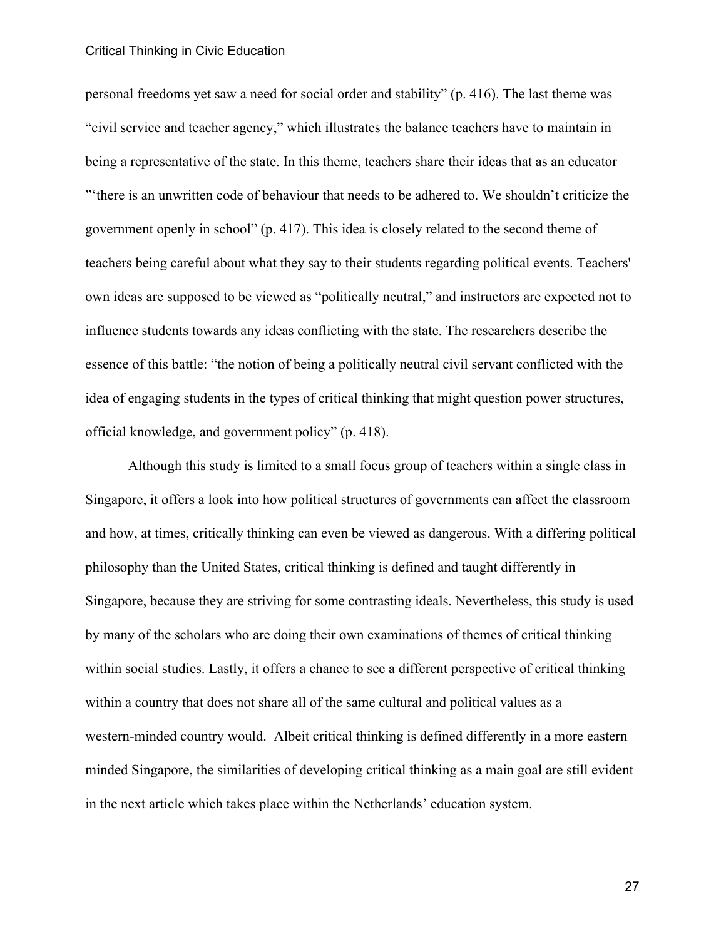personal freedoms yet saw a need for social order and stability" (p. 416). The last theme was "civil service and teacher agency," which illustrates the balance teachers have to maintain in being a representative of the state. In this theme, teachers share their ideas that as an educator "'there is an unwritten code of behaviour that needs to be adhered to. We shouldn't criticize the government openly in school" (p. 417). This idea is closely related to the second theme of teachers being careful about what they say to their students regarding political events. Teachers' own ideas are supposed to be viewed as "politically neutral," and instructors are expected not to influence students towards any ideas conflicting with the state. The researchers describe the essence of this battle: "the notion of being a politically neutral civil servant conflicted with the idea of engaging students in the types of critical thinking that might question power structures, official knowledge, and government policy" (p. 418).

Although this study is limited to a small focus group of teachers within a single class in Singapore, it offers a look into how political structures of governments can affect the classroom and how, at times, critically thinking can even be viewed as dangerous. With a differing political philosophy than the United States, critical thinking is defined and taught differently in Singapore, because they are striving for some contrasting ideals. Nevertheless, this study is used by many of the scholars who are doing their own examinations of themes of critical thinking within social studies. Lastly, it offers a chance to see a different perspective of critical thinking within a country that does not share all of the same cultural and political values as a western-minded country would. Albeit critical thinking is defined differently in a more eastern minded Singapore, the similarities of developing critical thinking as a main goal are still evident in the next article which takes place within the Netherlands' education system.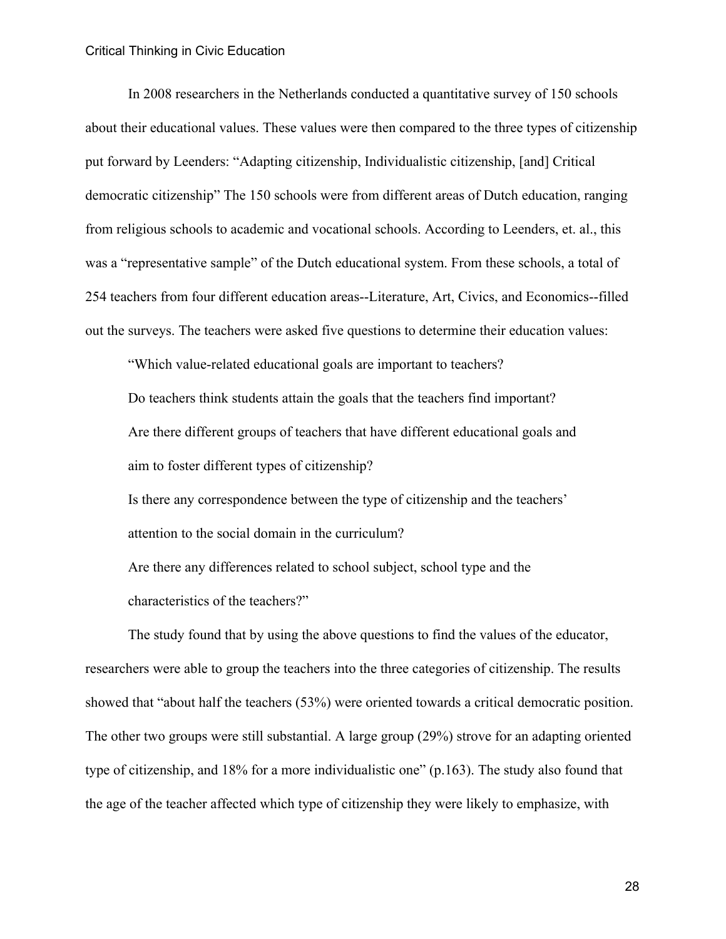In 2008 researchers in the Netherlands conducted a quantitative survey of 150 schools about their educational values. These values were then compared to the three types of citizenship put forward by Leenders: "Adapting citizenship, Individualistic citizenship, [and] Critical democratic citizenship" The 150 schools were from different areas of Dutch education, ranging from religious schools to academic and vocational schools. According to Leenders, et. al., this was a "representative sample" of the Dutch educational system. From these schools, a total of 254 teachers from four different education areas--Literature, Art, Civics, and Economics--filled out the surveys. The teachers were asked five questions to determine their education values:

"Which value-related educational goals are important to teachers? Do teachers think students attain the goals that the teachers find important? Are there different groups of teachers that have different educational goals and aim to foster different types of citizenship?

Is there any correspondence between the type of citizenship and the teachers' attention to the social domain in the curriculum?

Are there any differences related to school subject, school type and the characteristics of the teachers?"

The study found that by using the above questions to find the values of the educator, researchers were able to group the teachers into the three categories of citizenship. The results showed that "about half the teachers (53%) were oriented towards a critical democratic position. The other two groups were still substantial. A large group (29%) strove for an adapting oriented type of citizenship, and 18% for a more individualistic one" (p.163). The study also found that the age of the teacher affected which type of citizenship they were likely to emphasize, with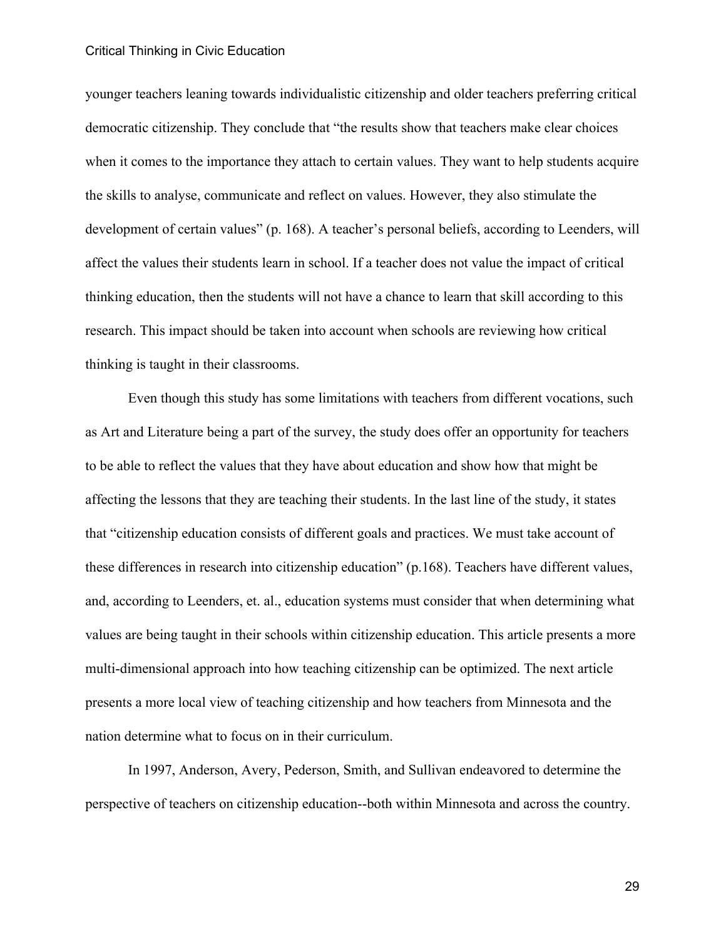younger teachers leaning towards individualistic citizenship and older teachers preferring critical democratic citizenship. They conclude that "the results show that teachers make clear choices when it comes to the importance they attach to certain values. They want to help students acquire the skills to analyse, communicate and reflect on values. However, they also stimulate the development of certain values" (p. 168). A teacher's personal beliefs, according to Leenders, will affect the values their students learn in school. If a teacher does not value the impact of critical thinking education, then the students will not have a chance to learn that skill according to this research. This impact should be taken into account when schools are reviewing how critical thinking is taught in their classrooms.

Even though this study has some limitations with teachers from different vocations, such as Art and Literature being a part of the survey, the study does offer an opportunity for teachers to be able to reflect the values that they have about education and show how that might be affecting the lessons that they are teaching their students. In the last line of the study, it states that "citizenship education consists of different goals and practices. We must take account of these differences in research into citizenship education" (p.168). Teachers have different values, and, according to Leenders, et. al., education systems must consider that when determining what values are being taught in their schools within citizenship education. This article presents a more multi-dimensional approach into how teaching citizenship can be optimized. The next article presents a more local view of teaching citizenship and how teachers from Minnesota and the nation determine what to focus on in their curriculum.

In 1997, Anderson, Avery, Pederson, Smith, and Sullivan endeavored to determine the perspective of teachers on citizenship education--both within Minnesota and across the country.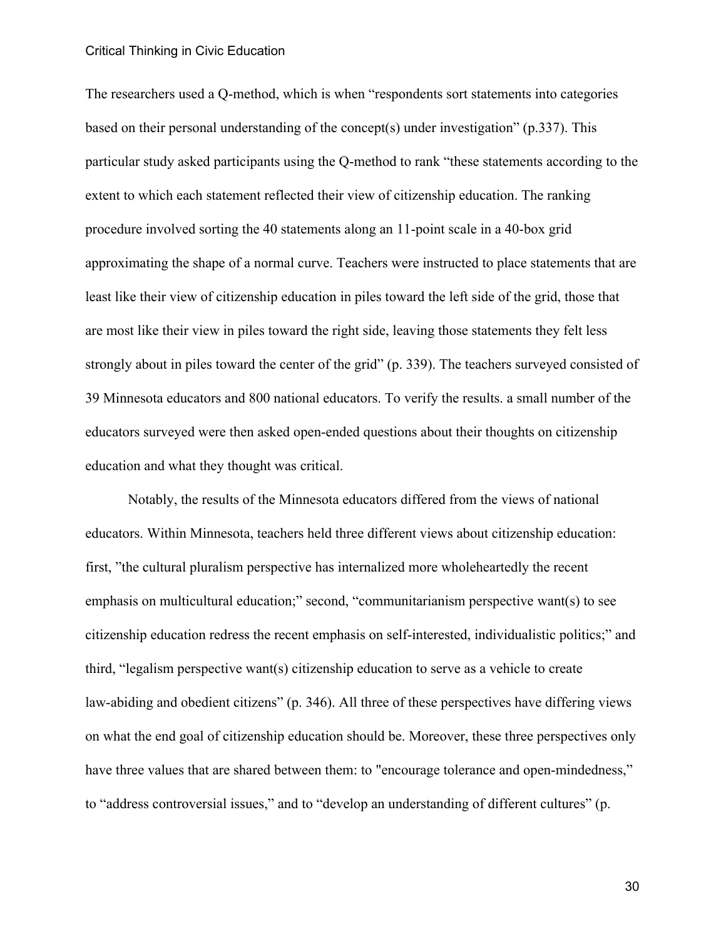The researchers used a Q-method, which is when "respondents sort statements into categories based on their personal understanding of the concept(s) under investigation" (p.337). This particular study asked participants using the Q-method to rank "these statements according to the extent to which each statement reflected their view of citizenship education. The ranking procedure involved sorting the 40 statements along an 11-point scale in a 40-box grid approximating the shape of a normal curve. Teachers were instructed to place statements that are least like their view of citizenship education in piles toward the left side of the grid, those that are most like their view in piles toward the right side, leaving those statements they felt less strongly about in piles toward the center of the grid" (p. 339). The teachers surveyed consisted of 39 Minnesota educators and 800 national educators. To verify the results. a small number of the educators surveyed were then asked open-ended questions about their thoughts on citizenship education and what they thought was critical.

Notably, the results of the Minnesota educators differed from the views of national educators. Within Minnesota, teachers held three different views about citizenship education: first, "the cultural pluralism perspective has internalized more wholeheartedly the recent emphasis on multicultural education;" second, "communitarianism perspective want(s) to see citizenship education redress the recent emphasis on self-interested, individualistic politics;" and third, "legalism perspective want(s) citizenship education to serve as a vehicle to create law-abiding and obedient citizens" (p. 346). All three of these perspectives have differing views on what the end goal of citizenship education should be. Moreover, these three perspectives only have three values that are shared between them: to "encourage tolerance and open-mindedness," to "address controversial issues," and to "develop an understanding of different cultures" (p.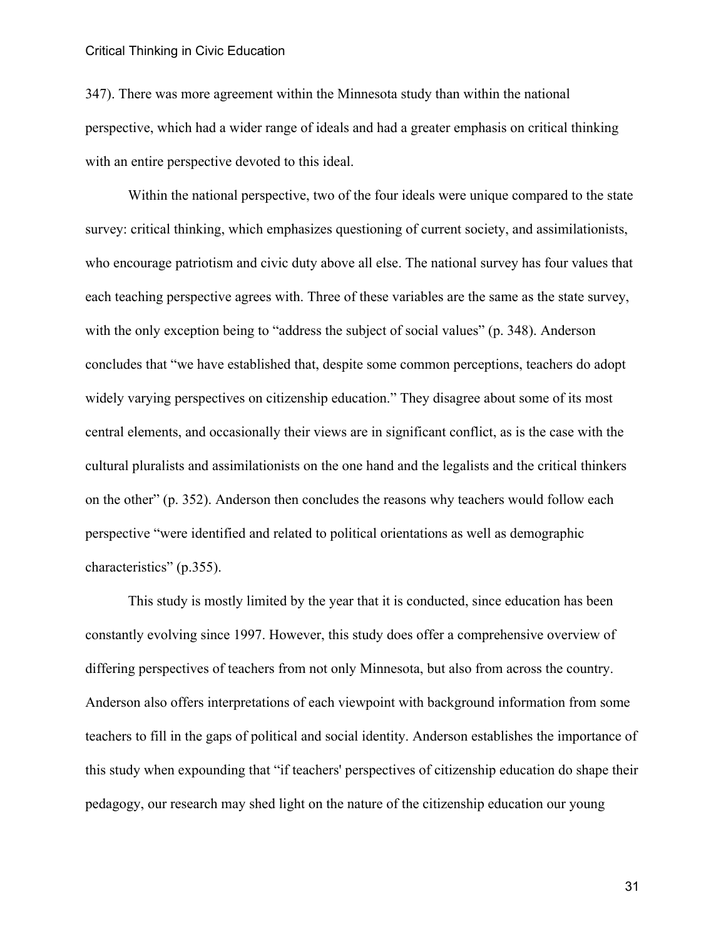347). There was more agreement within the Minnesota study than within the national perspective, which had a wider range of ideals and had a greater emphasis on critical thinking with an entire perspective devoted to this ideal.

Within the national perspective, two of the four ideals were unique compared to the state survey: critical thinking, which emphasizes questioning of current society, and assimilationists, who encourage patriotism and civic duty above all else. The national survey has four values that each teaching perspective agrees with. Three of these variables are the same as the state survey, with the only exception being to "address the subject of social values" (p. 348). Anderson concludes that "we have established that, despite some common perceptions, teachers do adopt widely varying perspectives on citizenship education." They disagree about some of its most central elements, and occasionally their views are in significant conflict, as is the case with the cultural pluralists and assimilationists on the one hand and the legalists and the critical thinkers on the other" (p. 352). Anderson then concludes the reasons why teachers would follow each perspective "were identified and related to political orientations as well as demographic characteristics" (p.355).

This study is mostly limited by the year that it is conducted, since education has been constantly evolving since 1997. However, this study does offer a comprehensive overview of differing perspectives of teachers from not only Minnesota, but also from across the country. Anderson also offers interpretations of each viewpoint with background information from some teachers to fill in the gaps of political and social identity. Anderson establishes the importance of this study when expounding that "if teachers' perspectives of citizenship education do shape their pedagogy, our research may shed light on the nature of the citizenship education our young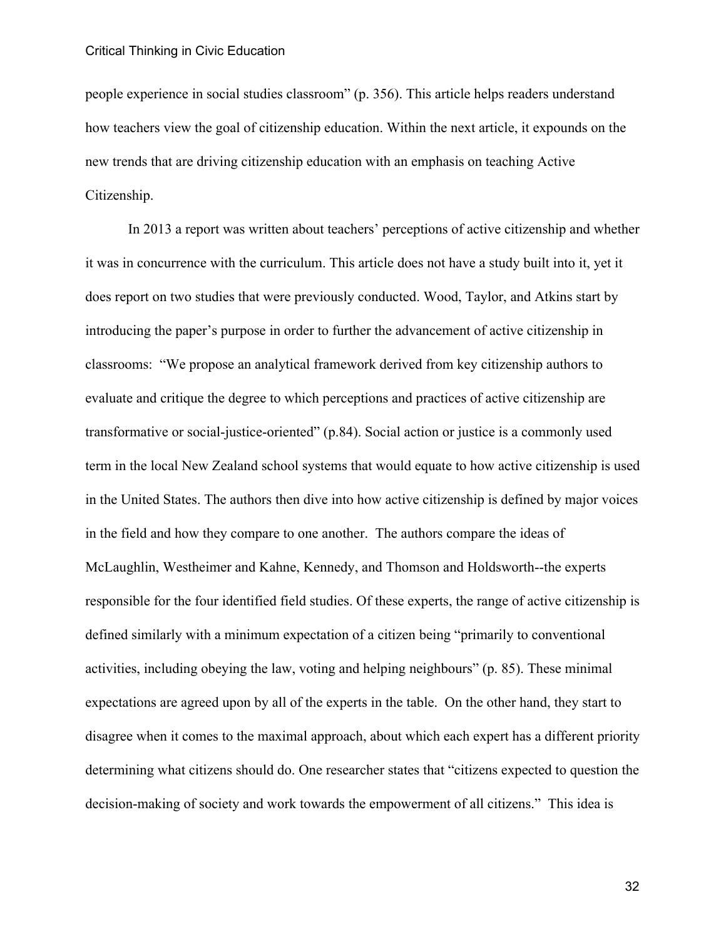people experience in social studies classroom" (p. 356). This article helps readers understand how teachers view the goal of citizenship education. Within the next article, it expounds on the new trends that are driving citizenship education with an emphasis on teaching Active Citizenship.

In 2013 a report was written about teachers' perceptions of active citizenship and whether it was in concurrence with the curriculum. This article does not have a study built into it, yet it does report on two studies that were previously conducted. Wood, Taylor, and Atkins start by introducing the paper's purpose in order to further the advancement of active citizenship in classrooms: "We propose an analytical framework derived from key citizenship authors to evaluate and critique the degree to which perceptions and practices of active citizenship are transformative or social-justice-oriented" (p.84). Social action or justice is a commonly used term in the local New Zealand school systems that would equate to how active citizenship is used in the United States. The authors then dive into how active citizenship is defined by major voices in the field and how they compare to one another. The authors compare the ideas of McLaughlin, Westheimer and Kahne, Kennedy, and Thomson and Holdsworth--the experts responsible for the four identified field studies. Of these experts, the range of active citizenship is defined similarly with a minimum expectation of a citizen being "primarily to conventional activities, including obeying the law, voting and helping neighbours" (p. 85). These minimal expectations are agreed upon by all of the experts in the table. On the other hand, they start to disagree when it comes to the maximal approach, about which each expert has a different priority determining what citizens should do. One researcher states that "citizens expected to question the decision-making of society and work towards the empowerment of all citizens." This idea is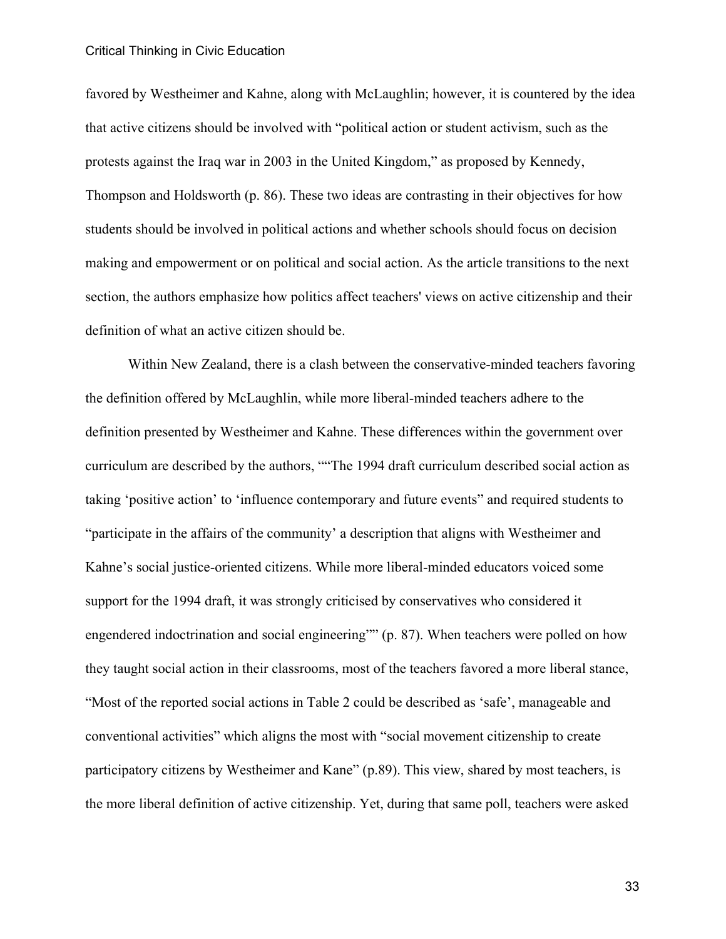favored by Westheimer and Kahne, along with McLaughlin; however, it is countered by the idea that active citizens should be involved with "political action or student activism, such as the protests against the Iraq war in 2003 in the United Kingdom," as proposed by Kennedy, Thompson and Holdsworth (p. 86). These two ideas are contrasting in their objectives for how students should be involved in political actions and whether schools should focus on decision making and empowerment or on political and social action. As the article transitions to the next section, the authors emphasize how politics affect teachers' views on active citizenship and their definition of what an active citizen should be.

Within New Zealand, there is a clash between the conservative-minded teachers favoring the definition offered by McLaughlin, while more liberal-minded teachers adhere to the definition presented by Westheimer and Kahne. These differences within the government over curriculum are described by the authors, ""The 1994 draft curriculum described social action as taking 'positive action' to 'influence contemporary and future events" and required students to "participate in the affairs of the community' a description that aligns with Westheimer and Kahne's social justice-oriented citizens. While more liberal-minded educators voiced some support for the 1994 draft, it was strongly criticised by conservatives who considered it engendered indoctrination and social engineering"" (p. 87). When teachers were polled on how they taught social action in their classrooms, most of the teachers favored a more liberal stance, "Most of the reported social actions in Table 2 could be described as 'safe', manageable and conventional activities" which aligns the most with "social movement citizenship to create participatory citizens by Westheimer and Kane" (p.89). This view, shared by most teachers, is the more liberal definition of active citizenship. Yet, during that same poll, teachers were asked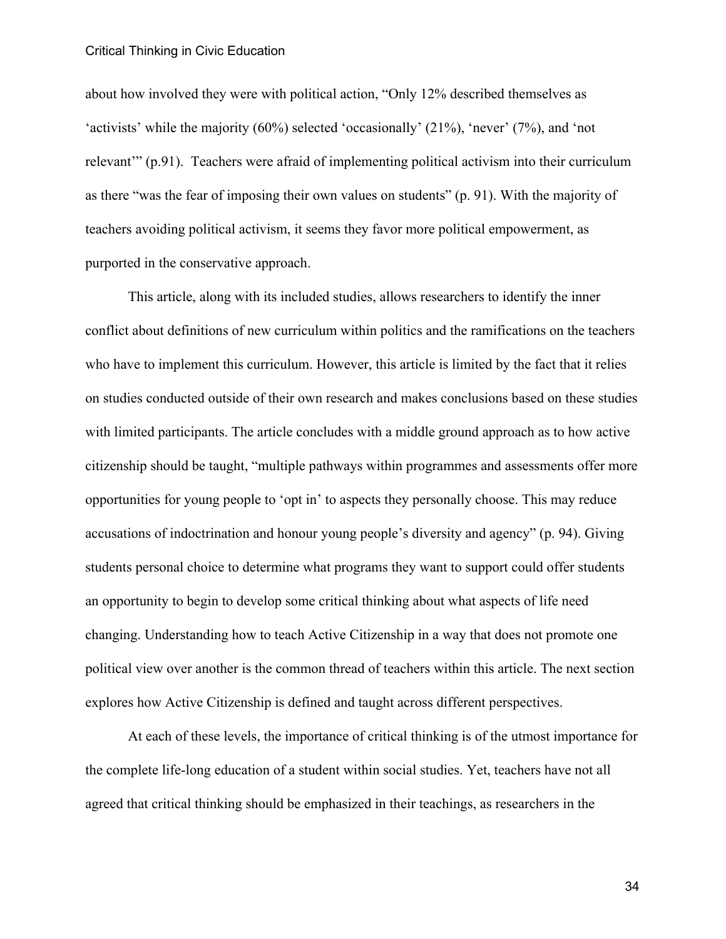about how involved they were with political action, "Only 12% described themselves as 'activists' while the majority (60%) selected 'occasionally' (21%), 'never' (7%), and 'not relevant'" (p.91). Teachers were afraid of implementing political activism into their curriculum as there "was the fear of imposing their own values on students" (p. 91). With the majority of teachers avoiding political activism, it seems they favor more political empowerment, as purported in the conservative approach.

This article, along with its included studies, allows researchers to identify the inner conflict about definitions of new curriculum within politics and the ramifications on the teachers who have to implement this curriculum. However, this article is limited by the fact that it relies on studies conducted outside of their own research and makes conclusions based on these studies with limited participants. The article concludes with a middle ground approach as to how active citizenship should be taught, "multiple pathways within programmes and assessments offer more opportunities for young people to 'opt in' to aspects they personally choose. This may reduce accusations of indoctrination and honour young people's diversity and agency" (p. 94). Giving students personal choice to determine what programs they want to support could offer students an opportunity to begin to develop some critical thinking about what aspects of life need changing. Understanding how to teach Active Citizenship in a way that does not promote one political view over another is the common thread of teachers within this article. The next section explores how Active Citizenship is defined and taught across different perspectives.

At each of these levels, the importance of critical thinking is of the utmost importance for the complete life-long education of a student within social studies. Yet, teachers have not all agreed that critical thinking should be emphasized in their teachings, as researchers in the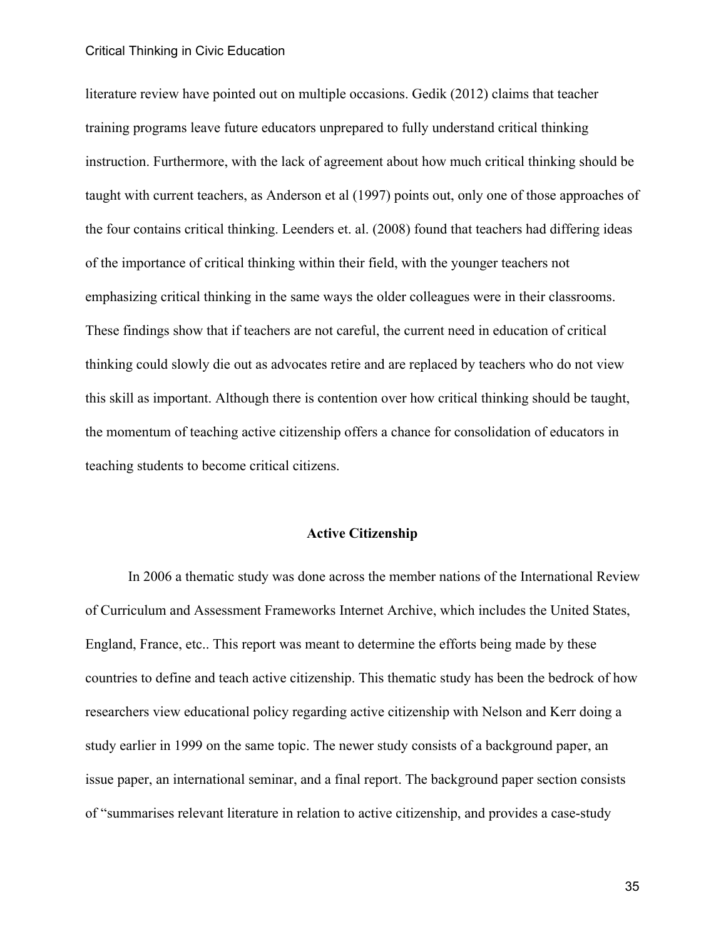literature review have pointed out on multiple occasions. Gedik (2012) claims that teacher training programs leave future educators unprepared to fully understand critical thinking instruction. Furthermore, with the lack of agreement about how much critical thinking should be taught with current teachers, as Anderson et al (1997) points out, only one of those approaches of the four contains critical thinking. Leenders et. al. (2008) found that teachers had differing ideas of the importance of critical thinking within their field, with the younger teachers not emphasizing critical thinking in the same ways the older colleagues were in their classrooms. These findings show that if teachers are not careful, the current need in education of critical thinking could slowly die out as advocates retire and are replaced by teachers who do not view this skill as important. Although there is contention over how critical thinking should be taught, the momentum of teaching active citizenship offers a chance for consolidation of educators in teaching students to become critical citizens.

#### **Active Citizenship**

<span id="page-35-0"></span>In 2006 a thematic study was done across the member nations of the International Review of Curriculum and Assessment Frameworks Internet Archive, which includes the United States, England, France, etc.. This report was meant to determine the efforts being made by these countries to define and teach active citizenship. This thematic study has been the bedrock of how researchers view educational policy regarding active citizenship with Nelson and Kerr doing a study earlier in 1999 on the same topic. The newer study consists of a background paper, an issue paper, an international seminar, and a final report. The background paper section consists of "summarises relevant literature in relation to active citizenship, and provides a case-study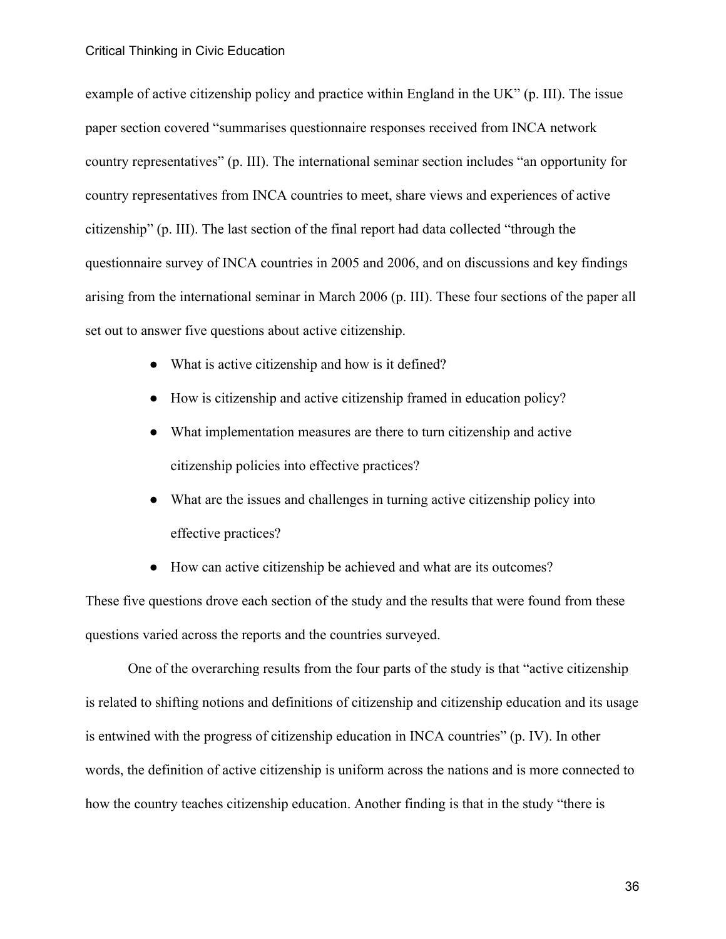example of active citizenship policy and practice within England in the UK" (p. III). The issue paper section covered "summarises questionnaire responses received from INCA network country representatives" (p. III). The international seminar section includes "an opportunity for country representatives from INCA countries to meet, share views and experiences of active citizenship" (p. III). The last section of the final report had data collected "through the questionnaire survey of INCA countries in 2005 and 2006, and on discussions and key findings arising from the international seminar in March 2006 (p. III). These four sections of the paper all set out to answer five questions about active citizenship.

- What is active citizenship and how is it defined?
- How is citizenship and active citizenship framed in education policy?
- What implementation measures are there to turn citizenship and active citizenship policies into effective practices?
- What are the issues and challenges in turning active citizenship policy into effective practices?
- How can active citizenship be achieved and what are its outcomes?

These five questions drove each section of the study and the results that were found from these questions varied across the reports and the countries surveyed.

One of the overarching results from the four parts of the study is that "active citizenship is related to shifting notions and definitions of citizenship and citizenship education and its usage is entwined with the progress of citizenship education in INCA countries" (p. IV). In other words, the definition of active citizenship is uniform across the nations and is more connected to how the country teaches citizenship education. Another finding is that in the study "there is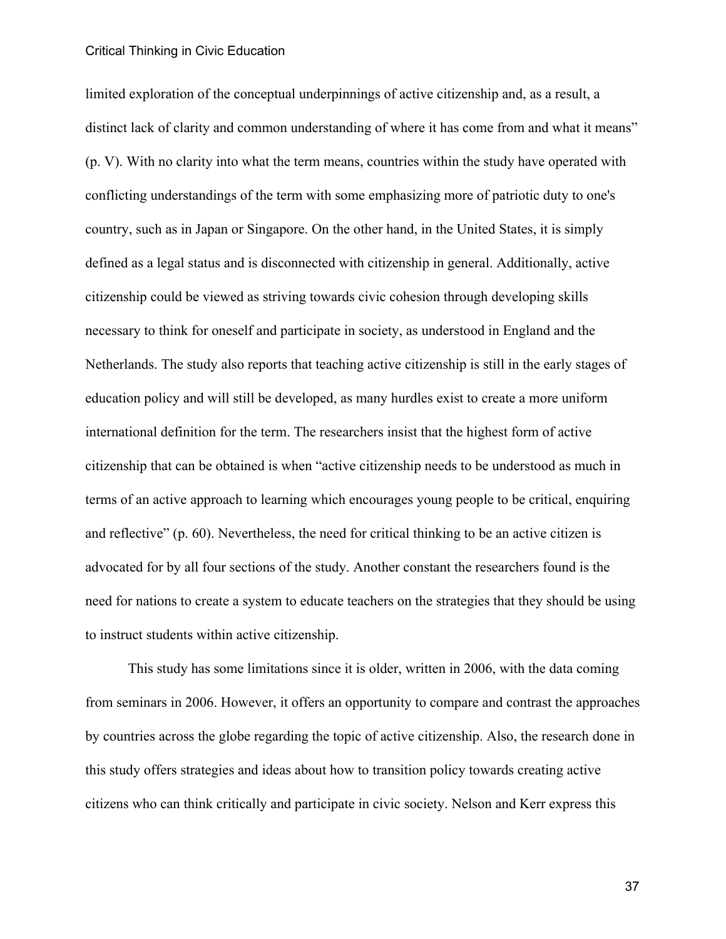limited exploration of the conceptual underpinnings of active citizenship and, as a result, a distinct lack of clarity and common understanding of where it has come from and what it means" (p. V). With no clarity into what the term means, countries within the study have operated with conflicting understandings of the term with some emphasizing more of patriotic duty to one's country, such as in Japan or Singapore. On the other hand, in the United States, it is simply defined as a legal status and is disconnected with citizenship in general. Additionally, active citizenship could be viewed as striving towards civic cohesion through developing skills necessary to think for oneself and participate in society, as understood in England and the Netherlands. The study also reports that teaching active citizenship is still in the early stages of education policy and will still be developed, as many hurdles exist to create a more uniform international definition for the term. The researchers insist that the highest form of active citizenship that can be obtained is when "active citizenship needs to be understood as much in terms of an active approach to learning which encourages young people to be critical, enquiring and reflective" (p. 60). Nevertheless, the need for critical thinking to be an active citizen is advocated for by all four sections of the study. Another constant the researchers found is the need for nations to create a system to educate teachers on the strategies that they should be using to instruct students within active citizenship.

This study has some limitations since it is older, written in 2006, with the data coming from seminars in 2006. However, it offers an opportunity to compare and contrast the approaches by countries across the globe regarding the topic of active citizenship. Also, the research done in this study offers strategies and ideas about how to transition policy towards creating active citizens who can think critically and participate in civic society. Nelson and Kerr express this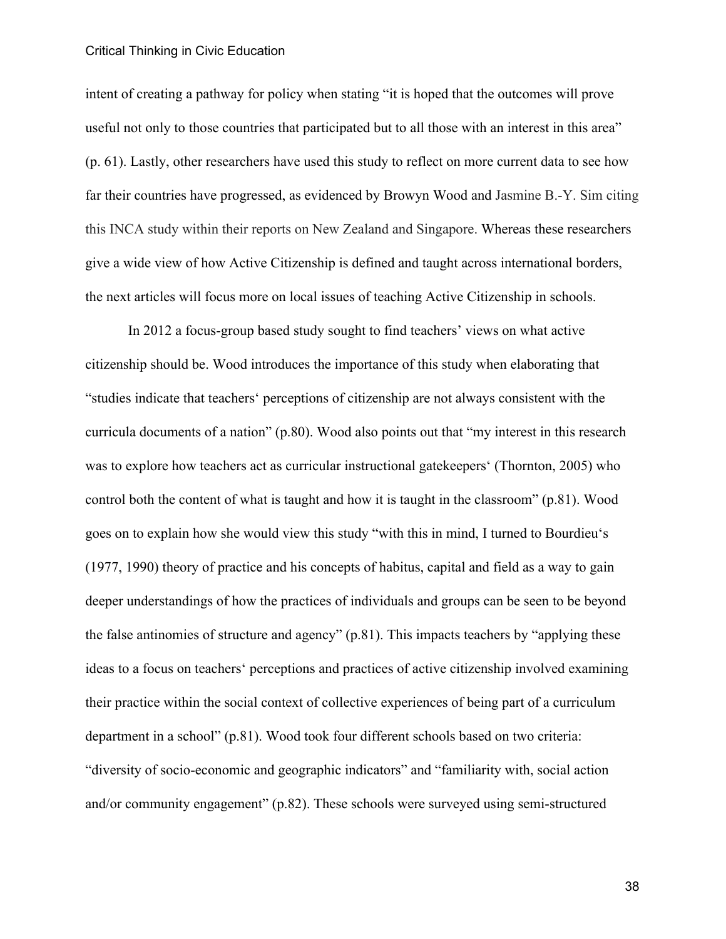intent of creating a pathway for policy when stating "it is hoped that the outcomes will prove useful not only to those countries that participated but to all those with an interest in this area" (p. 61). Lastly, other researchers have used this study to reflect on more current data to see how far their countries have progressed, as evidenced by Browyn Wood and Jasmine B.-Y. Sim citing this INCA study within their reports on New Zealand and Singapore. Whereas these researchers give a wide view of how Active Citizenship is defined and taught across international borders, the next articles will focus more on local issues of teaching Active Citizenship in schools.

In 2012 a focus-group based study sought to find teachers' views on what active citizenship should be. Wood introduces the importance of this study when elaborating that "studies indicate that teachers' perceptions of citizenship are not always consistent with the curricula documents of a nation" (p.80). Wood also points out that "my interest in this research was to explore how teachers act as curricular instructional gatekeepers' (Thornton, 2005) who control both the content of what is taught and how it is taught in the classroom" (p.81). Wood goes on to explain how she would view this study "with this in mind, I turned to Bourdieu's (1977, 1990) theory of practice and his concepts of habitus, capital and field as a way to gain deeper understandings of how the practices of individuals and groups can be seen to be beyond the false antinomies of structure and agency" (p.81). This impacts teachers by "applying these ideas to a focus on teachers' perceptions and practices of active citizenship involved examining their practice within the social context of collective experiences of being part of a curriculum department in a school" (p.81). Wood took four different schools based on two criteria: "diversity of socio-economic and geographic indicators" and "familiarity with, social action and/or community engagement" (p.82). These schools were surveyed using semi-structured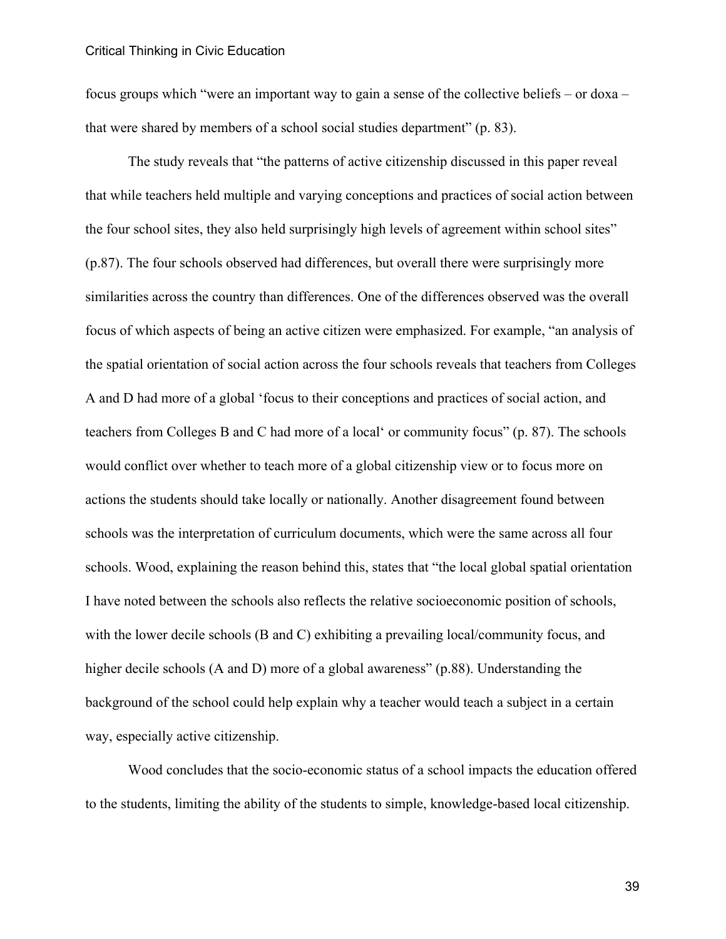focus groups which "were an important way to gain a sense of the collective beliefs – or doxa – that were shared by members of a school social studies department" (p. 83).

The study reveals that "the patterns of active citizenship discussed in this paper reveal that while teachers held multiple and varying conceptions and practices of social action between the four school sites, they also held surprisingly high levels of agreement within school sites" (p.87). The four schools observed had differences, but overall there were surprisingly more similarities across the country than differences. One of the differences observed was the overall focus of which aspects of being an active citizen were emphasized. For example, "an analysis of the spatial orientation of social action across the four schools reveals that teachers from Colleges A and D had more of a global 'focus to their conceptions and practices of social action, and teachers from Colleges B and C had more of a local' or community focus" (p. 87). The schools would conflict over whether to teach more of a global citizenship view or to focus more on actions the students should take locally or nationally. Another disagreement found between schools was the interpretation of curriculum documents, which were the same across all four schools. Wood, explaining the reason behind this, states that "the local global spatial orientation I have noted between the schools also reflects the relative socioeconomic position of schools, with the lower decile schools (B and C) exhibiting a prevailing local/community focus, and higher decile schools (A and D) more of a global awareness" (p.88). Understanding the background of the school could help explain why a teacher would teach a subject in a certain way, especially active citizenship.

Wood concludes that the socio-economic status of a school impacts the education offered to the students, limiting the ability of the students to simple, knowledge-based local citizenship.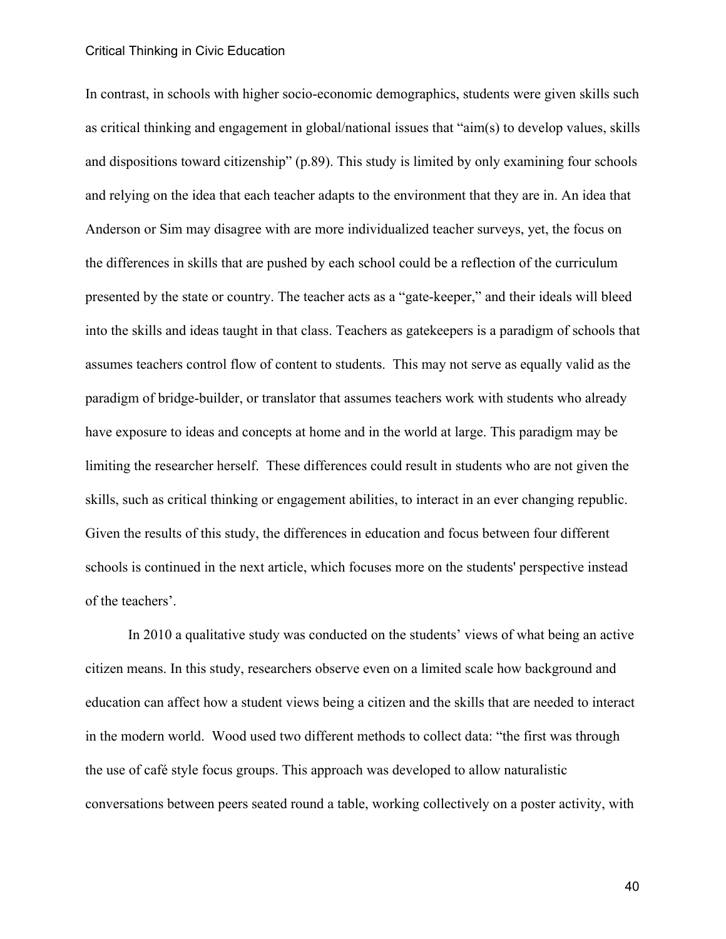In contrast, in schools with higher socio-economic demographics, students were given skills such as critical thinking and engagement in global/national issues that "aim(s) to develop values, skills and dispositions toward citizenship" (p.89). This study is limited by only examining four schools and relying on the idea that each teacher adapts to the environment that they are in. An idea that Anderson or Sim may disagree with are more individualized teacher surveys, yet, the focus on the differences in skills that are pushed by each school could be a reflection of the curriculum presented by the state or country. The teacher acts as a "gate-keeper," and their ideals will bleed into the skills and ideas taught in that class. Teachers as gatekeepers is a paradigm of schools that assumes teachers control flow of content to students. This may not serve as equally valid as the paradigm of bridge-builder, or translator that assumes teachers work with students who already have exposure to ideas and concepts at home and in the world at large. This paradigm may be limiting the researcher herself. These differences could result in students who are not given the skills, such as critical thinking or engagement abilities, to interact in an ever changing republic. Given the results of this study, the differences in education and focus between four different schools is continued in the next article, which focuses more on the students' perspective instead of the teachers'.

In 2010 a qualitative study was conducted on the students' views of what being an active citizen means. In this study, researchers observe even on a limited scale how background and education can affect how a student views being a citizen and the skills that are needed to interact in the modern world. Wood used two different methods to collect data: "the first was through the use of café style focus groups. This approach was developed to allow naturalistic conversations between peers seated round a table, working collectively on a poster activity, with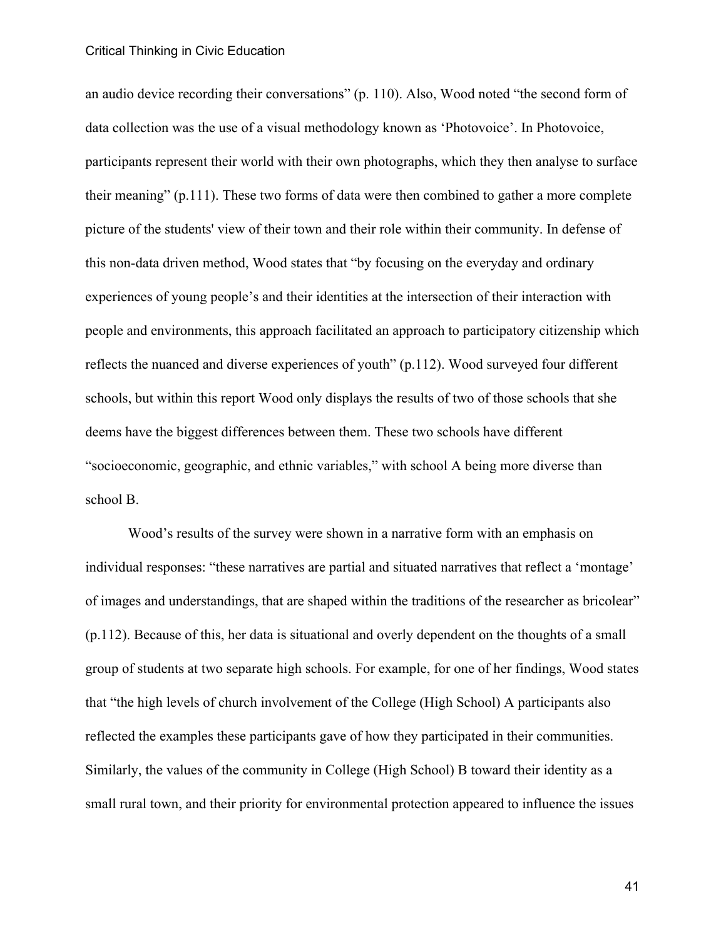an audio device recording their conversations" (p. 110). Also, Wood noted "the second form of data collection was the use of a visual methodology known as 'Photovoice'. In Photovoice, participants represent their world with their own photographs, which they then analyse to surface their meaning" (p.111). These two forms of data were then combined to gather a more complete picture of the students' view of their town and their role within their community. In defense of this non-data driven method, Wood states that "by focusing on the everyday and ordinary experiences of young people's and their identities at the intersection of their interaction with people and environments, this approach facilitated an approach to participatory citizenship which reflects the nuanced and diverse experiences of youth" (p.112). Wood surveyed four different schools, but within this report Wood only displays the results of two of those schools that she deems have the biggest differences between them. These two schools have different "socioeconomic, geographic, and ethnic variables," with school A being more diverse than school B.

Wood's results of the survey were shown in a narrative form with an emphasis on individual responses: "these narratives are partial and situated narratives that reflect a 'montage' of images and understandings, that are shaped within the traditions of the researcher as bricolear" (p.112). Because of this, her data is situational and overly dependent on the thoughts of a small group of students at two separate high schools. For example, for one of her findings, Wood states that "the high levels of church involvement of the College (High School) A participants also reflected the examples these participants gave of how they participated in their communities. Similarly, the values of the community in College (High School) B toward their identity as a small rural town, and their priority for environmental protection appeared to influence the issues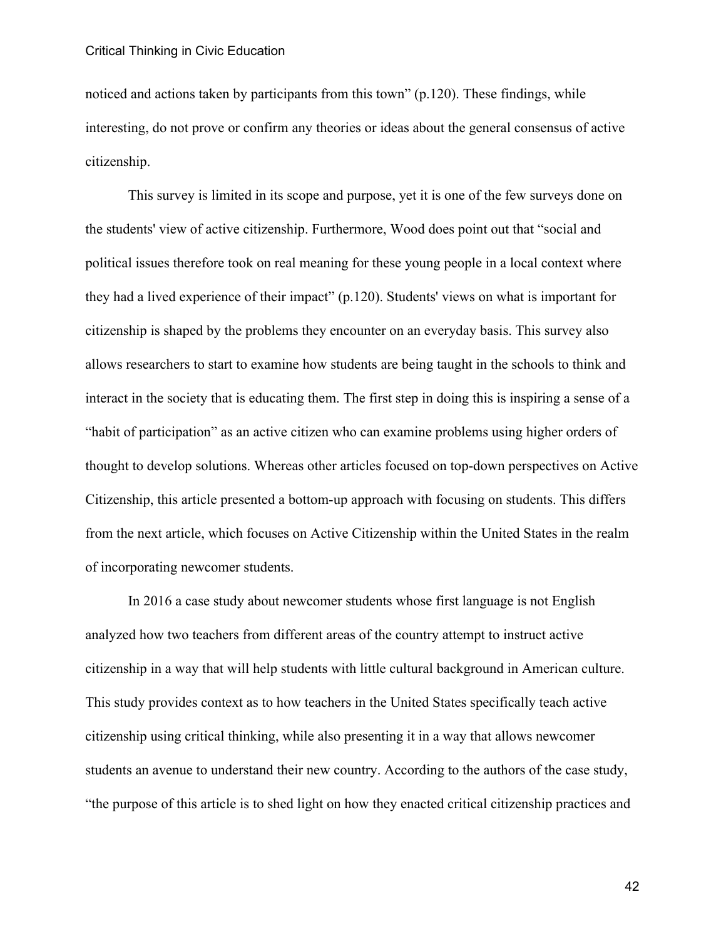noticed and actions taken by participants from this town" (p.120). These findings, while interesting, do not prove or confirm any theories or ideas about the general consensus of active citizenship.

This survey is limited in its scope and purpose, yet it is one of the few surveys done on the students' view of active citizenship. Furthermore, Wood does point out that "social and political issues therefore took on real meaning for these young people in a local context where they had a lived experience of their impact" (p.120). Students' views on what is important for citizenship is shaped by the problems they encounter on an everyday basis. This survey also allows researchers to start to examine how students are being taught in the schools to think and interact in the society that is educating them. The first step in doing this is inspiring a sense of a "habit of participation" as an active citizen who can examine problems using higher orders of thought to develop solutions. Whereas other articles focused on top-down perspectives on Active Citizenship, this article presented a bottom-up approach with focusing on students. This differs from the next article, which focuses on Active Citizenship within the United States in the realm of incorporating newcomer students.

In 2016 a case study about newcomer students whose first language is not English analyzed how two teachers from different areas of the country attempt to instruct active citizenship in a way that will help students with little cultural background in American culture. This study provides context as to how teachers in the United States specifically teach active citizenship using critical thinking, while also presenting it in a way that allows newcomer students an avenue to understand their new country. According to the authors of the case study, "the purpose of this article is to shed light on how they enacted critical citizenship practices and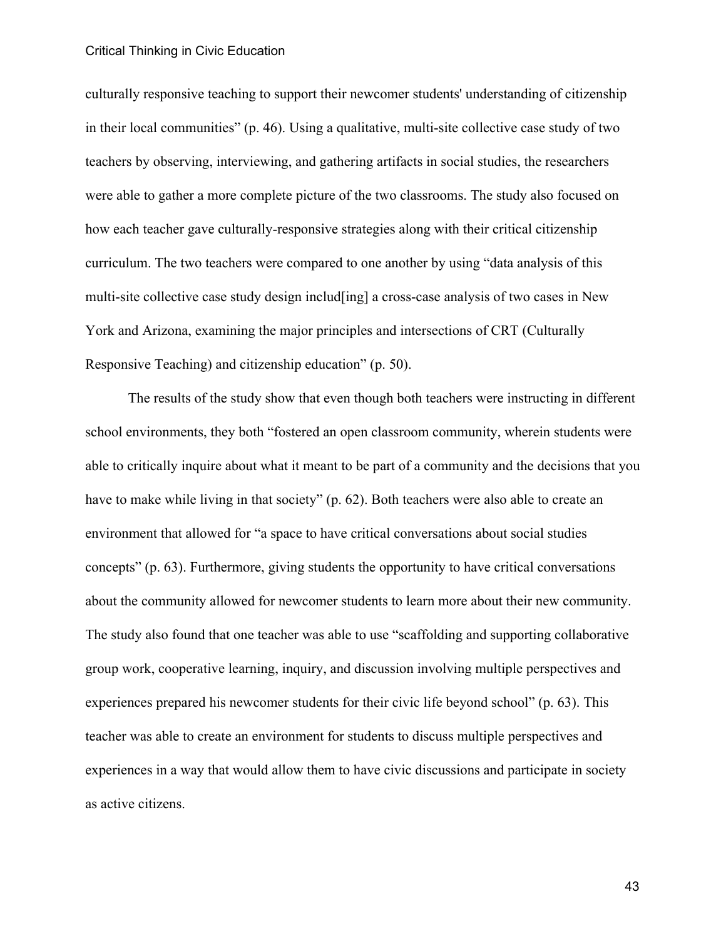culturally responsive teaching to support their newcomer students' understanding of citizenship in their local communities" (p. 46). Using a qualitative, multi-site collective case study of two teachers by observing, interviewing, and gathering artifacts in social studies, the researchers were able to gather a more complete picture of the two classrooms. The study also focused on how each teacher gave culturally-responsive strategies along with their critical citizenship curriculum. The two teachers were compared to one another by using "data analysis of this multi-site collective case study design includ[ing] a cross-case analysis of two cases in New York and Arizona, examining the major principles and intersections of CRT (Culturally Responsive Teaching) and citizenship education" (p. 50).

The results of the study show that even though both teachers were instructing in different school environments, they both "fostered an open classroom community, wherein students were able to critically inquire about what it meant to be part of a community and the decisions that you have to make while living in that society" (p. 62). Both teachers were also able to create an environment that allowed for "a space to have critical conversations about social studies concepts" (p. 63). Furthermore, giving students the opportunity to have critical conversations about the community allowed for newcomer students to learn more about their new community. The study also found that one teacher was able to use "scaffolding and supporting collaborative group work, cooperative learning, inquiry, and discussion involving multiple perspectives and experiences prepared his newcomer students for their civic life beyond school" (p. 63). This teacher was able to create an environment for students to discuss multiple perspectives and experiences in a way that would allow them to have civic discussions and participate in society as active citizens.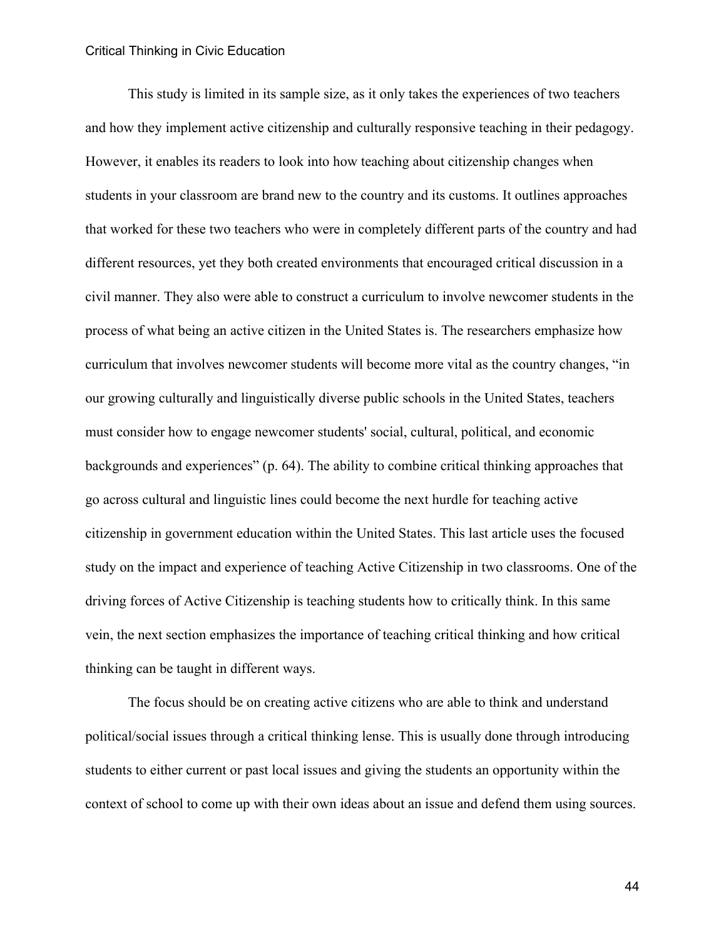This study is limited in its sample size, as it only takes the experiences of two teachers and how they implement active citizenship and culturally responsive teaching in their pedagogy. However, it enables its readers to look into how teaching about citizenship changes when students in your classroom are brand new to the country and its customs. It outlines approaches that worked for these two teachers who were in completely different parts of the country and had different resources, yet they both created environments that encouraged critical discussion in a civil manner. They also were able to construct a curriculum to involve newcomer students in the process of what being an active citizen in the United States is. The researchers emphasize how curriculum that involves newcomer students will become more vital as the country changes, "in our growing culturally and linguistically diverse public schools in the United States, teachers must consider how to engage newcomer students' social, cultural, political, and economic backgrounds and experiences" (p. 64). The ability to combine critical thinking approaches that go across cultural and linguistic lines could become the next hurdle for teaching active citizenship in government education within the United States. This last article uses the focused study on the impact and experience of teaching Active Citizenship in two classrooms. One of the driving forces of Active Citizenship is teaching students how to critically think. In this same vein, the next section emphasizes the importance of teaching critical thinking and how critical thinking can be taught in different ways.

The focus should be on creating active citizens who are able to think and understand political/social issues through a critical thinking lense. This is usually done through introducing students to either current or past local issues and giving the students an opportunity within the context of school to come up with their own ideas about an issue and defend them using sources.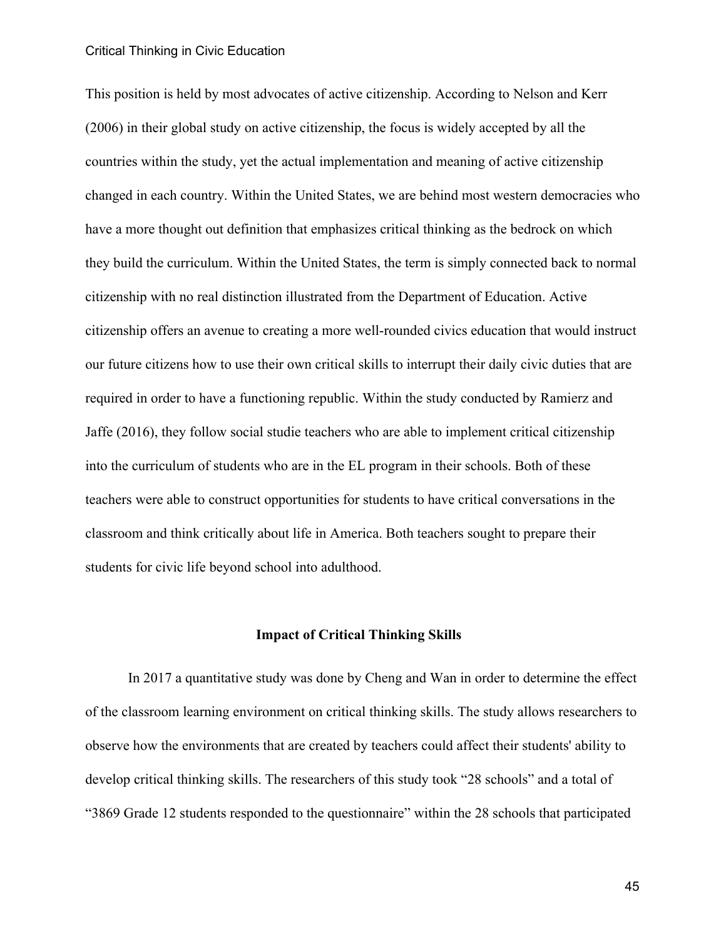This position is held by most advocates of active citizenship. According to Nelson and Kerr (2006) in their global study on active citizenship, the focus is widely accepted by all the countries within the study, yet the actual implementation and meaning of active citizenship changed in each country. Within the United States, we are behind most western democracies who have a more thought out definition that emphasizes critical thinking as the bedrock on which they build the curriculum. Within the United States, the term is simply connected back to normal citizenship with no real distinction illustrated from the Department of Education. Active citizenship offers an avenue to creating a more well-rounded civics education that would instruct our future citizens how to use their own critical skills to interrupt their daily civic duties that are required in order to have a functioning republic. Within the study conducted by Ramierz and Jaffe (2016), they follow social studie teachers who are able to implement critical citizenship into the curriculum of students who are in the EL program in their schools. Both of these teachers were able to construct opportunities for students to have critical conversations in the classroom and think critically about life in America. Both teachers sought to prepare their students for civic life beyond school into adulthood.

## **Impact of Critical Thinking Skills**

In 2017 a quantitative study was done by Cheng and Wan in order to determine the effect of the classroom learning environment on critical thinking skills. The study allows researchers to observe how the environments that are created by teachers could affect their students' ability to develop critical thinking skills. The researchers of this study took "28 schools" and a total of "3869 Grade 12 students responded to the questionnaire" within the 28 schools that participated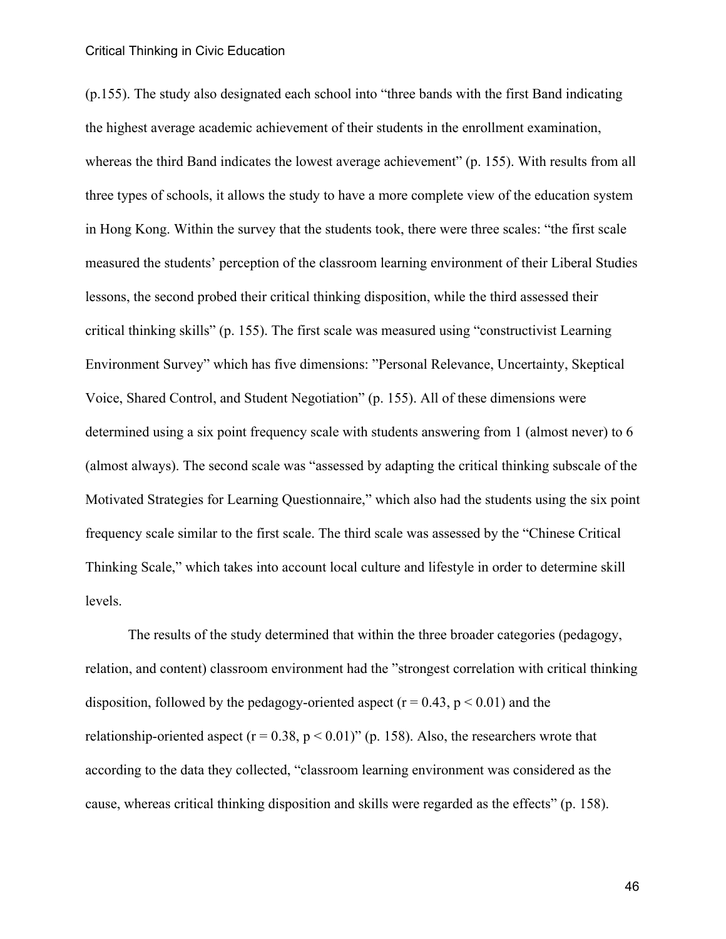(p.155). The study also designated each school into "three bands with the first Band indicating the highest average academic achievement of their students in the enrollment examination, whereas the third Band indicates the lowest average achievement" (p. 155). With results from all three types of schools, it allows the study to have a more complete view of the education system in Hong Kong. Within the survey that the students took, there were three scales: "the first scale measured the students' perception of the classroom learning environment of their Liberal Studies lessons, the second probed their critical thinking disposition, while the third assessed their critical thinking skills" (p. 155). The first scale was measured using "constructivist Learning Environment Survey" which has five dimensions: "Personal Relevance, Uncertainty, Skeptical Voice, Shared Control, and Student Negotiation" (p. 155). All of these dimensions were determined using a six point frequency scale with students answering from 1 (almost never) to 6 (almost always). The second scale was "assessed by adapting the critical thinking subscale of the Motivated Strategies for Learning Questionnaire," which also had the students using the six point frequency scale similar to the first scale. The third scale was assessed by the "Chinese Critical Thinking Scale," which takes into account local culture and lifestyle in order to determine skill levels.

The results of the study determined that within the three broader categories (pedagogy, relation, and content) classroom environment had the "strongest correlation with critical thinking disposition, followed by the pedagogy-oriented aspect ( $r = 0.43$ ,  $p < 0.01$ ) and the relationship-oriented aspect ( $r = 0.38$ ,  $p < 0.01$ )" (p. 158). Also, the researchers wrote that according to the data they collected, "classroom learning environment was considered as the cause, whereas critical thinking disposition and skills were regarded as the effects" (p. 158).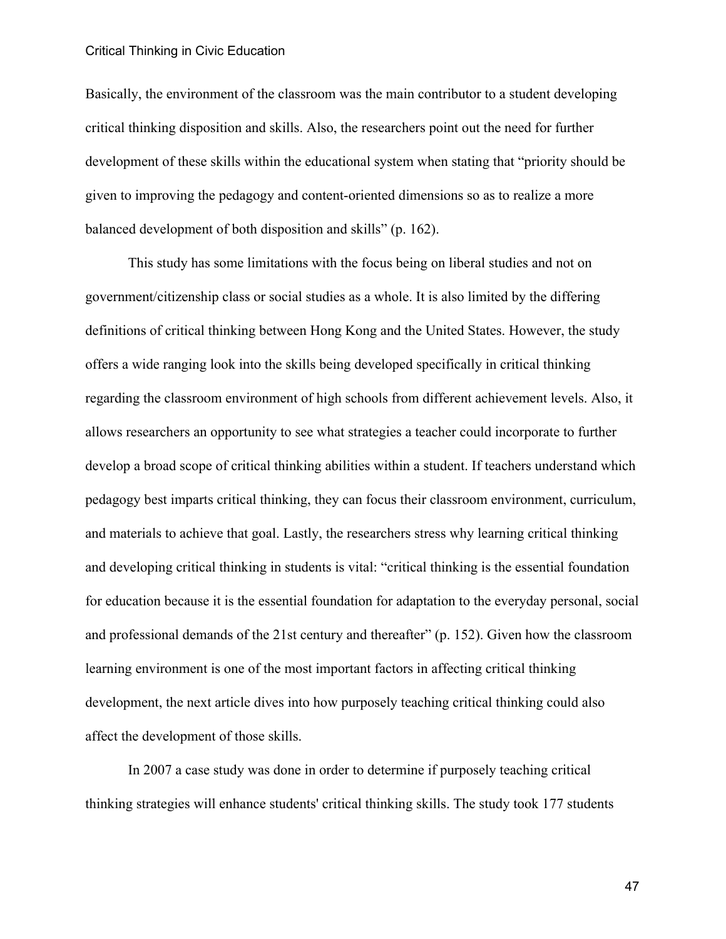Basically, the environment of the classroom was the main contributor to a student developing critical thinking disposition and skills. Also, the researchers point out the need for further development of these skills within the educational system when stating that "priority should be given to improving the pedagogy and content-oriented dimensions so as to realize a more balanced development of both disposition and skills" (p. 162).

This study has some limitations with the focus being on liberal studies and not on government/citizenship class or social studies as a whole. It is also limited by the differing definitions of critical thinking between Hong Kong and the United States. However, the study offers a wide ranging look into the skills being developed specifically in critical thinking regarding the classroom environment of high schools from different achievement levels. Also, it allows researchers an opportunity to see what strategies a teacher could incorporate to further develop a broad scope of critical thinking abilities within a student. If teachers understand which pedagogy best imparts critical thinking, they can focus their classroom environment, curriculum, and materials to achieve that goal. Lastly, the researchers stress why learning critical thinking and developing critical thinking in students is vital: "critical thinking is the essential foundation for education because it is the essential foundation for adaptation to the everyday personal, social and professional demands of the 21st century and thereafter" (p. 152). Given how the classroom learning environment is one of the most important factors in affecting critical thinking development, the next article dives into how purposely teaching critical thinking could also affect the development of those skills.

In 2007 a case study was done in order to determine if purposely teaching critical thinking strategies will enhance students' critical thinking skills. The study took 177 students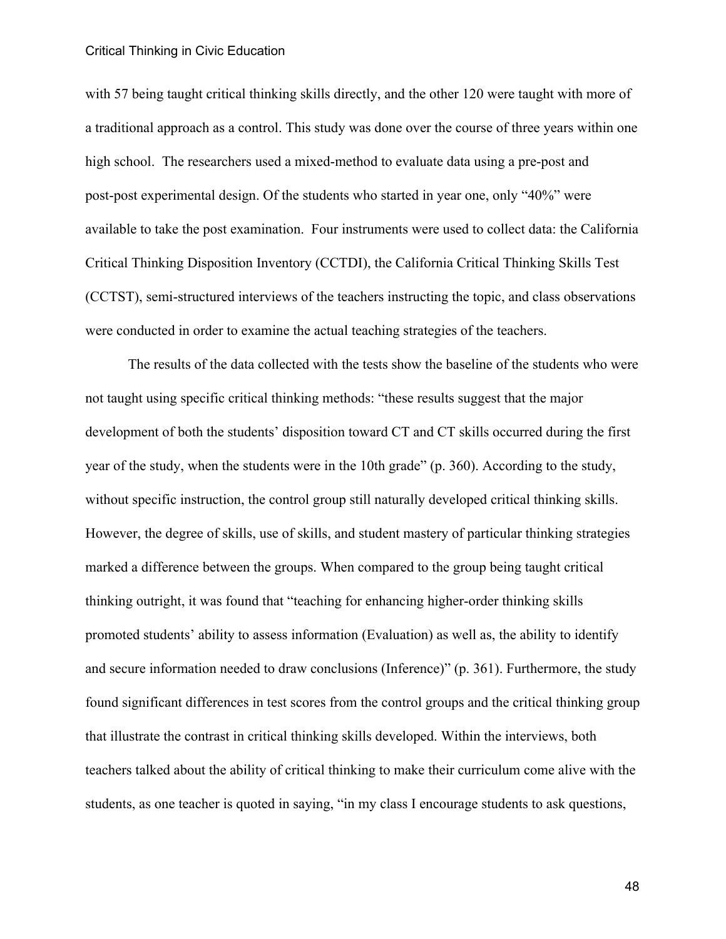with 57 being taught critical thinking skills directly, and the other 120 were taught with more of a traditional approach as a control. This study was done over the course of three years within one high school. The researchers used a mixed-method to evaluate data using a pre-post and post-post experimental design. Of the students who started in year one, only "40%" were available to take the post examination. Four instruments were used to collect data: the California Critical Thinking Disposition Inventory (CCTDI), the California Critical Thinking Skills Test (CCTST), semi-structured interviews of the teachers instructing the topic, and class observations were conducted in order to examine the actual teaching strategies of the teachers.

The results of the data collected with the tests show the baseline of the students who were not taught using specific critical thinking methods: "these results suggest that the major development of both the students' disposition toward CT and CT skills occurred during the first year of the study, when the students were in the 10th grade" (p. 360). According to the study, without specific instruction, the control group still naturally developed critical thinking skills. However, the degree of skills, use of skills, and student mastery of particular thinking strategies marked a difference between the groups. When compared to the group being taught critical thinking outright, it was found that "teaching for enhancing higher-order thinking skills promoted students' ability to assess information (Evaluation) as well as, the ability to identify and secure information needed to draw conclusions (Inference)" (p. 361). Furthermore, the study found significant differences in test scores from the control groups and the critical thinking group that illustrate the contrast in critical thinking skills developed. Within the interviews, both teachers talked about the ability of critical thinking to make their curriculum come alive with the students, as one teacher is quoted in saying, "in my class I encourage students to ask questions,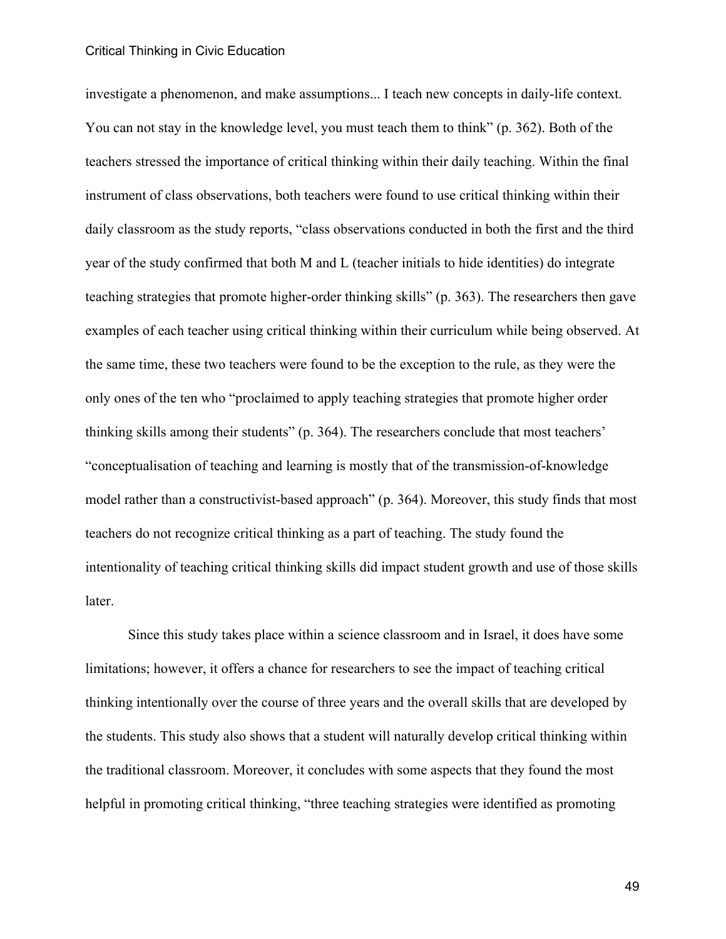investigate a phenomenon, and make assumptions... I teach new concepts in daily-life context. You can not stay in the knowledge level, you must teach them to think" (p. 362). Both of the teachers stressed the importance of critical thinking within their daily teaching. Within the final instrument of class observations, both teachers were found to use critical thinking within their daily classroom as the study reports, "class observations conducted in both the first and the third year of the study confirmed that both M and L (teacher initials to hide identities) do integrate teaching strategies that promote higher-order thinking skills" (p. 363). The researchers then gave examples of each teacher using critical thinking within their curriculum while being observed. At the same time, these two teachers were found to be the exception to the rule, as they were the only ones of the ten who "proclaimed to apply teaching strategies that promote higher order thinking skills among their students" (p. 364). The researchers conclude that most teachers' "conceptualisation of teaching and learning is mostly that of the transmission-of-knowledge model rather than a constructivist-based approach" (p. 364). Moreover, this study finds that most teachers do not recognize critical thinking as a part of teaching. The study found the intentionality of teaching critical thinking skills did impact student growth and use of those skills later.

Since this study takes place within a science classroom and in Israel, it does have some limitations; however, it offers a chance for researchers to see the impact of teaching critical thinking intentionally over the course of three years and the overall skills that are developed by the students. This study also shows that a student will naturally develop critical thinking within the traditional classroom. Moreover, it concludes with some aspects that they found the most helpful in promoting critical thinking, "three teaching strategies were identified as promoting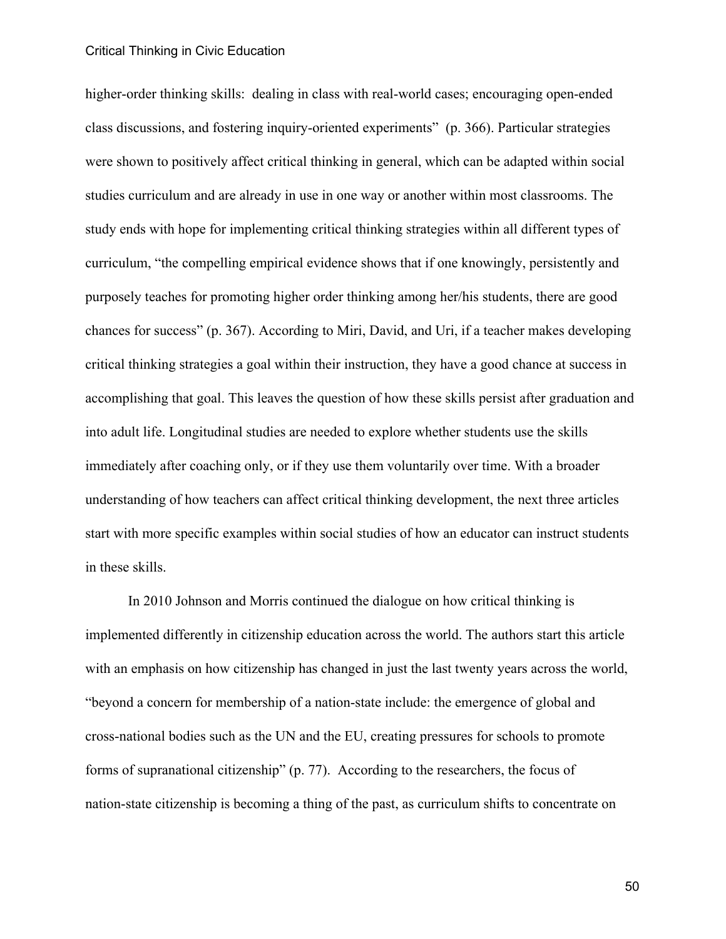higher-order thinking skills: dealing in class with real-world cases; encouraging open-ended class discussions, and fostering inquiry-oriented experiments" (p. 366). Particular strategies were shown to positively affect critical thinking in general, which can be adapted within social studies curriculum and are already in use in one way or another within most classrooms. The study ends with hope for implementing critical thinking strategies within all different types of curriculum, "the compelling empirical evidence shows that if one knowingly, persistently and purposely teaches for promoting higher order thinking among her/his students, there are good chances for success" (p. 367). According to Miri, David, and Uri, if a teacher makes developing critical thinking strategies a goal within their instruction, they have a good chance at success in accomplishing that goal. This leaves the question of how these skills persist after graduation and into adult life. Longitudinal studies are needed to explore whether students use the skills immediately after coaching only, or if they use them voluntarily over time. With a broader understanding of how teachers can affect critical thinking development, the next three articles start with more specific examples within social studies of how an educator can instruct students in these skills.

In 2010 Johnson and Morris continued the dialogue on how critical thinking is implemented differently in citizenship education across the world. The authors start this article with an emphasis on how citizenship has changed in just the last twenty years across the world, "beyond a concern for membership of a nation-state include: the emergence of global and cross-national bodies such as the UN and the EU, creating pressures for schools to promote forms of supranational citizenship" (p. 77). According to the researchers, the focus of nation-state citizenship is becoming a thing of the past, as curriculum shifts to concentrate on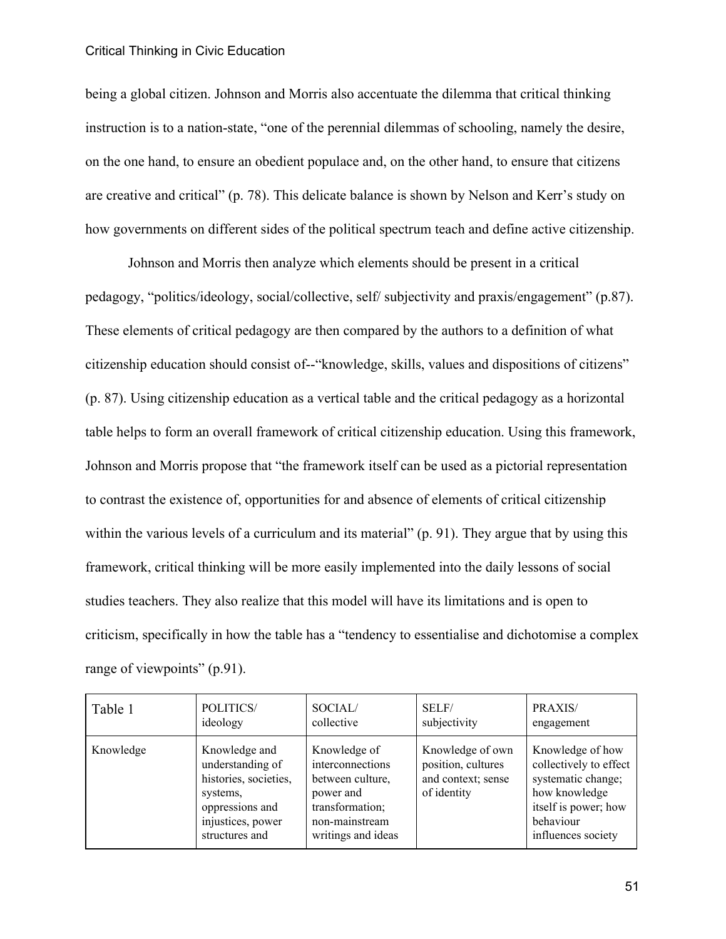being a global citizen. Johnson and Morris also accentuate the dilemma that critical thinking instruction is to a nation-state, "one of the perennial dilemmas of schooling, namely the desire, on the one hand, to ensure an obedient populace and, on the other hand, to ensure that citizens are creative and critical" (p. 78). This delicate balance is shown by Nelson and Kerr's study on how governments on different sides of the political spectrum teach and define active citizenship.

Johnson and Morris then analyze which elements should be present in a critical pedagogy, "politics/ideology, social/collective, self/ subjectivity and praxis/engagement" (p.87). These elements of critical pedagogy are then compared by the authors to a definition of what citizenship education should consist of--"knowledge, skills, values and dispositions of citizens" (p. 87). Using citizenship education as a vertical table and the critical pedagogy as a horizontal table helps to form an overall framework of critical citizenship education. Using this framework, Johnson and Morris propose that "the framework itself can be used as a pictorial representation to contrast the existence of, opportunities for and absence of elements of critical citizenship within the various levels of a curriculum and its material" (p. 91). They argue that by using this framework, critical thinking will be more easily implemented into the daily lessons of social studies teachers. They also realize that this model will have its limitations and is open to criticism, specifically in how the table has a "tendency to essentialise and dichotomise a complex range of viewpoints" (p.91).

| Table 1   | POLITICS/                                                                                                                        | SOCIAL/                                                                                                                      | SELF/                                                                       | PRAXIS/                                                                                                                                      |
|-----------|----------------------------------------------------------------------------------------------------------------------------------|------------------------------------------------------------------------------------------------------------------------------|-----------------------------------------------------------------------------|----------------------------------------------------------------------------------------------------------------------------------------------|
|           | ideology                                                                                                                         | collective                                                                                                                   | subjectivity                                                                | engagement                                                                                                                                   |
| Knowledge | Knowledge and<br>understanding of<br>histories, societies,<br>systems,<br>oppressions and<br>injustices, power<br>structures and | Knowledge of<br>interconnections<br>between culture,<br>power and<br>transformation;<br>non-mainstream<br>writings and ideas | Knowledge of own<br>position, cultures<br>and context; sense<br>of identity | Knowledge of how<br>collectively to effect<br>systematic change;<br>how knowledge<br>itself is power; how<br>behaviour<br>influences society |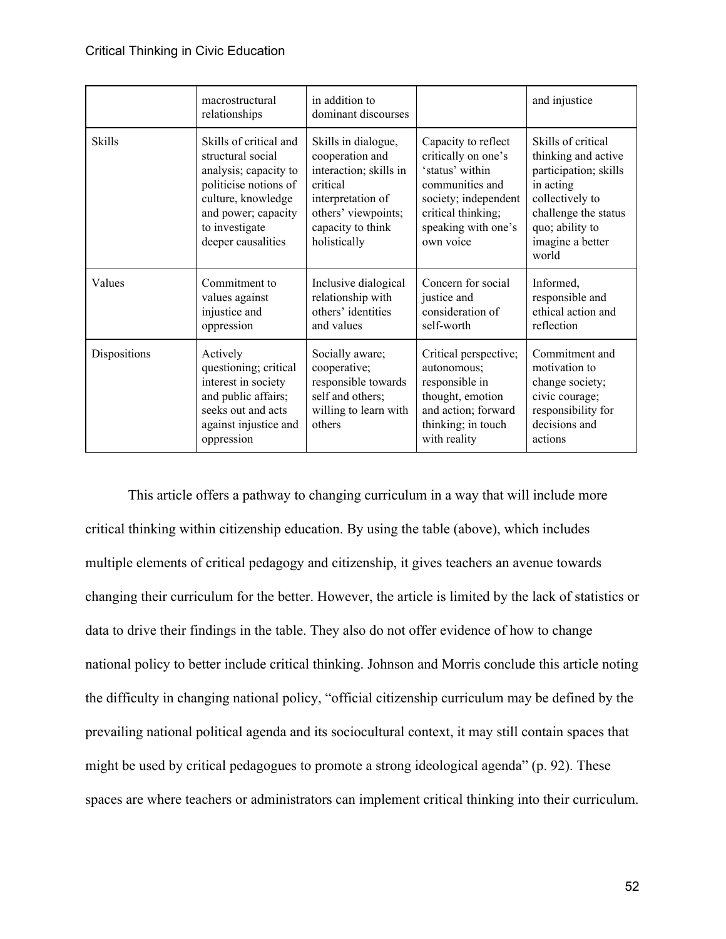|               | macrostructural<br>relationships                                                                                                                                                   | in addition to<br>dominant discourses                                                                                                                         |                                                                                                                                                                    | and injustice                                                                                                                                                              |
|---------------|------------------------------------------------------------------------------------------------------------------------------------------------------------------------------------|---------------------------------------------------------------------------------------------------------------------------------------------------------------|--------------------------------------------------------------------------------------------------------------------------------------------------------------------|----------------------------------------------------------------------------------------------------------------------------------------------------------------------------|
| <b>Skills</b> | Skills of critical and<br>structural social<br>analysis; capacity to<br>politicise notions of<br>culture, knowledge<br>and power; capacity<br>to investigate<br>deeper causalities | Skills in dialogue,<br>cooperation and<br>interaction; skills in<br>critical<br>interpretation of<br>others' viewpoints;<br>capacity to think<br>holistically | Capacity to reflect<br>critically on one's<br>'status' within<br>communities and<br>society; independent<br>critical thinking;<br>speaking with one's<br>own voice | Skills of critical<br>thinking and active<br>participation; skills<br>in acting<br>collectively to<br>challenge the status<br>quo; ability to<br>imagine a better<br>world |
| Values        | Commitment to<br>values against<br>injustice and<br>oppression                                                                                                                     | Inclusive dialogical<br>relationship with<br>others' identities<br>and values                                                                                 | Concern for social<br>justice and<br>consideration of<br>self-worth                                                                                                | Informed,<br>responsible and<br>ethical action and<br>reflection                                                                                                           |
| Dispositions  | Actively<br>questioning; critical<br>interest in society<br>and public affairs;<br>seeks out and acts<br>against injustice and<br>oppression                                       | Socially aware;<br>cooperative;<br>responsible towards<br>self and others;<br>willing to learn with<br>others                                                 | Critical perspective;<br>autonomous;<br>responsible in<br>thought, emotion<br>and action; forward<br>thinking; in touch<br>with reality                            | Commitment and<br>motivation to<br>change society;<br>civic courage;<br>responsibility for<br>decisions and<br>actions                                                     |

This article offers a pathway to changing curriculum in a way that will include more critical thinking within citizenship education. By using the table (above), which includes multiple elements of critical pedagogy and citizenship, it gives teachers an avenue towards changing their curriculum for the better. However, the article is limited by the lack of statistics or data to drive their findings in the table. They also do not offer evidence of how to change national policy to better include critical thinking. Johnson and Morris conclude this article noting the difficulty in changing national policy, "official citizenship curriculum may be defined by the prevailing national political agenda and its sociocultural context, it may still contain spaces that might be used by critical pedagogues to promote a strong ideological agenda" (p. 92). These spaces are where teachers or administrators can implement critical thinking into their curriculum.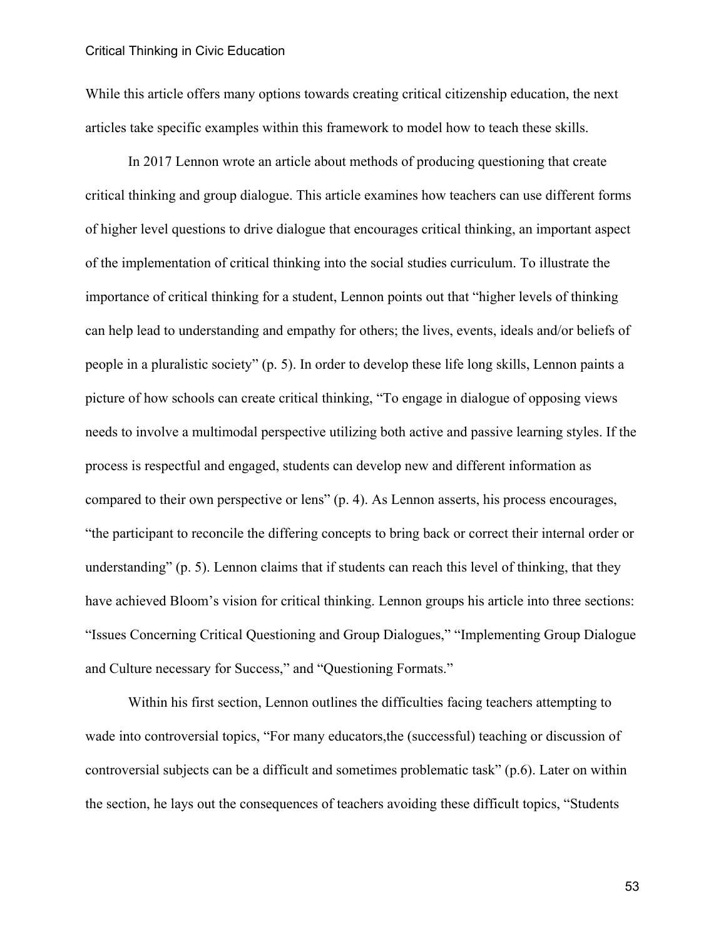While this article offers many options towards creating critical citizenship education, the next articles take specific examples within this framework to model how to teach these skills.

In 2017 Lennon wrote an article about methods of producing questioning that create critical thinking and group dialogue. This article examines how teachers can use different forms of higher level questions to drive dialogue that encourages critical thinking, an important aspect of the implementation of critical thinking into the social studies curriculum. To illustrate the importance of critical thinking for a student, Lennon points out that "higher levels of thinking can help lead to understanding and empathy for others; the lives, events, ideals and/or beliefs of people in a pluralistic society" (p. 5). In order to develop these life long skills, Lennon paints a picture of how schools can create critical thinking, "To engage in dialogue of opposing views needs to involve a multimodal perspective utilizing both active and passive learning styles. If the process is respectful and engaged, students can develop new and different information as compared to their own perspective or lens" (p. 4). As Lennon asserts, his process encourages, "the participant to reconcile the differing concepts to bring back or correct their internal order or understanding" (p. 5). Lennon claims that if students can reach this level of thinking, that they have achieved Bloom's vision for critical thinking. Lennon groups his article into three sections: "Issues Concerning Critical Questioning and Group Dialogues," "Implementing Group Dialogue and Culture necessary for Success," and "Questioning Formats."

Within his first section, Lennon outlines the difficulties facing teachers attempting to wade into controversial topics, "For many educators,the (successful) teaching or discussion of controversial subjects can be a difficult and sometimes problematic task" (p.6). Later on within the section, he lays out the consequences of teachers avoiding these difficult topics, "Students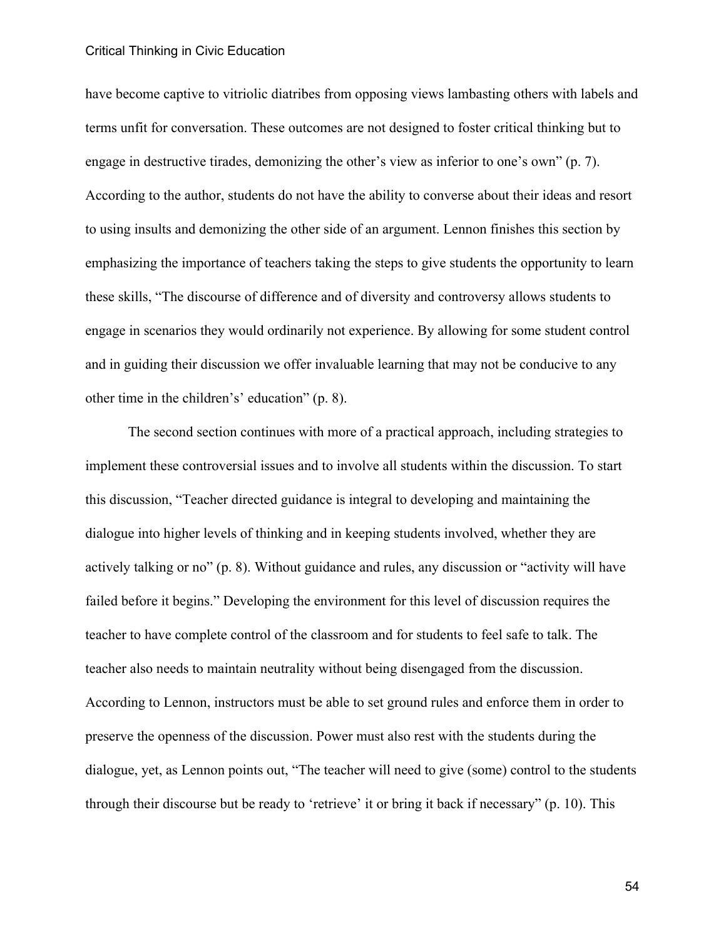have become captive to vitriolic diatribes from opposing views lambasting others with labels and terms unfit for conversation. These outcomes are not designed to foster critical thinking but to engage in destructive tirades, demonizing the other's view as inferior to one's own" (p. 7). According to the author, students do not have the ability to converse about their ideas and resort to using insults and demonizing the other side of an argument. Lennon finishes this section by emphasizing the importance of teachers taking the steps to give students the opportunity to learn these skills, "The discourse of difference and of diversity and controversy allows students to engage in scenarios they would ordinarily not experience. By allowing for some student control and in guiding their discussion we offer invaluable learning that may not be conducive to any other time in the children's' education" (p. 8).

The second section continues with more of a practical approach, including strategies to implement these controversial issues and to involve all students within the discussion. To start this discussion, "Teacher directed guidance is integral to developing and maintaining the dialogue into higher levels of thinking and in keeping students involved, whether they are actively talking or no" (p. 8). Without guidance and rules, any discussion or "activity will have failed before it begins." Developing the environment for this level of discussion requires the teacher to have complete control of the classroom and for students to feel safe to talk. The teacher also needs to maintain neutrality without being disengaged from the discussion. According to Lennon, instructors must be able to set ground rules and enforce them in order to preserve the openness of the discussion. Power must also rest with the students during the dialogue, yet, as Lennon points out, "The teacher will need to give (some) control to the students through their discourse but be ready to 'retrieve' it or bring it back if necessary" (p. 10). This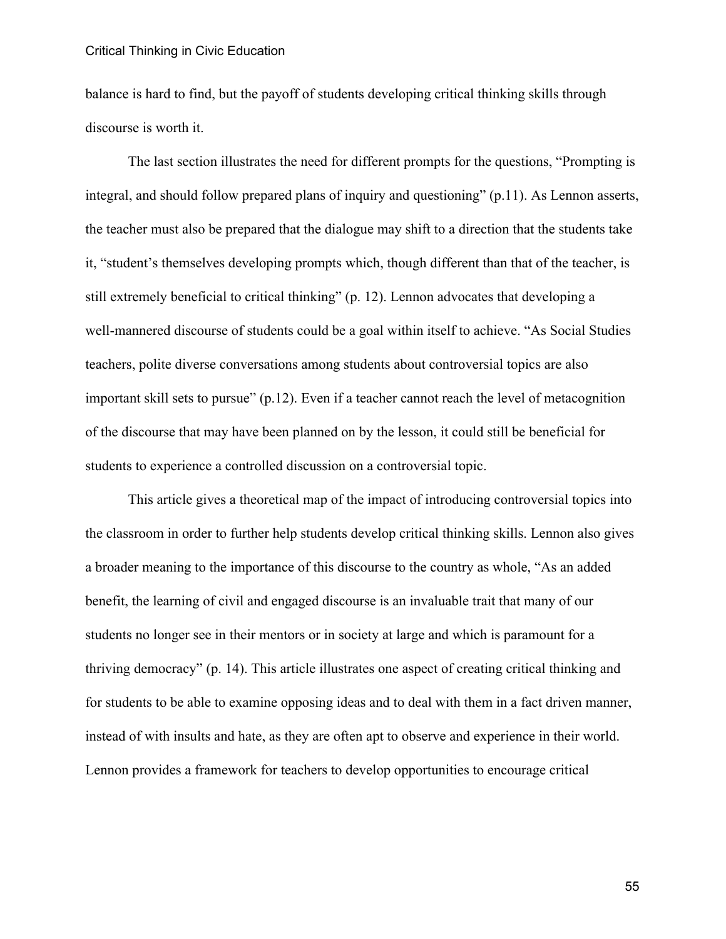balance is hard to find, but the payoff of students developing critical thinking skills through discourse is worth it.

The last section illustrates the need for different prompts for the questions, "Prompting is integral, and should follow prepared plans of inquiry and questioning" (p.11). As Lennon asserts, the teacher must also be prepared that the dialogue may shift to a direction that the students take it, "student's themselves developing prompts which, though different than that of the teacher, is still extremely beneficial to critical thinking" (p. 12). Lennon advocates that developing a well-mannered discourse of students could be a goal within itself to achieve. "As Social Studies teachers, polite diverse conversations among students about controversial topics are also important skill sets to pursue" (p.12). Even if a teacher cannot reach the level of metacognition of the discourse that may have been planned on by the lesson, it could still be beneficial for students to experience a controlled discussion on a controversial topic.

This article gives a theoretical map of the impact of introducing controversial topics into the classroom in order to further help students develop critical thinking skills. Lennon also gives a broader meaning to the importance of this discourse to the country as whole, "As an added benefit, the learning of civil and engaged discourse is an invaluable trait that many of our students no longer see in their mentors or in society at large and which is paramount for a thriving democracy" (p. 14). This article illustrates one aspect of creating critical thinking and for students to be able to examine opposing ideas and to deal with them in a fact driven manner, instead of with insults and hate, as they are often apt to observe and experience in their world. Lennon provides a framework for teachers to develop opportunities to encourage critical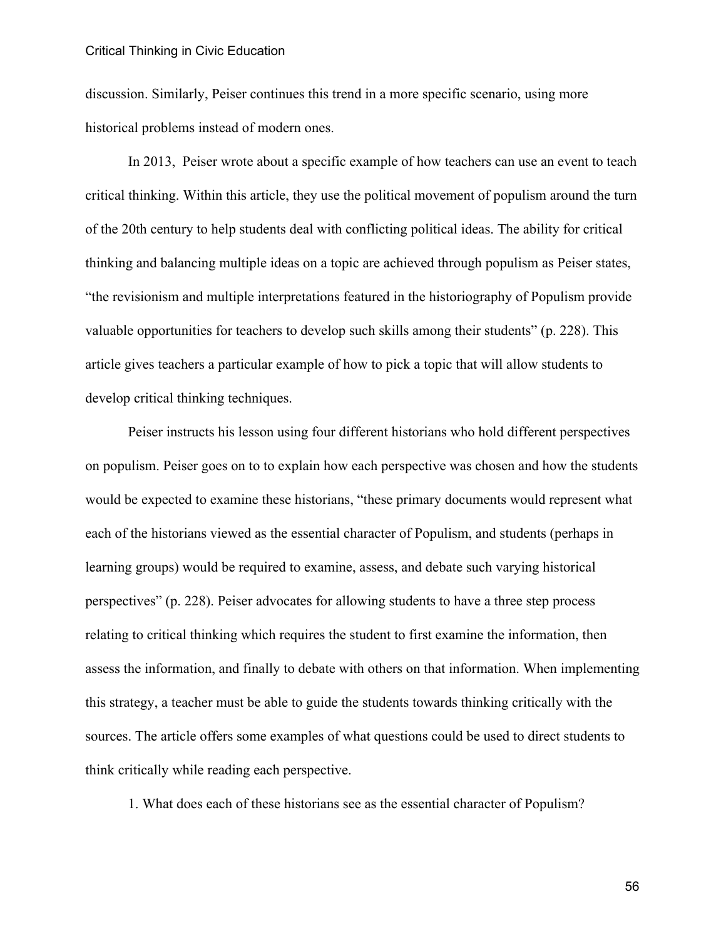discussion. Similarly, Peiser continues this trend in a more specific scenario, using more historical problems instead of modern ones.

In 2013, Peiser wrote about a specific example of how teachers can use an event to teach critical thinking. Within this article, they use the political movement of populism around the turn of the 20th century to help students deal with conflicting political ideas. The ability for critical thinking and balancing multiple ideas on a topic are achieved through populism as Peiser states, "the revisionism and multiple interpretations featured in the historiography of Populism provide valuable opportunities for teachers to develop such skills among their students" (p. 228). This article gives teachers a particular example of how to pick a topic that will allow students to develop critical thinking techniques.

Peiser instructs his lesson using four different historians who hold different perspectives on populism. Peiser goes on to to explain how each perspective was chosen and how the students would be expected to examine these historians, "these primary documents would represent what each of the historians viewed as the essential character of Populism, and students (perhaps in learning groups) would be required to examine, assess, and debate such varying historical perspectives" (p. 228). Peiser advocates for allowing students to have a three step process relating to critical thinking which requires the student to first examine the information, then assess the information, and finally to debate with others on that information. When implementing this strategy, a teacher must be able to guide the students towards thinking critically with the sources. The article offers some examples of what questions could be used to direct students to think critically while reading each perspective.

1. What does each of these historians see as the essential character of Populism?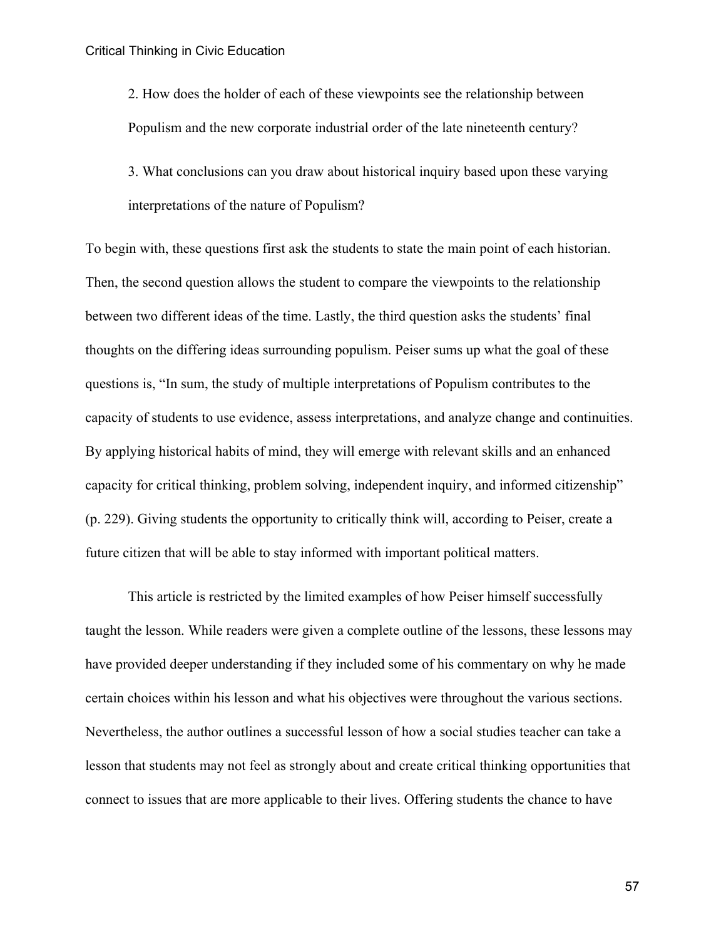2. How does the holder of each of these viewpoints see the relationship between Populism and the new corporate industrial order of the late nineteenth century?

3. What conclusions can you draw about historical inquiry based upon these varying interpretations of the nature of Populism?

To begin with, these questions first ask the students to state the main point of each historian. Then, the second question allows the student to compare the viewpoints to the relationship between two different ideas of the time. Lastly, the third question asks the students' final thoughts on the differing ideas surrounding populism. Peiser sums up what the goal of these questions is, "In sum, the study of multiple interpretations of Populism contributes to the capacity of students to use evidence, assess interpretations, and analyze change and continuities. By applying historical habits of mind, they will emerge with relevant skills and an enhanced capacity for critical thinking, problem solving, independent inquiry, and informed citizenship" (p. 229). Giving students the opportunity to critically think will, according to Peiser, create a future citizen that will be able to stay informed with important political matters.

This article is restricted by the limited examples of how Peiser himself successfully taught the lesson. While readers were given a complete outline of the lessons, these lessons may have provided deeper understanding if they included some of his commentary on why he made certain choices within his lesson and what his objectives were throughout the various sections. Nevertheless, the author outlines a successful lesson of how a social studies teacher can take a lesson that students may not feel as strongly about and create critical thinking opportunities that connect to issues that are more applicable to their lives. Offering students the chance to have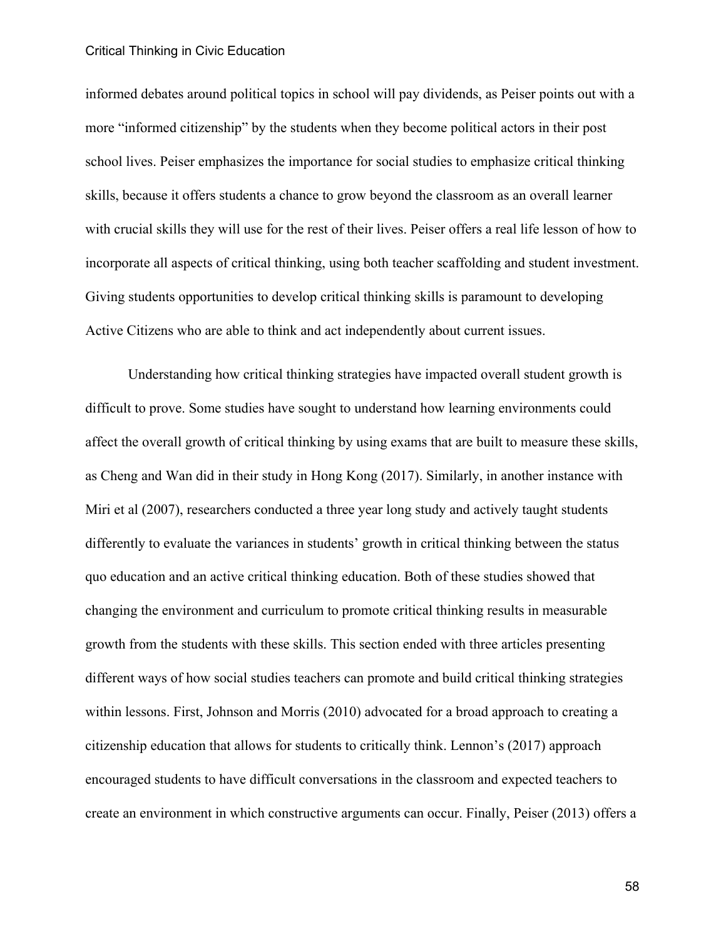informed debates around political topics in school will pay dividends, as Peiser points out with a more "informed citizenship" by the students when they become political actors in their post school lives. Peiser emphasizes the importance for social studies to emphasize critical thinking skills, because it offers students a chance to grow beyond the classroom as an overall learner with crucial skills they will use for the rest of their lives. Peiser offers a real life lesson of how to incorporate all aspects of critical thinking, using both teacher scaffolding and student investment. Giving students opportunities to develop critical thinking skills is paramount to developing Active Citizens who are able to think and act independently about current issues.

Understanding how critical thinking strategies have impacted overall student growth is difficult to prove. Some studies have sought to understand how learning environments could affect the overall growth of critical thinking by using exams that are built to measure these skills, as Cheng and Wan did in their study in Hong Kong (2017). Similarly, in another instance with Miri et al (2007), researchers conducted a three year long study and actively taught students differently to evaluate the variances in students' growth in critical thinking between the status quo education and an active critical thinking education. Both of these studies showed that changing the environment and curriculum to promote critical thinking results in measurable growth from the students with these skills. This section ended with three articles presenting different ways of how social studies teachers can promote and build critical thinking strategies within lessons. First, Johnson and Morris (2010) advocated for a broad approach to creating a citizenship education that allows for students to critically think. Lennon's (2017) approach encouraged students to have difficult conversations in the classroom and expected teachers to create an environment in which constructive arguments can occur. Finally, Peiser (2013) offers a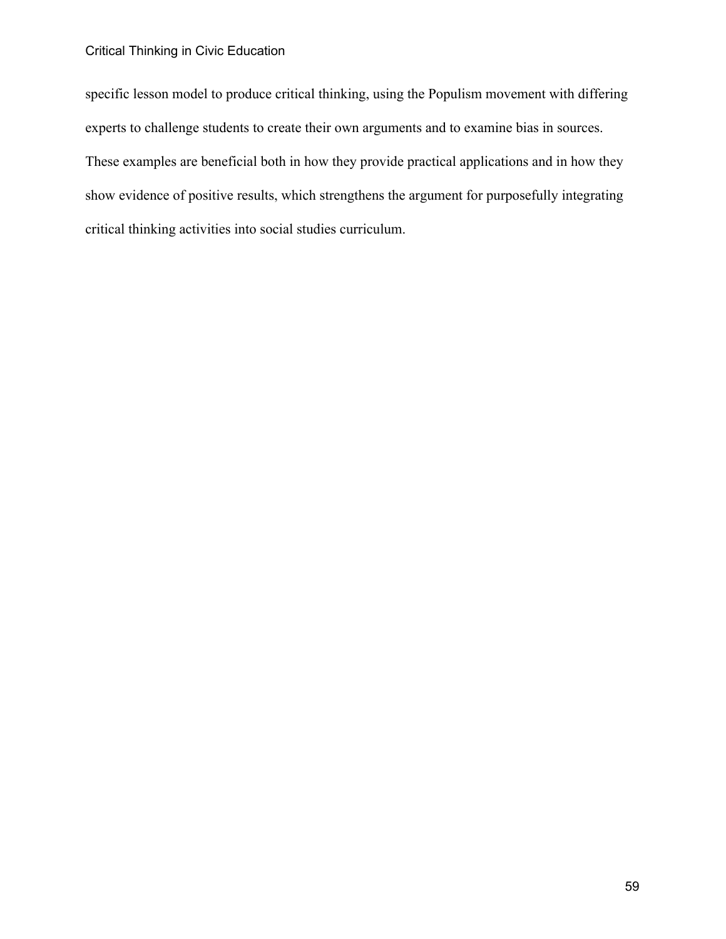specific lesson model to produce critical thinking, using the Populism movement with differing experts to challenge students to create their own arguments and to examine bias in sources. These examples are beneficial both in how they provide practical applications and in how they show evidence of positive results, which strengthens the argument for purposefully integrating critical thinking activities into social studies curriculum.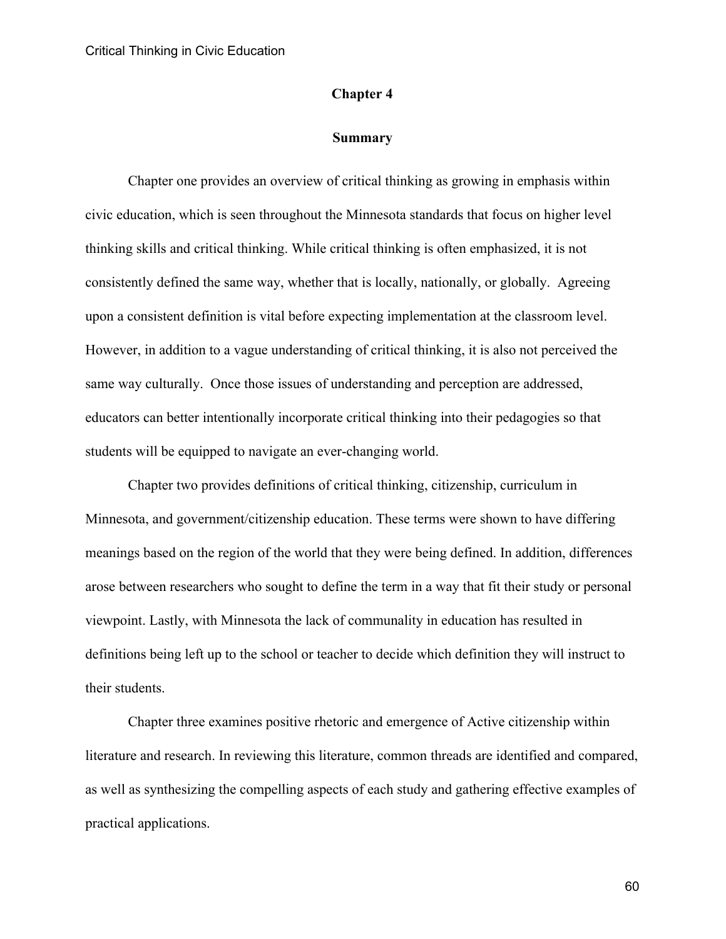#### **Chapter 4**

#### **Summary**

Chapter one provides an overview of critical thinking as growing in emphasis within civic education, which is seen throughout the Minnesota standards that focus on higher level thinking skills and critical thinking. While critical thinking is often emphasized, it is not consistently defined the same way, whether that is locally, nationally, or globally. Agreeing upon a consistent definition is vital before expecting implementation at the classroom level. However, in addition to a vague understanding of critical thinking, it is also not perceived the same way culturally. Once those issues of understanding and perception are addressed, educators can better intentionally incorporate critical thinking into their pedagogies so that students will be equipped to navigate an ever-changing world.

Chapter two provides definitions of critical thinking, citizenship, curriculum in Minnesota, and government/citizenship education. These terms were shown to have differing meanings based on the region of the world that they were being defined. In addition, differences arose between researchers who sought to define the term in a way that fit their study or personal viewpoint. Lastly, with Minnesota the lack of communality in education has resulted in definitions being left up to the school or teacher to decide which definition they will instruct to their students.

Chapter three examines positive rhetoric and emergence of Active citizenship within literature and research. In reviewing this literature, common threads are identified and compared, as well as synthesizing the compelling aspects of each study and gathering effective examples of practical applications.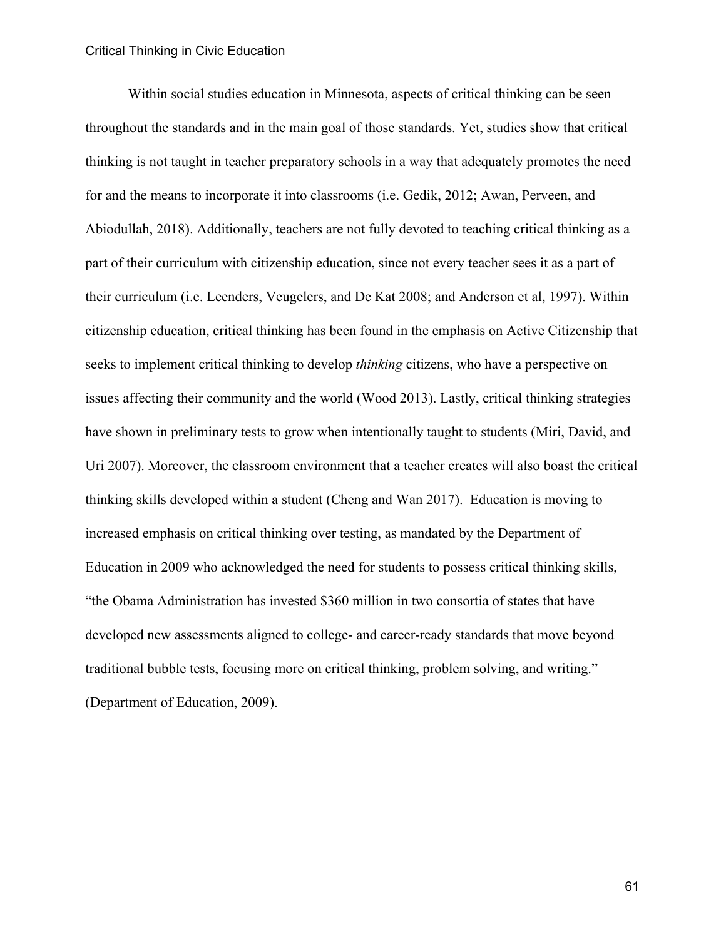Within social studies education in Minnesota, aspects of critical thinking can be seen throughout the standards and in the main goal of those standards. Yet, studies show that critical thinking is not taught in teacher preparatory schools in a way that adequately promotes the need for and the means to incorporate it into classrooms (i.e. Gedik, 2012; Awan, Perveen, and Abiodullah, 2018). Additionally, teachers are not fully devoted to teaching critical thinking as a part of their curriculum with citizenship education, since not every teacher sees it as a part of their curriculum (i.e. Leenders, Veugelers, and De Kat 2008; and Anderson et al, 1997). Within citizenship education, critical thinking has been found in the emphasis on Active Citizenship that seeks to implement critical thinking to develop *thinking* citizens, who have a perspective on issues affecting their community and the world (Wood 2013). Lastly, critical thinking strategies have shown in preliminary tests to grow when intentionally taught to students (Miri, David, and Uri 2007). Moreover, the classroom environment that a teacher creates will also boast the critical thinking skills developed within a student (Cheng and Wan 2017). Education is moving to increased emphasis on critical thinking over testing, as mandated by the Department of Education in 2009 who acknowledged the need for students to possess critical thinking skills, "the Obama Administration has invested \$360 million in two consortia of states that have developed new assessments aligned to college- and career-ready standards that move beyond traditional bubble tests, focusing more on critical thinking, problem solving, and writing." (Department of Education, 2009).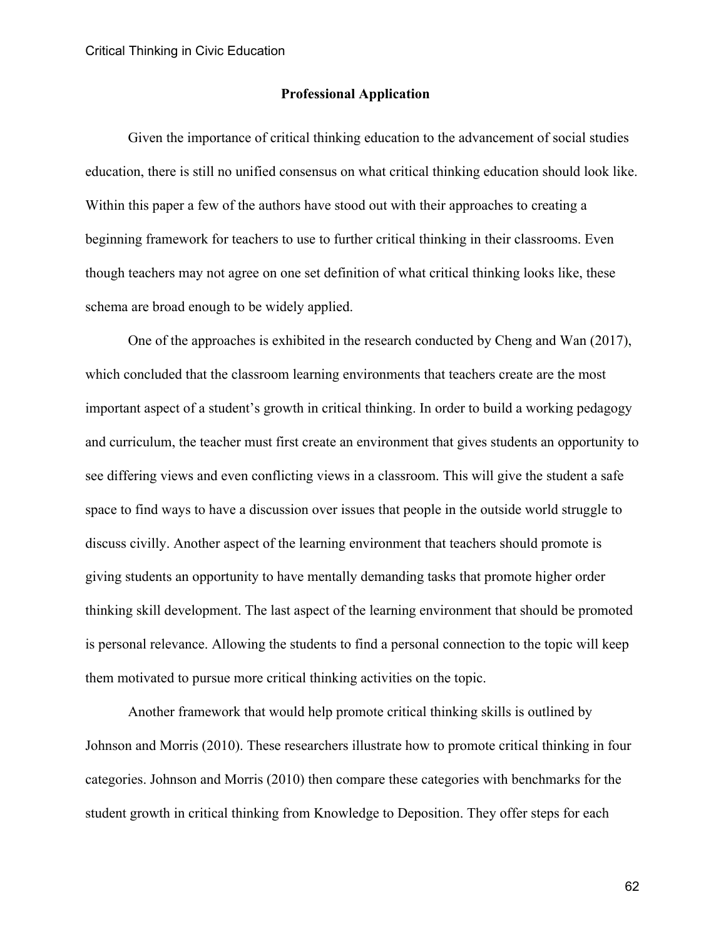### **Professional Application**

Given the importance of critical thinking education to the advancement of social studies education, there is still no unified consensus on what critical thinking education should look like. Within this paper a few of the authors have stood out with their approaches to creating a beginning framework for teachers to use to further critical thinking in their classrooms. Even though teachers may not agree on one set definition of what critical thinking looks like, these schema are broad enough to be widely applied.

One of the approaches is exhibited in the research conducted by Cheng and Wan (2017), which concluded that the classroom learning environments that teachers create are the most important aspect of a student's growth in critical thinking. In order to build a working pedagogy and curriculum, the teacher must first create an environment that gives students an opportunity to see differing views and even conflicting views in a classroom. This will give the student a safe space to find ways to have a discussion over issues that people in the outside world struggle to discuss civilly. Another aspect of the learning environment that teachers should promote is giving students an opportunity to have mentally demanding tasks that promote higher order thinking skill development. The last aspect of the learning environment that should be promoted is personal relevance. Allowing the students to find a personal connection to the topic will keep them motivated to pursue more critical thinking activities on the topic.

Another framework that would help promote critical thinking skills is outlined by Johnson and Morris (2010). These researchers illustrate how to promote critical thinking in four categories. Johnson and Morris (2010) then compare these categories with benchmarks for the student growth in critical thinking from Knowledge to Deposition. They offer steps for each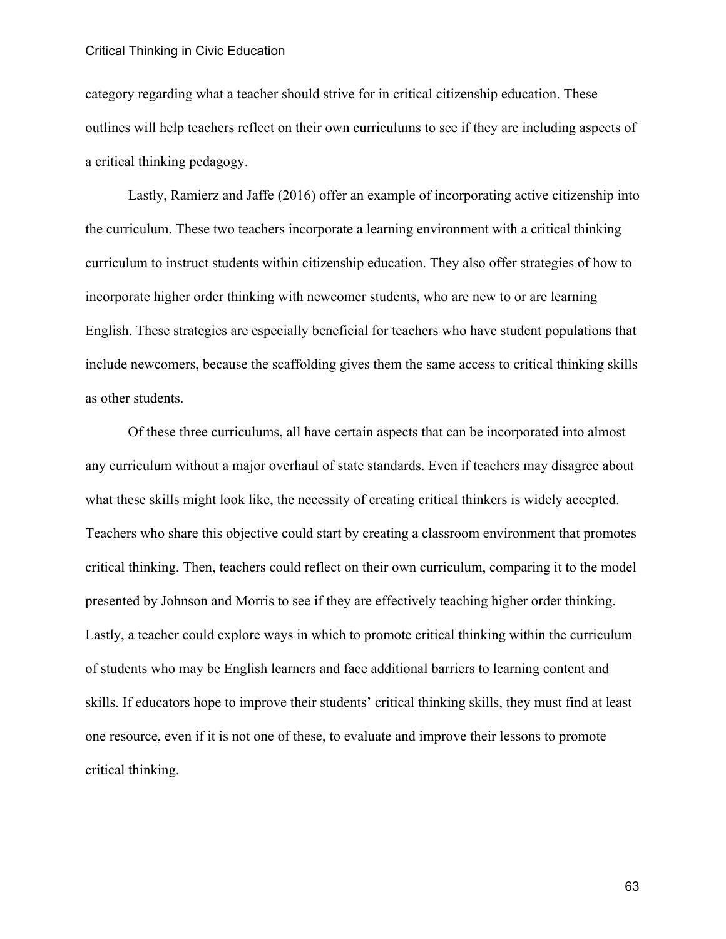category regarding what a teacher should strive for in critical citizenship education. These outlines will help teachers reflect on their own curriculums to see if they are including aspects of a critical thinking pedagogy.

Lastly, Ramierz and Jaffe (2016) offer an example of incorporating active citizenship into the curriculum. These two teachers incorporate a learning environment with a critical thinking curriculum to instruct students within citizenship education. They also offer strategies of how to incorporate higher order thinking with newcomer students, who are new to or are learning English. These strategies are especially beneficial for teachers who have student populations that include newcomers, because the scaffolding gives them the same access to critical thinking skills as other students.

Of these three curriculums, all have certain aspects that can be incorporated into almost any curriculum without a major overhaul of state standards. Even if teachers may disagree about what these skills might look like, the necessity of creating critical thinkers is widely accepted. Teachers who share this objective could start by creating a classroom environment that promotes critical thinking. Then, teachers could reflect on their own curriculum, comparing it to the model presented by Johnson and Morris to see if they are effectively teaching higher order thinking. Lastly, a teacher could explore ways in which to promote critical thinking within the curriculum of students who may be English learners and face additional barriers to learning content and skills. If educators hope to improve their students' critical thinking skills, they must find at least one resource, even if it is not one of these, to evaluate and improve their lessons to promote critical thinking.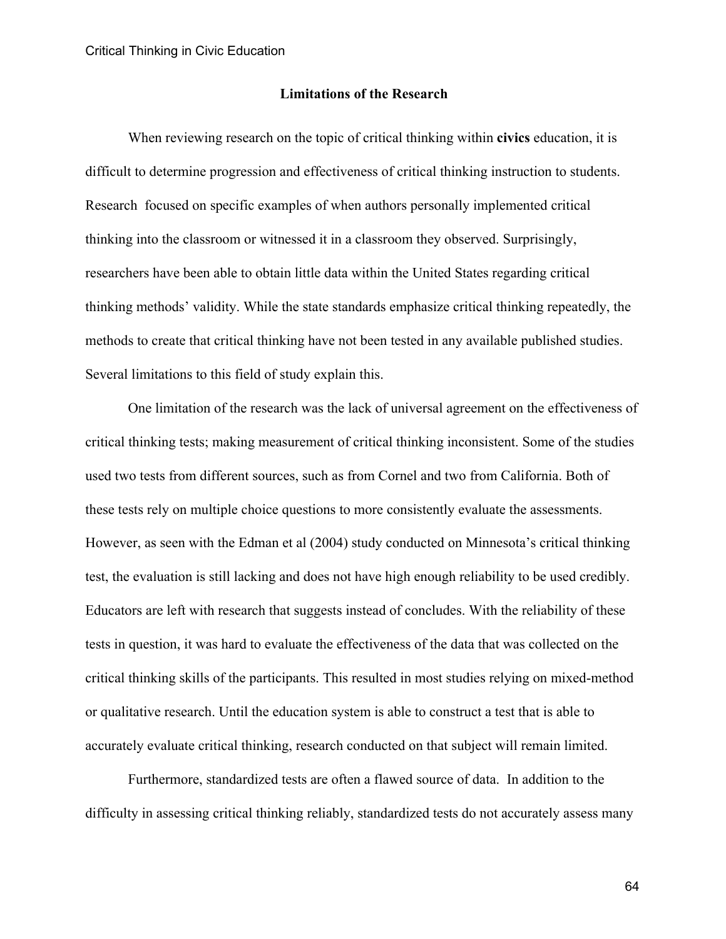## **Limitations of the Research**

When reviewing research on the topic of critical thinking within **civics** education, it is difficult to determine progression and effectiveness of critical thinking instruction to students. Research focused on specific examples of when authors personally implemented critical thinking into the classroom or witnessed it in a classroom they observed. Surprisingly, researchers have been able to obtain little data within the United States regarding critical thinking methods' validity. While the state standards emphasize critical thinking repeatedly, the methods to create that critical thinking have not been tested in any available published studies. Several limitations to this field of study explain this.

One limitation of the research was the lack of universal agreement on the effectiveness of critical thinking tests; making measurement of critical thinking inconsistent. Some of the studies used two tests from different sources, such as from Cornel and two from California. Both of these tests rely on multiple choice questions to more consistently evaluate the assessments. However, as seen with the Edman et al (2004) study conducted on Minnesota's critical thinking test, the evaluation is still lacking and does not have high enough reliability to be used credibly. Educators are left with research that suggests instead of concludes. With the reliability of these tests in question, it was hard to evaluate the effectiveness of the data that was collected on the critical thinking skills of the participants. This resulted in most studies relying on mixed-method or qualitative research. Until the education system is able to construct a test that is able to accurately evaluate critical thinking, research conducted on that subject will remain limited.

Furthermore, standardized tests are often a flawed source of data. In addition to the difficulty in assessing critical thinking reliably, standardized tests do not accurately assess many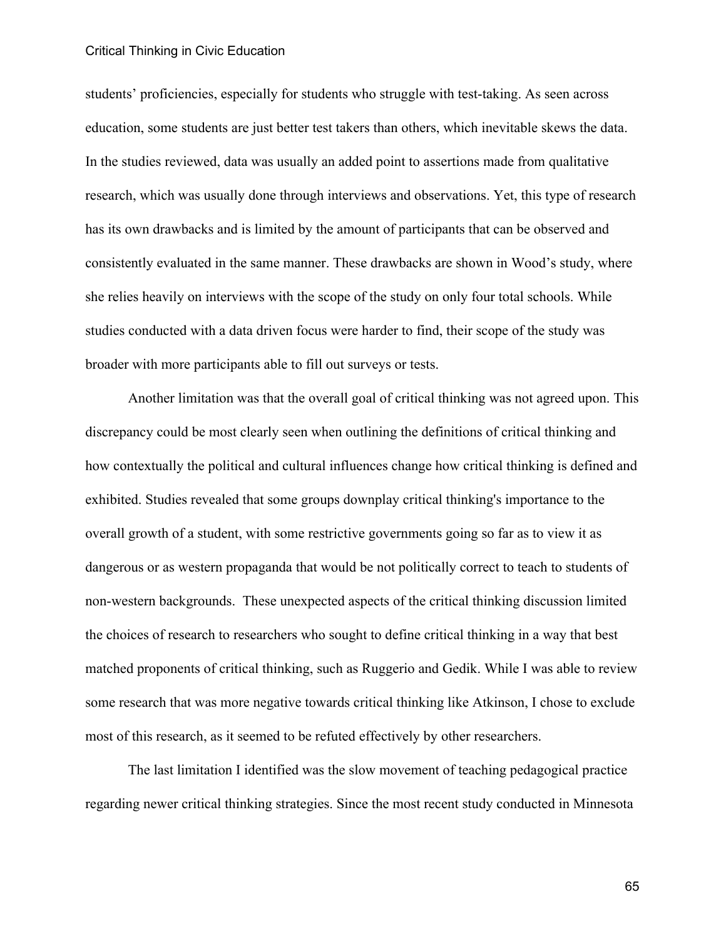students' proficiencies, especially for students who struggle with test-taking. As seen across education, some students are just better test takers than others, which inevitable skews the data. In the studies reviewed, data was usually an added point to assertions made from qualitative research, which was usually done through interviews and observations. Yet, this type of research has its own drawbacks and is limited by the amount of participants that can be observed and consistently evaluated in the same manner. These drawbacks are shown in Wood's study, where she relies heavily on interviews with the scope of the study on only four total schools. While studies conducted with a data driven focus were harder to find, their scope of the study was broader with more participants able to fill out surveys or tests.

Another limitation was that the overall goal of critical thinking was not agreed upon. This discrepancy could be most clearly seen when outlining the definitions of critical thinking and how contextually the political and cultural influences change how critical thinking is defined and exhibited. Studies revealed that some groups downplay critical thinking's importance to the overall growth of a student, with some restrictive governments going so far as to view it as dangerous or as western propaganda that would be not politically correct to teach to students of non-western backgrounds. These unexpected aspects of the critical thinking discussion limited the choices of research to researchers who sought to define critical thinking in a way that best matched proponents of critical thinking, such as Ruggerio and Gedik. While I was able to review some research that was more negative towards critical thinking like Atkinson, I chose to exclude most of this research, as it seemed to be refuted effectively by other researchers.

The last limitation I identified was the slow movement of teaching pedagogical practice regarding newer critical thinking strategies. Since the most recent study conducted in Minnesota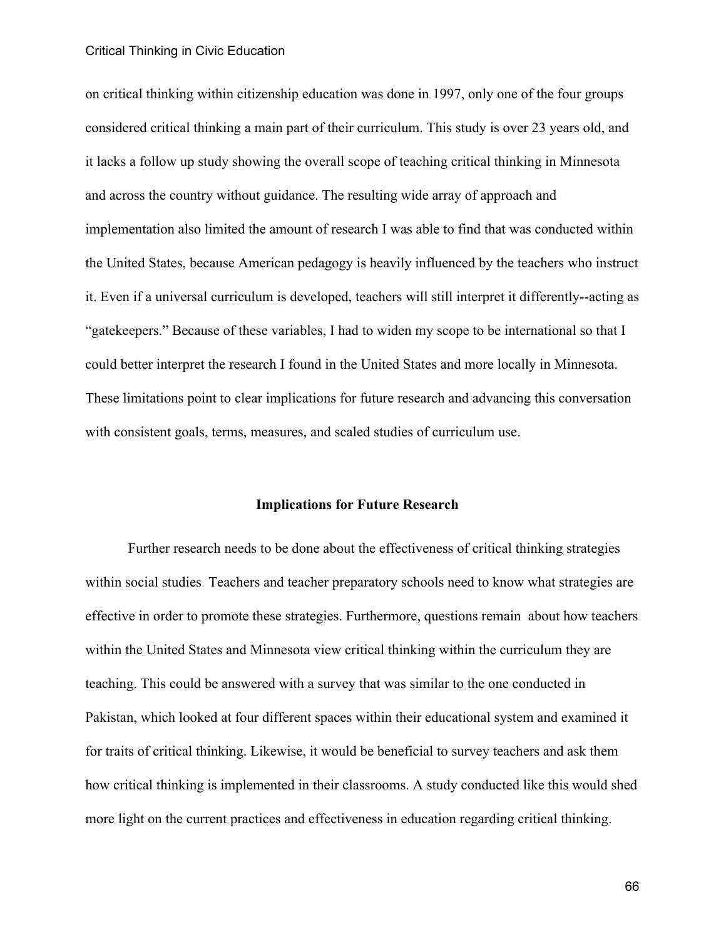on critical thinking within citizenship education was done in 1997, only one of the four groups considered critical thinking a main part of their curriculum. This study is over 23 years old, and it lacks a follow up study showing the overall scope of teaching critical thinking in Minnesota and across the country without guidance. The resulting wide array of approach and implementation also limited the amount of research I was able to find that was conducted within the United States, because American pedagogy is heavily influenced by the teachers who instruct it. Even if a universal curriculum is developed, teachers will still interpret it differently--acting as "gatekeepers." Because of these variables, I had to widen my scope to be international so that I could better interpret the research I found in the United States and more locally in Minnesota. These limitations point to clear implications for future research and advancing this conversation with consistent goals, terms, measures, and scaled studies of curriculum use.

### **Implications for Future Research**

Further research needs to be done about the effectiveness of critical thinking strategies within social studies. Teachers and teacher preparatory schools need to know what strategies are effective in order to promote these strategies. Furthermore, questions remain about how teachers within the United States and Minnesota view critical thinking within the curriculum they are teaching. This could be answered with a survey that was similar to the one conducted in Pakistan, which looked at four different spaces within their educational system and examined it for traits of critical thinking. Likewise, it would be beneficial to survey teachers and ask them how critical thinking is implemented in their classrooms. A study conducted like this would shed more light on the current practices and effectiveness in education regarding critical thinking.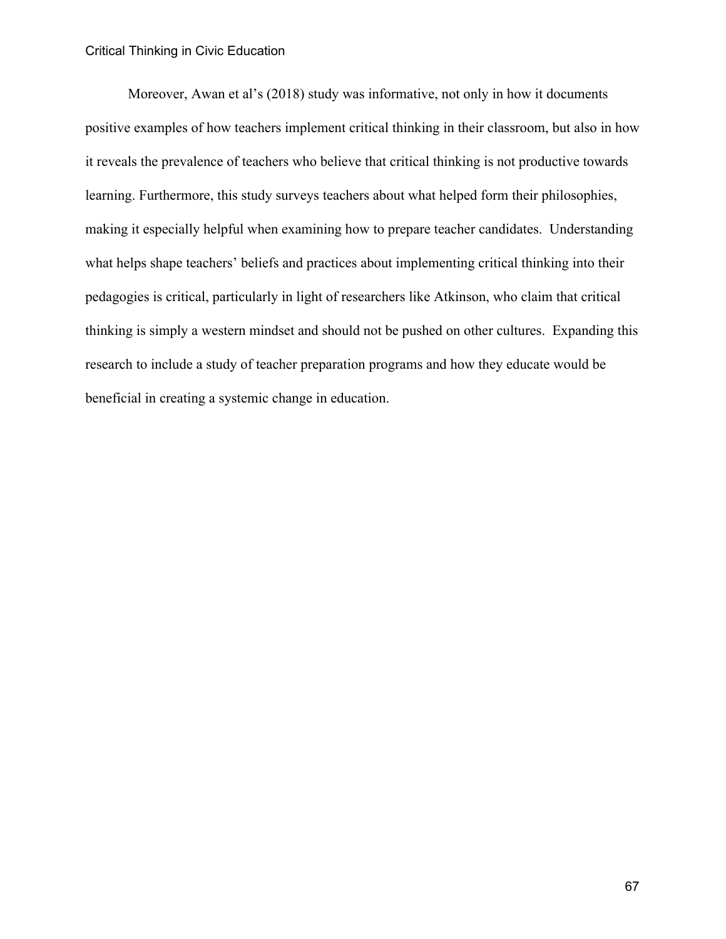Moreover, Awan et al's (2018) study was informative, not only in how it documents positive examples of how teachers implement critical thinking in their classroom, but also in how it reveals the prevalence of teachers who believe that critical thinking is not productive towards learning. Furthermore, this study surveys teachers about what helped form their philosophies, making it especially helpful when examining how to prepare teacher candidates. Understanding what helps shape teachers' beliefs and practices about implementing critical thinking into their pedagogies is critical, particularly in light of researchers like Atkinson, who claim that critical thinking is simply a western mindset and should not be pushed on other cultures. Expanding this research to include a study of teacher preparation programs and how they educate would be beneficial in creating a systemic change in education.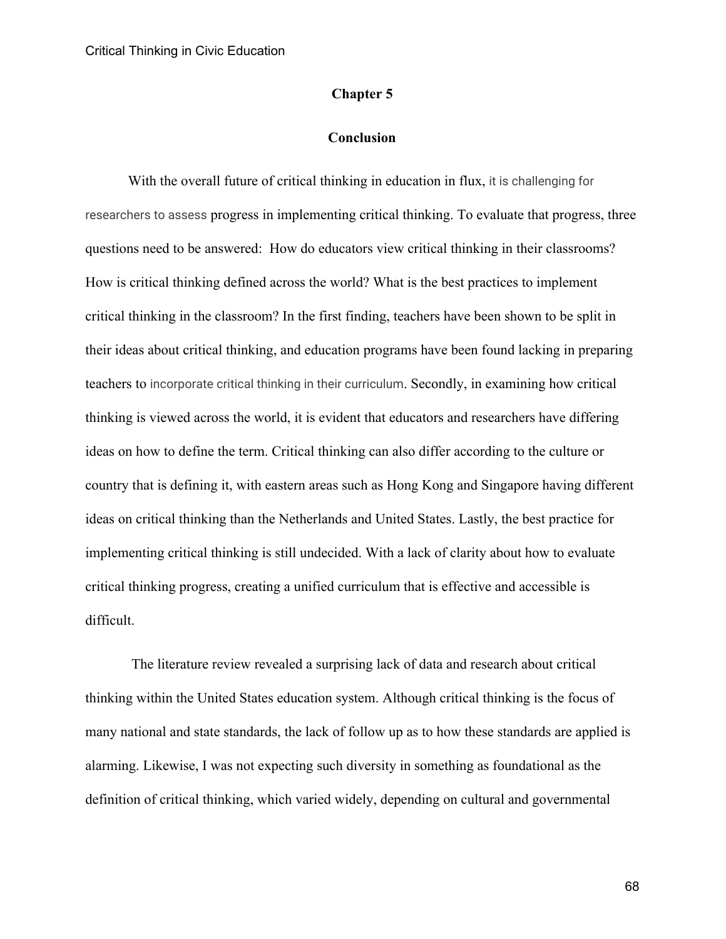#### **Chapter 5**

## **Conclusion**

With the overall future of critical thinking in education in flux, it is challenging for researchers to assess progress in implementing critical thinking. To evaluate that progress, three questions need to be answered: How do educators view critical thinking in their classrooms? How is critical thinking defined across the world? What is the best practices to implement critical thinking in the classroom? In the first finding, teachers have been shown to be split in their ideas about critical thinking, and education programs have been found lacking in preparing teachers to incorporate critical thinking in their curriculum. Secondly, in examining how critical thinking is viewed across the world, it is evident that educators and researchers have differing ideas on how to define the term. Critical thinking can also differ according to the culture or country that is defining it, with eastern areas such as Hong Kong and Singapore having different ideas on critical thinking than the Netherlands and United States. Lastly, the best practice for implementing critical thinking is still undecided. With a lack of clarity about how to evaluate critical thinking progress, creating a unified curriculum that is effective and accessible is difficult.

 The literature review revealed a surprising lack of data and research about critical thinking within the United States education system. Although critical thinking is the focus of many national and state standards, the lack of follow up as to how these standards are applied is alarming. Likewise, I was not expecting such diversity in something as foundational as the definition of critical thinking, which varied widely, depending on cultural and governmental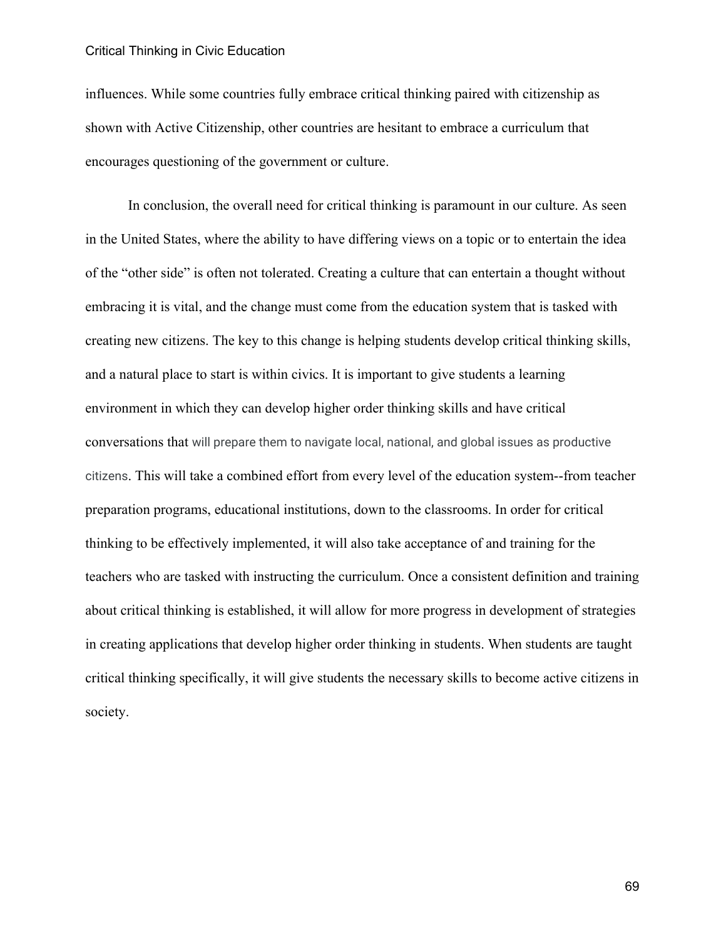influences. While some countries fully embrace critical thinking paired with citizenship as shown with Active Citizenship, other countries are hesitant to embrace a curriculum that encourages questioning of the government or culture.

In conclusion, the overall need for critical thinking is paramount in our culture. As seen in the United States, where the ability to have differing views on a topic or to entertain the idea of the "other side" is often not tolerated. Creating a culture that can entertain a thought without embracing it is vital, and the change must come from the education system that is tasked with creating new citizens. The key to this change is helping students develop critical thinking skills, and a natural place to start is within civics. It is important to give students a learning environment in which they can develop higher order thinking skills and have critical conversations that will prepare them to navigate local, national, and global issues as productive citizens. This will take a combined effort from every level of the education system--from teacher preparation programs, educational institutions, down to the classrooms. In order for critical thinking to be effectively implemented, it will also take acceptance of and training for the teachers who are tasked with instructing the curriculum. Once a consistent definition and training about critical thinking is established, it will allow for more progress in development of strategies in creating applications that develop higher order thinking in students. When students are taught critical thinking specifically, it will give students the necessary skills to become active citizens in society.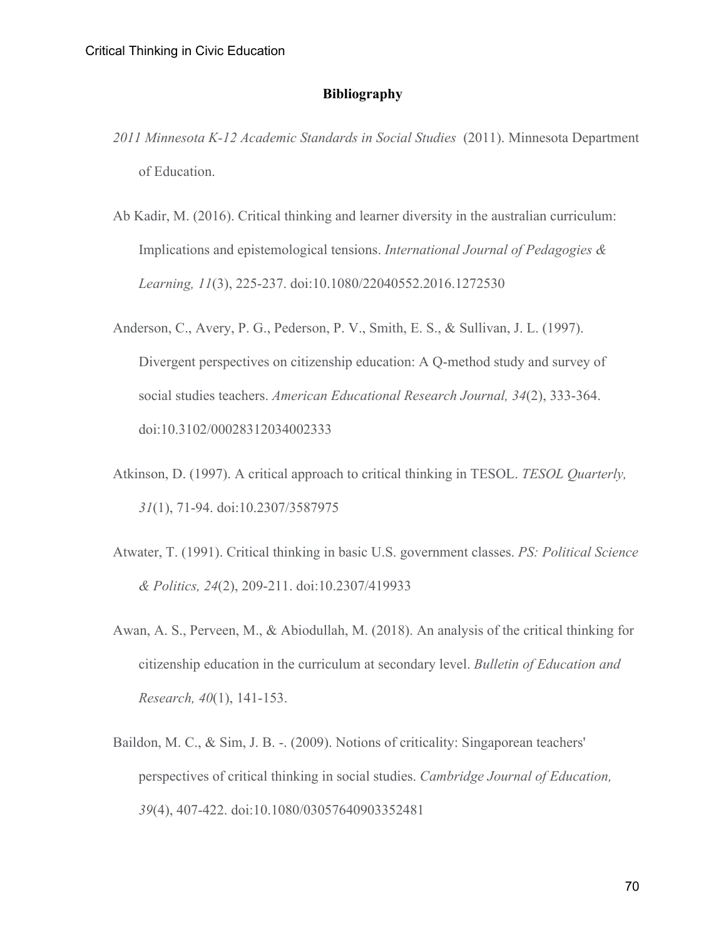## **Bibliography**

- *2011 Minnesota K-12 Academic Standards in Social Studies* (2011). Minnesota Department of Education.
- Ab Kadir, M. (2016). Critical thinking and learner diversity in the australian curriculum: Implications and epistemological tensions. *International Journal of Pedagogies & Learning, 11*(3), 225-237. doi:10.1080/22040552.2016.1272530
- Anderson, C., Avery, P. G., Pederson, P. V., Smith, E. S., & Sullivan, J. L. (1997). Divergent perspectives on citizenship education: A Q-method study and survey of social studies teachers. *American Educational Research Journal, 34*(2), 333-364. doi:10.3102/00028312034002333
- Atkinson, D. (1997). A critical approach to critical thinking in TESOL. *TESOL Quarterly, 31*(1), 71-94. doi:10.2307/3587975
- Atwater, T. (1991). Critical thinking in basic U.S. government classes. *PS: Political Science & Politics, 24*(2), 209-211. doi:10.2307/419933
- Awan, A. S., Perveen, M., & Abiodullah, M. (2018). An analysis of the critical thinking for citizenship education in the curriculum at secondary level. *Bulletin of Education and Research, 40*(1), 141-153.
- Baildon, M. C., & Sim, J. B. -. (2009). Notions of criticality: Singaporean teachers' perspectives of critical thinking in social studies. *Cambridge Journal of Education, 39*(4), 407-422. doi:10.1080/03057640903352481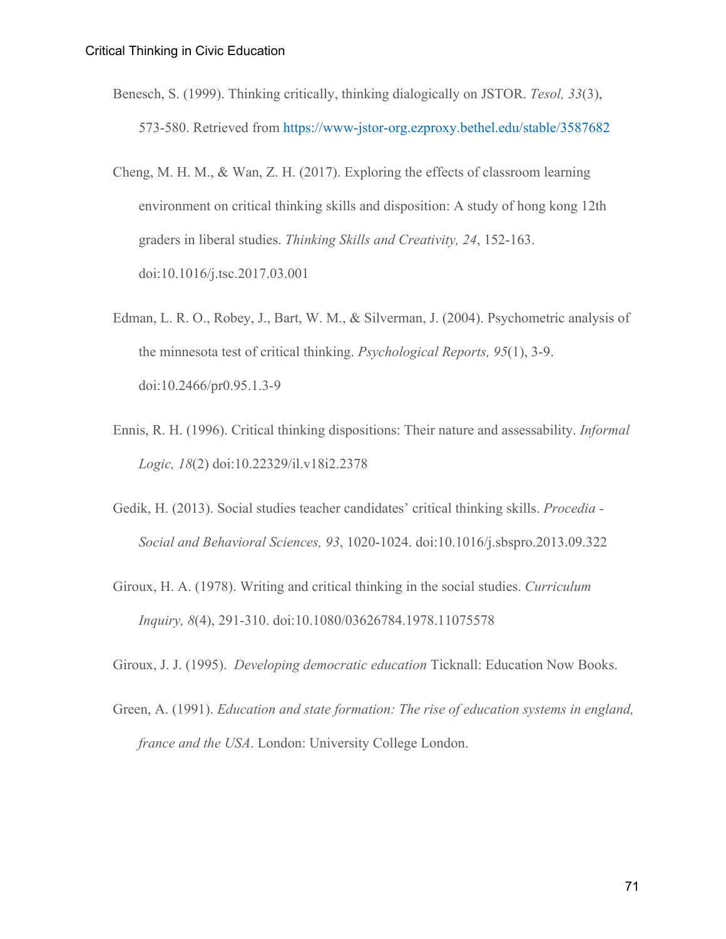- Benesch, S. (1999). Thinking critically, thinking dialogically on JSTOR. *Tesol, 33*(3), 573-580. Retrieved from <https://www-jstor-org.ezproxy.bethel.edu/stable/3587682>
- Cheng, M. H. M., & Wan, Z. H. (2017). Exploring the effects of classroom learning environment on critical thinking skills and disposition: A study of hong kong 12th graders in liberal studies. *Thinking Skills and Creativity, 24*, 152-163. doi:10.1016/j.tsc.2017.03.001
- Edman, L. R. O., Robey, J., Bart, W. M., & Silverman, J. (2004). Psychometric analysis of the minnesota test of critical thinking. *Psychological Reports, 95*(1), 3-9. doi:10.2466/pr0.95.1.3-9
- Ennis, R. H. (1996). Critical thinking dispositions: Their nature and assessability. *Informal Logic, 18*(2) doi:10.22329/il.v18i2.2378
- Gedik, H. (2013). Social studies teacher candidates' critical thinking skills. *Procedia - Social and Behavioral Sciences, 93*, 1020-1024. doi:10.1016/j.sbspro.2013.09.322
- Giroux, H. A. (1978). Writing and critical thinking in the social studies. *Curriculum Inquiry, 8*(4), 291-310. doi:10.1080/03626784.1978.11075578

Giroux, J. J. (1995). *Developing democratic education* Ticknall: Education Now Books.

Green, A. (1991). *Education and state formation: The rise of education systems in england, france and the USA*. London: University College London.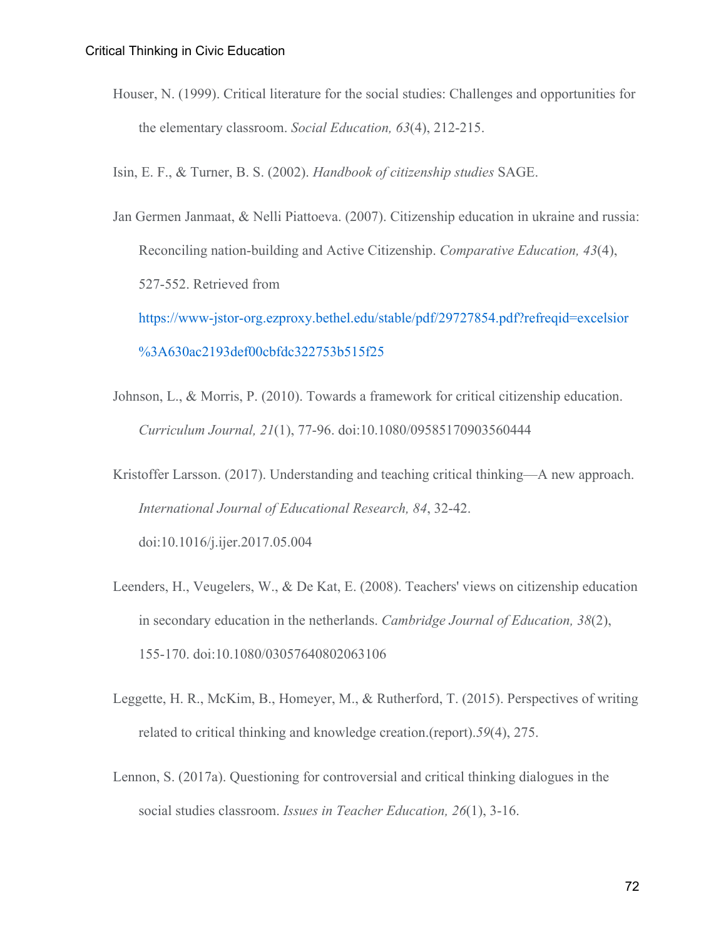Houser, N. (1999). Critical literature for the social studies: Challenges and opportunities for the elementary classroom. *Social Education, 63*(4), 212-215.

Isin, E. F., & Turner, B. S. (2002). *Handbook of citizenship studies* SAGE.

Jan Germen Janmaat, & Nelli Piattoeva. (2007). Citizenship education in ukraine and russia: Reconciling nation-building and Active Citizenship. *Comparative Education, 43*(4), 527-552. Retrieved from

[https://www-jstor-org.ezproxy.bethel.edu/stable/pdf/29727854.pdf?refreqid=excelsior](https://www-jstor-org.ezproxy.bethel.edu/stable/pdf/29727854.pdf?refreqid=excelsior%3A630ac2193def00cbfdc322753b515f25) [%3A630ac2193def00cbfdc322753b515f25](https://www-jstor-org.ezproxy.bethel.edu/stable/pdf/29727854.pdf?refreqid=excelsior%3A630ac2193def00cbfdc322753b515f25)

- Johnson, L., & Morris, P. (2010). Towards a framework for critical citizenship education. *Curriculum Journal, 21*(1), 77-96. doi:10.1080/09585170903560444
- Kristoffer Larsson. (2017). Understanding and teaching critical thinking—A new approach. *International Journal of Educational Research, 84*, 32-42. doi:10.1016/j.ijer.2017.05.004
- Leenders, H., Veugelers, W., & De Kat, E. (2008). Teachers' views on citizenship education in secondary education in the netherlands. *Cambridge Journal of Education, 38*(2), 155-170. doi:10.1080/03057640802063106
- Leggette, H. R., McKim, B., Homeyer, M., & Rutherford, T. (2015). Perspectives of writing related to critical thinking and knowledge creation.(report).*59*(4), 275.
- Lennon, S. (2017a). Questioning for controversial and critical thinking dialogues in the social studies classroom. *Issues in Teacher Education, 26*(1), 3-16.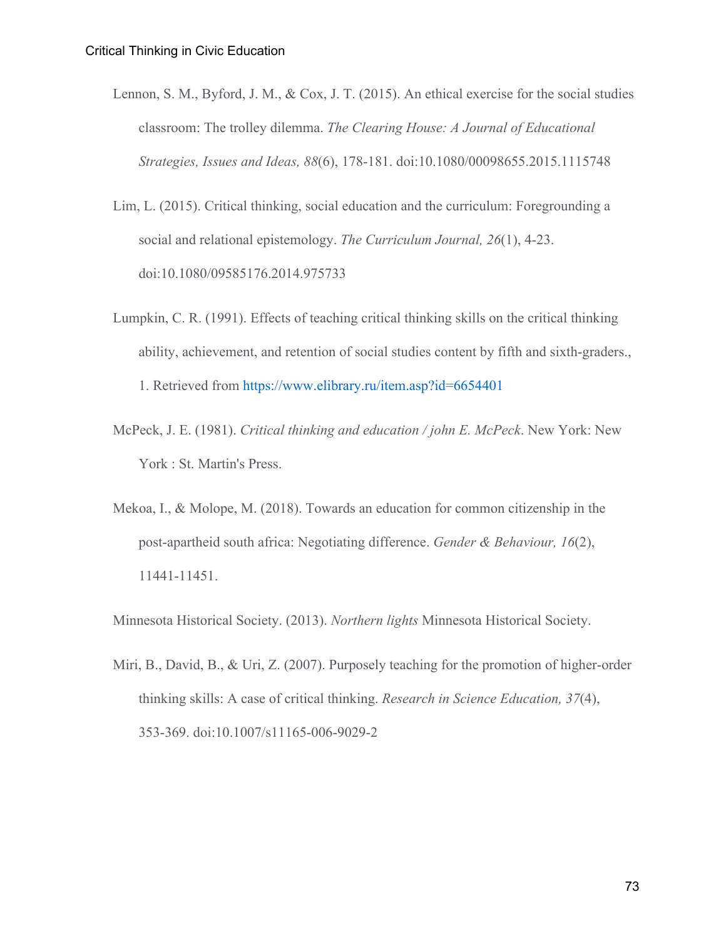- Lennon, S. M., Byford, J. M., & Cox, J. T. (2015). An ethical exercise for the social studies classroom: The trolley dilemma. *The Clearing House: A Journal of Educational Strategies, Issues and Ideas, 88*(6), 178-181. doi:10.1080/00098655.2015.1115748
- Lim, L. (2015). Critical thinking, social education and the curriculum: Foregrounding a social and relational epistemology. *The Curriculum Journal, 26*(1), 4-23. doi:10.1080/09585176.2014.975733
- Lumpkin, C. R. (1991). Effects of teaching critical thinking skills on the critical thinking ability, achievement, and retention of social studies content by fifth and sixth-graders., 1. Retrieved from <https://www.elibrary.ru/item.asp?id=6654401>
- McPeck, J. E. (1981). *Critical thinking and education / john E. McPeck*. New York: New York : St. Martin's Press.
- Mekoa, I., & Molope, M. (2018). Towards an education for common citizenship in the post-apartheid south africa: Negotiating difference. *Gender & Behaviour, 16*(2), 11441-11451.

Minnesota Historical Society. (2013). *Northern lights* Minnesota Historical Society.

Miri, B., David, B., & Uri, Z. (2007). Purposely teaching for the promotion of higher-order thinking skills: A case of critical thinking. *Research in Science Education, 37*(4), 353-369. doi:10.1007/s11165-006-9029-2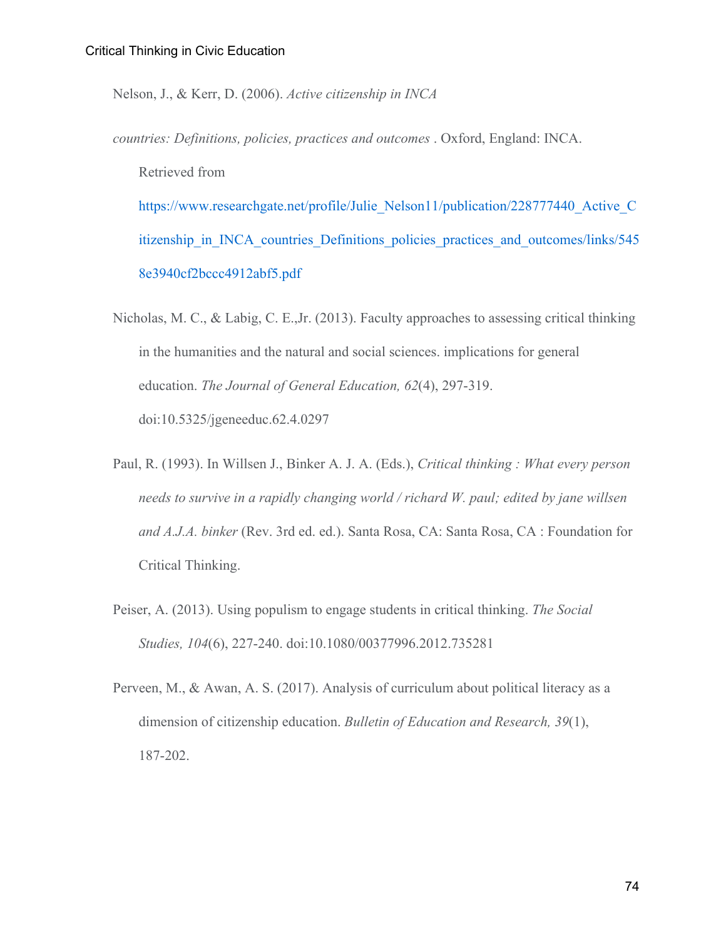Nelson, J., & Kerr, D. (2006). *Active citizenship in INCA*

- *countries: Definitions, policies, practices and outcomes* . Oxford, England: INCA. Retrieved from [https://www.researchgate.net/profile/Julie\\_Nelson11/publication/228777440\\_Active\\_C](https://www.researchgate.net/profile/Julie_Nelson11/publication/228777440_Active_Citizenship_in_INCA_countries_Definitions_policies_practices_and_outcomes/links/5458e3940cf2bccc4912abf5.pdf) [itizenship\\_in\\_INCA\\_countries\\_Definitions\\_policies\\_practices\\_and\\_outcomes/links/545](https://www.researchgate.net/profile/Julie_Nelson11/publication/228777440_Active_Citizenship_in_INCA_countries_Definitions_policies_practices_and_outcomes/links/5458e3940cf2bccc4912abf5.pdf) [8e3940cf2bccc4912abf5.pdf](https://www.researchgate.net/profile/Julie_Nelson11/publication/228777440_Active_Citizenship_in_INCA_countries_Definitions_policies_practices_and_outcomes/links/5458e3940cf2bccc4912abf5.pdf)
- Nicholas, M. C., & Labig, C. E.,Jr. (2013). Faculty approaches to assessing critical thinking in the humanities and the natural and social sciences. implications for general education. *The Journal of General Education, 62*(4), 297-319. doi:10.5325/jgeneeduc.62.4.0297
- Paul, R. (1993). In Willsen J., Binker A. J. A. (Eds.), *Critical thinking : What every person needs to survive in a rapidly changing world / richard W. paul; edited by jane willsen and A.J.A. binker* (Rev. 3rd ed. ed.). Santa Rosa, CA: Santa Rosa, CA : Foundation for Critical Thinking.
- Peiser, A. (2013). Using populism to engage students in critical thinking. *The Social Studies, 104*(6), 227-240. doi:10.1080/00377996.2012.735281
- Perveen, M., & Awan, A. S. (2017). Analysis of curriculum about political literacy as a dimension of citizenship education. *Bulletin of Education and Research, 39*(1), 187-202.